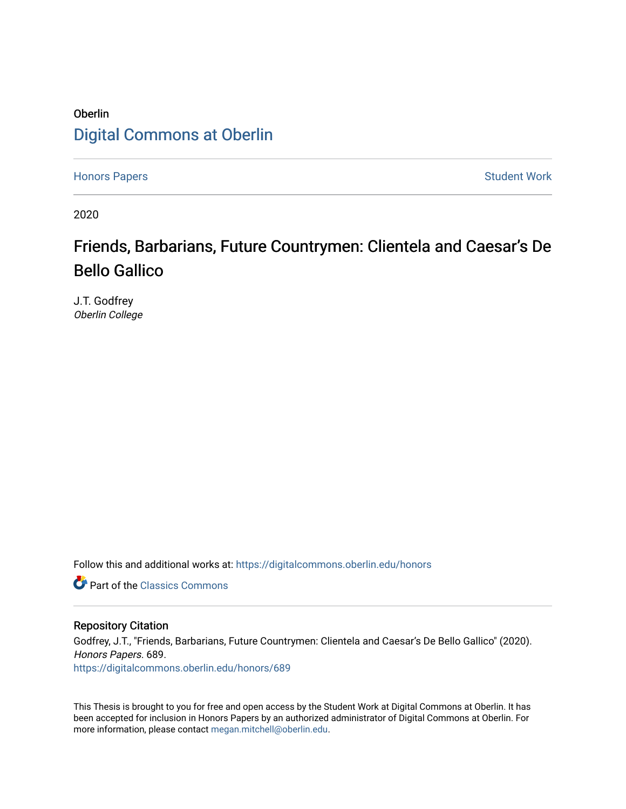### Oberlin [Digital Commons at Oberlin](https://digitalcommons.oberlin.edu/)

[Honors Papers](https://digitalcommons.oberlin.edu/honors) **Student Work** 

2020

### Friends, Barbarians, Future Countrymen: Clientela and Caesar's De Bello Gallico

J.T. Godfrey Oberlin College

Follow this and additional works at: [https://digitalcommons.oberlin.edu/honors](https://digitalcommons.oberlin.edu/honors?utm_source=digitalcommons.oberlin.edu%2Fhonors%2F689&utm_medium=PDF&utm_campaign=PDFCoverPages) 

**C** Part of the [Classics Commons](http://network.bepress.com/hgg/discipline/446?utm_source=digitalcommons.oberlin.edu%2Fhonors%2F689&utm_medium=PDF&utm_campaign=PDFCoverPages)

#### Repository Citation

Godfrey, J.T., "Friends, Barbarians, Future Countrymen: Clientela and Caesar's De Bello Gallico" (2020). Honors Papers. 689. [https://digitalcommons.oberlin.edu/honors/689](https://digitalcommons.oberlin.edu/honors/689?utm_source=digitalcommons.oberlin.edu%2Fhonors%2F689&utm_medium=PDF&utm_campaign=PDFCoverPages) 

This Thesis is brought to you for free and open access by the Student Work at Digital Commons at Oberlin. It has been accepted for inclusion in Honors Papers by an authorized administrator of Digital Commons at Oberlin. For more information, please contact [megan.mitchell@oberlin.edu.](mailto:megan.mitchell@oberlin.edu)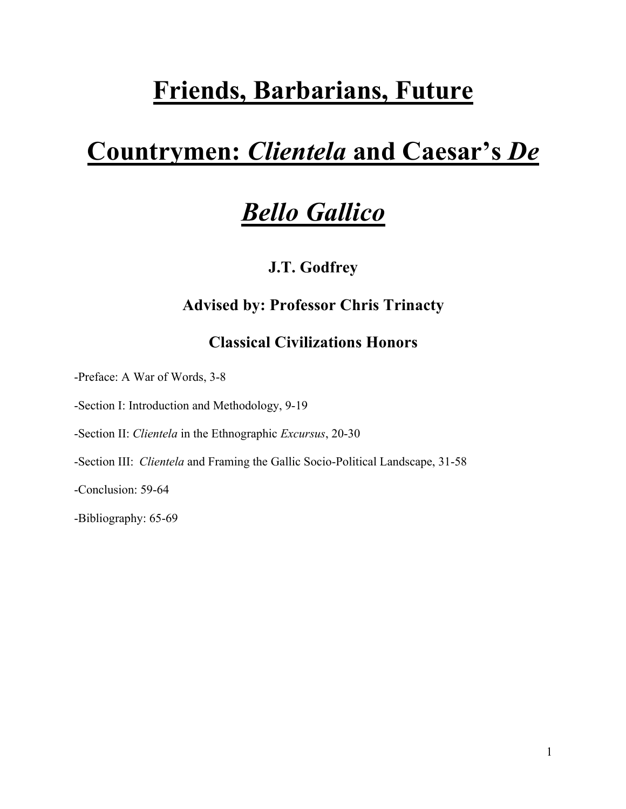# **Friends, Barbarians, Future**

# **Countrymen:** *Clientela* **and Caesar's** *De*

# *Bello Gallico*

**J.T. Godfrey**

### **Advised by: Professor Chris Trinacty**

### **Classical Civilizations Honors**

-Preface: A War of Words, 3-8

-Section I: Introduction and Methodology, 9-19

-Section II: *Clientela* in the Ethnographic *Excursus*, 20-30

-Section III: *Clientela* and Framing the Gallic Socio-Political Landscape, 31-58

-Conclusion: 59-64

-Bibliography: 65-69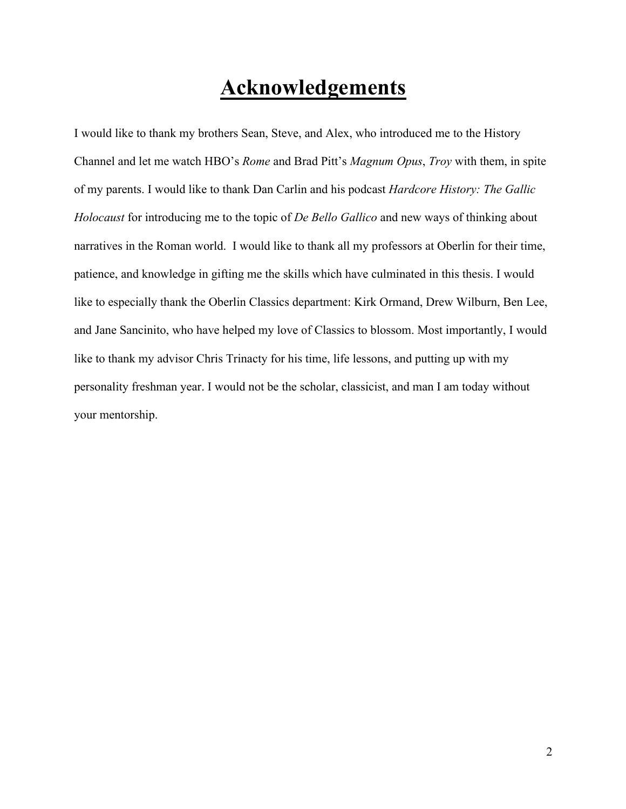## **Acknowledgements**

I would like to thank my brothers Sean, Steve, and Alex, who introduced me to the History Channel and let me watch HBO's *Rome* and Brad Pitt's *Magnum Opus*, *Troy* with them, in spite of my parents. I would like to thank Dan Carlin and his podcast *Hardcore History: The Gallic Holocaust* for introducing me to the topic of *De Bello Gallico* and new ways of thinking about narratives in the Roman world. I would like to thank all my professors at Oberlin for their time, patience, and knowledge in gifting me the skills which have culminated in this thesis. I would like to especially thank the Oberlin Classics department: Kirk Ormand, Drew Wilburn, Ben Lee, and Jane Sancinito, who have helped my love of Classics to blossom. Most importantly, I would like to thank my advisor Chris Trinacty for his time, life lessons, and putting up with my personality freshman year. I would not be the scholar, classicist, and man I am today without your mentorship.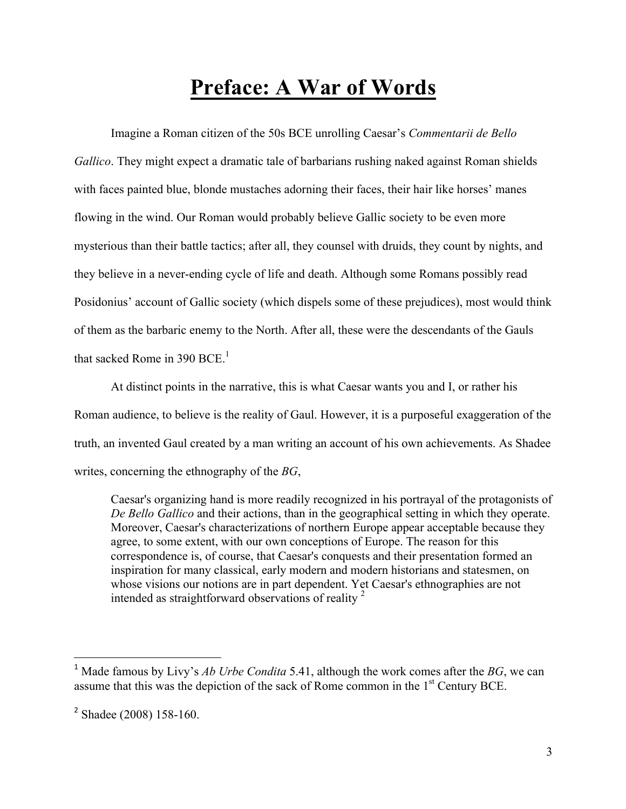# **Preface: A War of Words**

Imagine a Roman citizen of the 50s BCE unrolling Caesar's *Commentarii de Bello Gallico*. They might expect a dramatic tale of barbarians rushing naked against Roman shields with faces painted blue, blonde mustaches adorning their faces, their hair like horses' manes flowing in the wind. Our Roman would probably believe Gallic society to be even more mysterious than their battle tactics; after all, they counsel with druids, they count by nights, and they believe in a never-ending cycle of life and death. Although some Romans possibly read Posidonius' account of Gallic society (which dispels some of these prejudices), most would think of them as the barbaric enemy to the North. After all, these were the descendants of the Gauls that sacked Rome in 390 BCE.<sup>1</sup>

At distinct points in the narrative, this is what Caesar wants you and I, or rather his Roman audience, to believe is the reality of Gaul. However, it is a purposeful exaggeration of the truth, an invented Gaul created by a man writing an account of his own achievements. As Shadee writes, concerning the ethnography of the *BG*,

Caesar's organizing hand is more readily recognized in his portrayal of the protagonists of *De Bello Gallico* and their actions, than in the geographical setting in which they operate. Moreover, Caesar's characterizations of northern Europe appear acceptable because they agree, to some extent, with our own conceptions of Europe. The reason for this correspondence is, of course, that Caesar's conquests and their presentation formed an inspiration for many classical, early modern and modern historians and statesmen, on whose visions our notions are in part dependent. Yet Caesar's ethnographies are not intended as straightforward observations of reality  $2\pi$ 

<sup>1</sup> Made famous by Livy's *Ab Urbe Condita* 5.41, although the work comes after the *BG*, we can assume that this was the depiction of the sack of Rome common in the  $1<sup>st</sup>$  Century BCE.

<sup>2</sup> Shadee (2008) 158-160.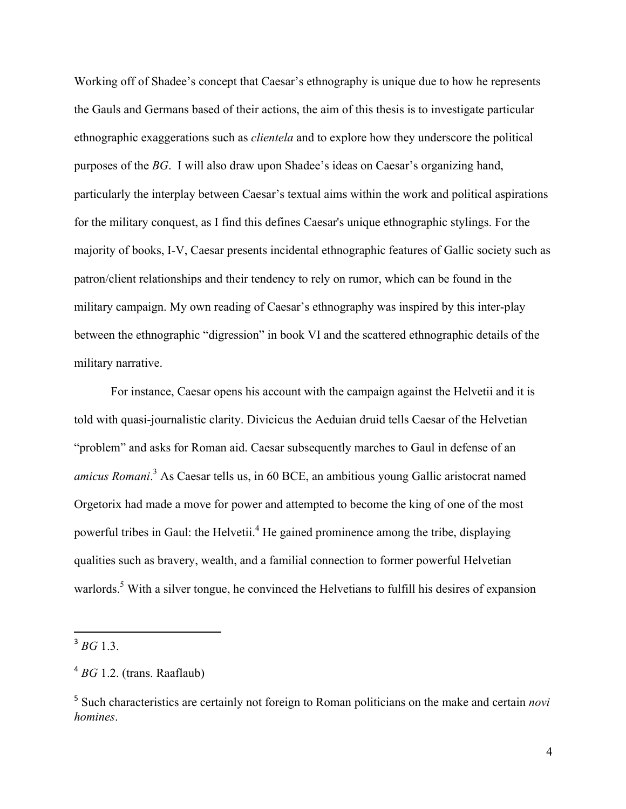Working off of Shadee's concept that Caesar's ethnography is unique due to how he represents the Gauls and Germans based of their actions, the aim of this thesis is to investigate particular ethnographic exaggerations such as *clientela* and to explore how they underscore the political purposes of the *BG*. I will also draw upon Shadee's ideas on Caesar's organizing hand, particularly the interplay between Caesar's textual aims within the work and political aspirations for the military conquest, as I find this defines Caesar's unique ethnographic stylings. For the majority of books, I-V, Caesar presents incidental ethnographic features of Gallic society such as patron/client relationships and their tendency to rely on rumor, which can be found in the military campaign. My own reading of Caesar's ethnography was inspired by this inter-play between the ethnographic "digression" in book VI and the scattered ethnographic details of the military narrative.

For instance, Caesar opens his account with the campaign against the Helvetii and it is told with quasi-journalistic clarity. Divicicus the Aeduian druid tells Caesar of the Helvetian "problem" and asks for Roman aid. Caesar subsequently marches to Gaul in defense of an *amicus Romani*. <sup>3</sup> As Caesar tells us, in 60 BCE, an ambitious young Gallic aristocrat named Orgetorix had made a move for power and attempted to become the king of one of the most powerful tribes in Gaul: the Helvetii.<sup>4</sup> He gained prominence among the tribe, displaying qualities such as bravery, wealth, and a familial connection to former powerful Helvetian warlords.<sup>5</sup> With a silver tongue, he convinced the Helvetians to fulfill his desires of expansion

 $3 \, BG$  1.3.

<sup>4</sup> *BG* 1.2. (trans. Raaflaub)

<sup>5</sup> Such characteristics are certainly not foreign to Roman politicians on the make and certain *novi homines*.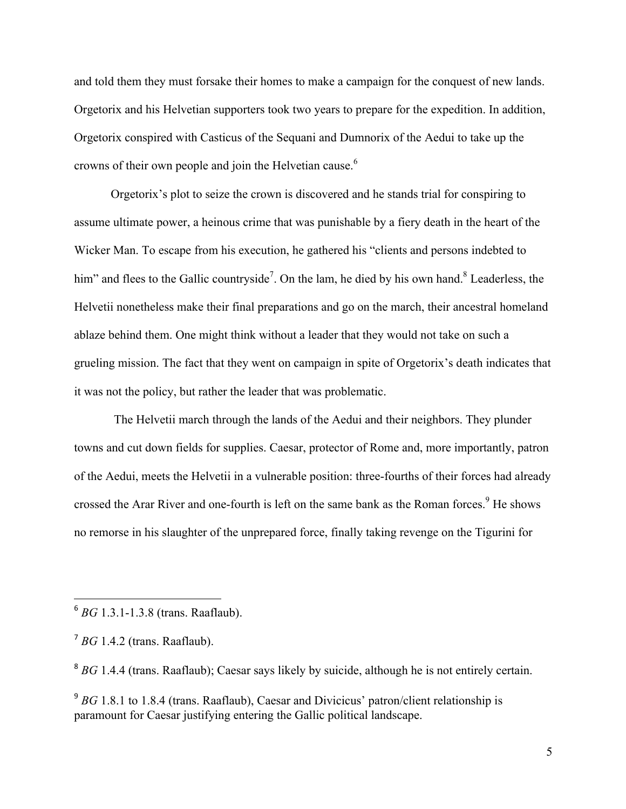and told them they must forsake their homes to make a campaign for the conquest of new lands. Orgetorix and his Helvetian supporters took two years to prepare for the expedition. In addition, Orgetorix conspired with Casticus of the Sequani and Dumnorix of the Aedui to take up the crowns of their own people and join the Helvetian cause.<sup>6</sup>

Orgetorix's plot to seize the crown is discovered and he stands trial for conspiring to assume ultimate power, a heinous crime that was punishable by a fiery death in the heart of the Wicker Man. To escape from his execution, he gathered his "clients and persons indebted to him" and flees to the Gallic countryside<sup>7</sup>. On the lam, he died by his own hand.<sup>8</sup> Leaderless, the Helvetii nonetheless make their final preparations and go on the march, their ancestral homeland ablaze behind them. One might think without a leader that they would not take on such a grueling mission. The fact that they went on campaign in spite of Orgetorix's death indicates that it was not the policy, but rather the leader that was problematic.

The Helvetii march through the lands of the Aedui and their neighbors. They plunder towns and cut down fields for supplies. Caesar, protector of Rome and, more importantly, patron of the Aedui, meets the Helvetii in a vulnerable position: three-fourths of their forces had already crossed the Arar River and one-fourth is left on the same bank as the Roman forces.<sup>9</sup> He shows no remorse in his slaughter of the unprepared force, finally taking revenge on the Tigurini for

<sup>6</sup> *BG* 1.3.1-1.3.8 (trans. Raaflaub).

 $<sup>7</sup> BG$  1.4.2 (trans. Raaflaub).</sup>

<sup>&</sup>lt;sup>8</sup> *BG* 1.4.4 (trans. Raaflaub); Caesar says likely by suicide, although he is not entirely certain.

<sup>&</sup>lt;sup>9</sup> *BG* 1.8.1 to 1.8.4 (trans. Raaflaub), Caesar and Divicicus' patron/client relationship is paramount for Caesar justifying entering the Gallic political landscape.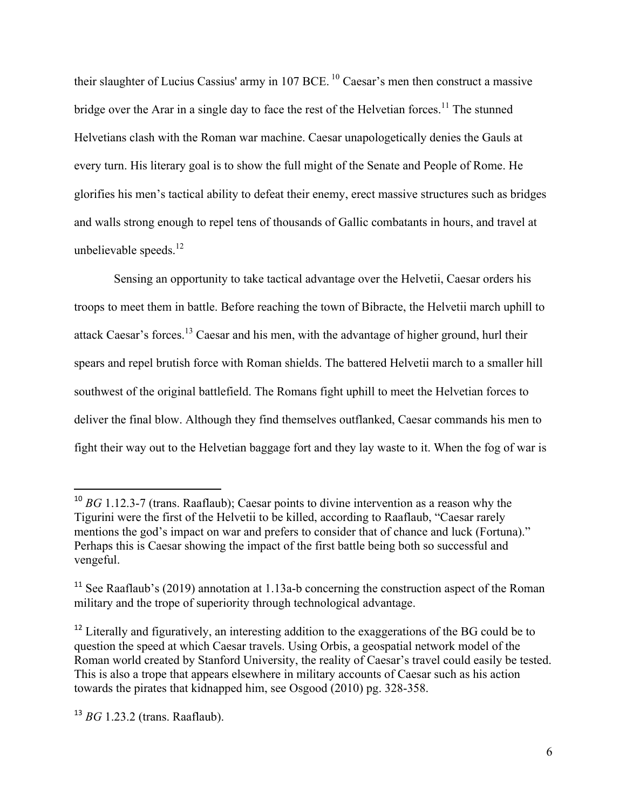their slaughter of Lucius Cassius' army in 107 BCE.<sup>10</sup> Caesar's men then construct a massive bridge over the Arar in a single day to face the rest of the Helvetian forces.<sup>11</sup> The stunned Helvetians clash with the Roman war machine. Caesar unapologetically denies the Gauls at every turn. His literary goal is to show the full might of the Senate and People of Rome. He glorifies his men's tactical ability to defeat their enemy, erect massive structures such as bridges and walls strong enough to repel tens of thousands of Gallic combatants in hours, and travel at unbelievable speeds. $12$ 

Sensing an opportunity to take tactical advantage over the Helvetii, Caesar orders his troops to meet them in battle. Before reaching the town of Bibracte, the Helvetii march uphill to attack Caesar's forces.13 Caesar and his men, with the advantage of higher ground, hurl their spears and repel brutish force with Roman shields. The battered Helvetii march to a smaller hill southwest of the original battlefield. The Romans fight uphill to meet the Helvetian forces to deliver the final blow. Although they find themselves outflanked, Caesar commands his men to fight their way out to the Helvetian baggage fort and they lay waste to it. When the fog of war is

<sup>&</sup>lt;sup>10</sup> *BG* 1.12.3-7 (trans. Raaflaub); Caesar points to divine intervention as a reason why the Tigurini were the first of the Helvetii to be killed, according to Raaflaub, "Caesar rarely mentions the god's impact on war and prefers to consider that of chance and luck (Fortuna)." Perhaps this is Caesar showing the impact of the first battle being both so successful and vengeful.

<sup>&</sup>lt;sup>11</sup> See Raaflaub's (2019) annotation at 1.13a-b concerning the construction aspect of the Roman military and the trope of superiority through technological advantage.

<sup>&</sup>lt;sup>12</sup> Literally and figuratively, an interesting addition to the exaggerations of the BG could be to question the speed at which Caesar travels. Using Orbis, a geospatial network model of the Roman world created by Stanford University, the reality of Caesar's travel could easily be tested. This is also a trope that appears elsewhere in military accounts of Caesar such as his action towards the pirates that kidnapped him, see Osgood (2010) pg. 328-358.

<sup>13</sup> *BG* 1.23.2 (trans. Raaflaub).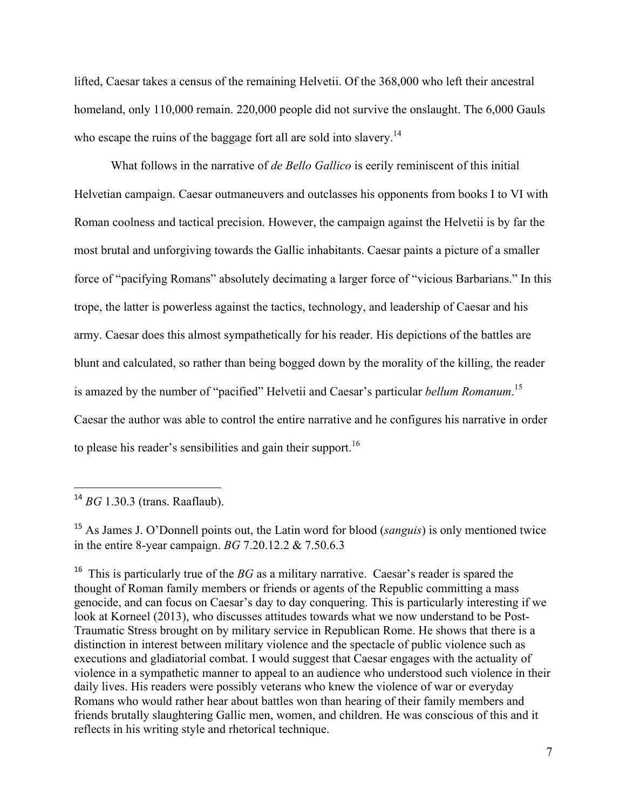lifted, Caesar takes a census of the remaining Helvetii. Of the 368,000 who left their ancestral homeland, only 110,000 remain. 220,000 people did not survive the onslaught. The 6,000 Gauls who escape the ruins of the baggage fort all are sold into slavery.<sup>14</sup>

What follows in the narrative of *de Bello Gallico* is eerily reminiscent of this initial Helvetian campaign. Caesar outmaneuvers and outclasses his opponents from books I to VI with Roman coolness and tactical precision. However, the campaign against the Helvetii is by far the most brutal and unforgiving towards the Gallic inhabitants. Caesar paints a picture of a smaller force of "pacifying Romans" absolutely decimating a larger force of "vicious Barbarians." In this trope, the latter is powerless against the tactics, technology, and leadership of Caesar and his army. Caesar does this almost sympathetically for his reader. His depictions of the battles are blunt and calculated, so rather than being bogged down by the morality of the killing, the reader is amazed by the number of "pacified" Helvetii and Caesar's particular *bellum Romanum*. 15 Caesar the author was able to control the entire narrative and he configures his narrative in order to please his reader's sensibilities and gain their support.<sup>16</sup>

 <sup>14</sup> *BG* 1.30.3 (trans. Raaflaub).

<sup>15</sup> As James J. O'Donnell points out, the Latin word for blood (*sanguis*) is only mentioned twice in the entire 8-year campaign. *BG* 7.20.12.2 & 7.50.6.3

<sup>&</sup>lt;sup>16</sup> This is particularly true of the *BG* as a military narrative. Caesar's reader is spared the thought of Roman family members or friends or agents of the Republic committing a mass genocide, and can focus on Caesar's day to day conquering. This is particularly interesting if we look at Korneel (2013), who discusses attitudes towards what we now understand to be Post-Traumatic Stress brought on by military service in Republican Rome. He shows that there is a distinction in interest between military violence and the spectacle of public violence such as executions and gladiatorial combat. I would suggest that Caesar engages with the actuality of violence in a sympathetic manner to appeal to an audience who understood such violence in their daily lives. His readers were possibly veterans who knew the violence of war or everyday Romans who would rather hear about battles won than hearing of their family members and friends brutally slaughtering Gallic men, women, and children. He was conscious of this and it reflects in his writing style and rhetorical technique.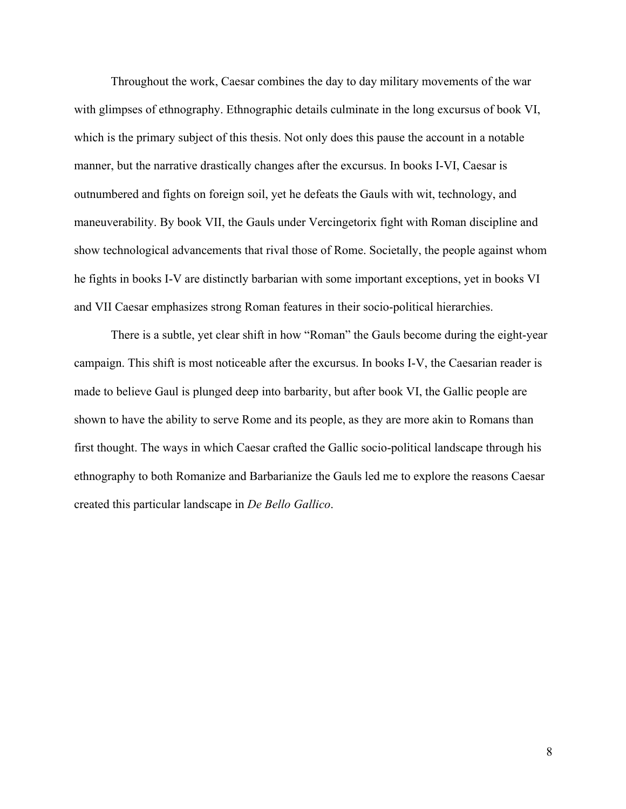Throughout the work, Caesar combines the day to day military movements of the war with glimpses of ethnography. Ethnographic details culminate in the long excursus of book VI, which is the primary subject of this thesis. Not only does this pause the account in a notable manner, but the narrative drastically changes after the excursus. In books I-VI, Caesar is outnumbered and fights on foreign soil, yet he defeats the Gauls with wit, technology, and maneuverability. By book VII, the Gauls under Vercingetorix fight with Roman discipline and show technological advancements that rival those of Rome. Societally, the people against whom he fights in books I-V are distinctly barbarian with some important exceptions, yet in books VI and VII Caesar emphasizes strong Roman features in their socio-political hierarchies.

There is a subtle, yet clear shift in how "Roman" the Gauls become during the eight-year campaign. This shift is most noticeable after the excursus. In books I-V, the Caesarian reader is made to believe Gaul is plunged deep into barbarity, but after book VI, the Gallic people are shown to have the ability to serve Rome and its people, as they are more akin to Romans than first thought. The ways in which Caesar crafted the Gallic socio-political landscape through his ethnography to both Romanize and Barbarianize the Gauls led me to explore the reasons Caesar created this particular landscape in *De Bello Gallico*.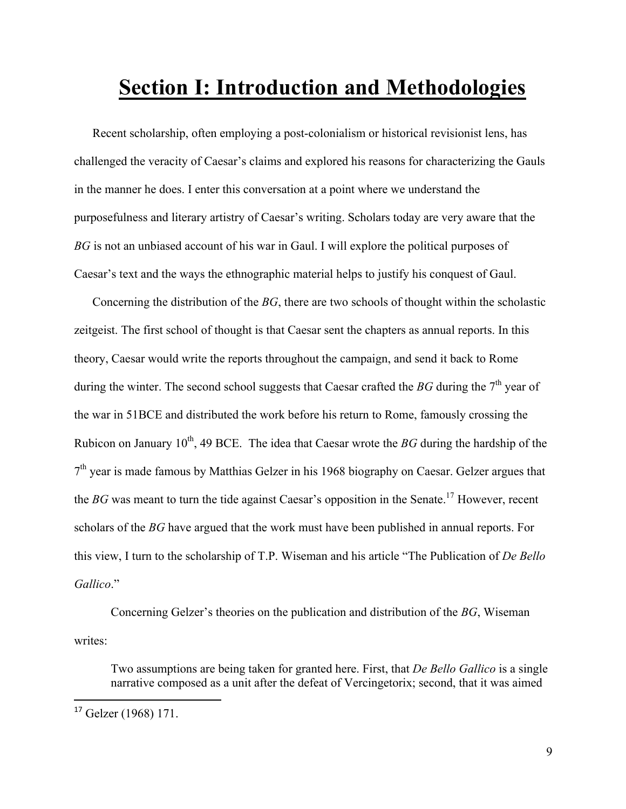## **Section I: Introduction and Methodologies**

Recent scholarship, often employing a post-colonialism or historical revisionist lens, has challenged the veracity of Caesar's claims and explored his reasons for characterizing the Gauls in the manner he does. I enter this conversation at a point where we understand the purposefulness and literary artistry of Caesar's writing. Scholars today are very aware that the *BG* is not an unbiased account of his war in Gaul. I will explore the political purposes of Caesar's text and the ways the ethnographic material helps to justify his conquest of Gaul.

Concerning the distribution of the *BG*, there are two schools of thought within the scholastic zeitgeist. The first school of thought is that Caesar sent the chapters as annual reports. In this theory, Caesar would write the reports throughout the campaign, and send it back to Rome during the winter. The second school suggests that Caesar crafted the *BG* during the  $7<sup>th</sup>$  year of the war in 51BCE and distributed the work before his return to Rome, famously crossing the Rubicon on January  $10^{th}$ , 49 BCE. The idea that Caesar wrote the *BG* during the hardship of the  $7<sup>th</sup>$  year is made famous by Matthias Gelzer in his 1968 biography on Caesar. Gelzer argues that the *BG* was meant to turn the tide against Caesar's opposition in the Senate.<sup>17</sup> However, recent scholars of the *BG* have argued that the work must have been published in annual reports. For this view, I turn to the scholarship of T.P. Wiseman and his article "The Publication of *De Bello Gallico*."

Concerning Gelzer's theories on the publication and distribution of the *BG*, Wiseman writes:

Two assumptions are being taken for granted here. First, that *De Bello Gallico* is a single narrative composed as a unit after the defeat of Vercingetorix; second, that it was aimed

<sup>17</sup> Gelzer (1968) 171.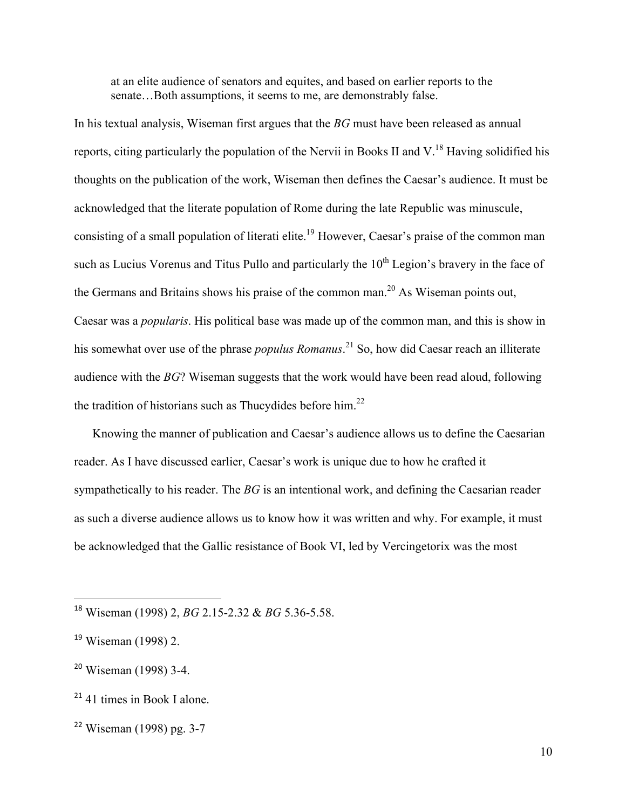at an elite audience of senators and equites, and based on earlier reports to the senate...Both assumptions, it seems to me, are demonstrably false.

In his textual analysis, Wiseman first argues that the *BG* must have been released as annual reports, citing particularly the population of the Nervii in Books II and V.<sup>18</sup> Having solidified his thoughts on the publication of the work, Wiseman then defines the Caesar's audience. It must be acknowledged that the literate population of Rome during the late Republic was minuscule, consisting of a small population of literati elite.<sup>19</sup> However, Caesar's praise of the common man such as Lucius Vorenus and Titus Pullo and particularly the 10<sup>th</sup> Legion's bravery in the face of the Germans and Britains shows his praise of the common man.<sup>20</sup> As Wiseman points out, Caesar was a *popularis*. His political base was made up of the common man, and this is show in his somewhat over use of the phrase *populus Romanus*. <sup>21</sup> So, how did Caesar reach an illiterate audience with the *BG*? Wiseman suggests that the work would have been read aloud, following the tradition of historians such as Thucydides before him.<sup>22</sup>

Knowing the manner of publication and Caesar's audience allows us to define the Caesarian reader. As I have discussed earlier, Caesar's work is unique due to how he crafted it sympathetically to his reader. The *BG* is an intentional work, and defining the Caesarian reader as such a diverse audience allows us to know how it was written and why. For example, it must be acknowledged that the Gallic resistance of Book VI, led by Vercingetorix was the most

<sup>18</sup> Wiseman (1998) 2, *BG* 2.15-2.32 & *BG* 5.36-5.58.

<sup>19</sup> Wiseman (1998) 2.

<sup>20</sup> Wiseman (1998) 3-4.

<sup>&</sup>lt;sup>21</sup> 41 times in Book I alone.

<sup>22</sup> Wiseman (1998) pg. 3-7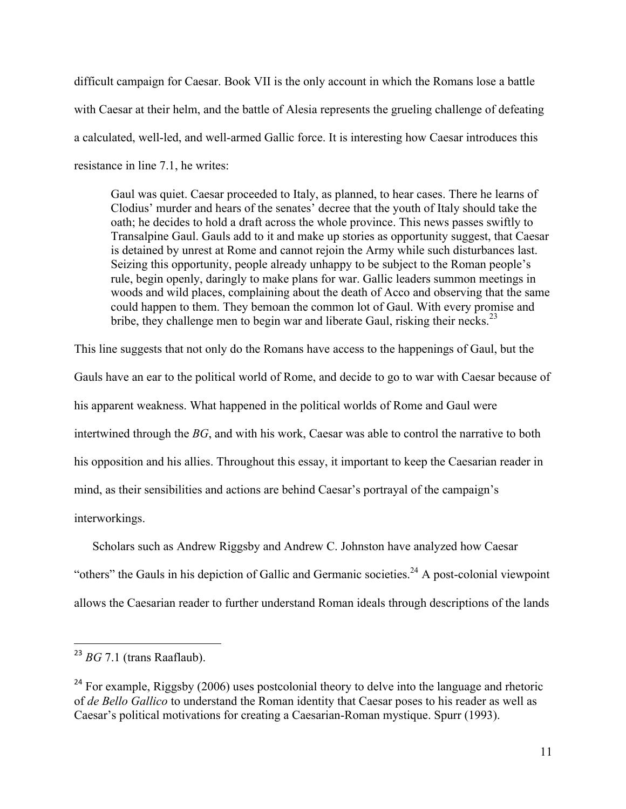difficult campaign for Caesar. Book VII is the only account in which the Romans lose a battle with Caesar at their helm, and the battle of Alesia represents the grueling challenge of defeating a calculated, well-led, and well-armed Gallic force. It is interesting how Caesar introduces this resistance in line 7.1, he writes:

Gaul was quiet. Caesar proceeded to Italy, as planned, to hear cases. There he learns of Clodius' murder and hears of the senates' decree that the youth of Italy should take the oath; he decides to hold a draft across the whole province. This news passes swiftly to Transalpine Gaul. Gauls add to it and make up stories as opportunity suggest, that Caesar is detained by unrest at Rome and cannot rejoin the Army while such disturbances last. Seizing this opportunity, people already unhappy to be subject to the Roman people's rule, begin openly, daringly to make plans for war. Gallic leaders summon meetings in woods and wild places, complaining about the death of Acco and observing that the same could happen to them. They bemoan the common lot of Gaul. With every promise and bribe, they challenge men to begin war and liberate Gaul, risking their necks.<sup>23</sup>

This line suggests that not only do the Romans have access to the happenings of Gaul, but the Gauls have an ear to the political world of Rome, and decide to go to war with Caesar because of his apparent weakness. What happened in the political worlds of Rome and Gaul were intertwined through the *BG*, and with his work, Caesar was able to control the narrative to both his opposition and his allies. Throughout this essay, it important to keep the Caesarian reader in mind, as their sensibilities and actions are behind Caesar's portrayal of the campaign's interworkings.

Scholars such as Andrew Riggsby and Andrew C. Johnston have analyzed how Caesar "others" the Gauls in his depiction of Gallic and Germanic societies.<sup>24</sup> A post-colonial viewpoint allows the Caesarian reader to further understand Roman ideals through descriptions of the lands

<sup>23</sup> *BG* 7.1 (trans Raaflaub).

 $^{24}$  For example, Riggsby (2006) uses postcolonial theory to delve into the language and rhetoric of *de Bello Gallico* to understand the Roman identity that Caesar poses to his reader as well as Caesar's political motivations for creating a Caesarian-Roman mystique. Spurr (1993).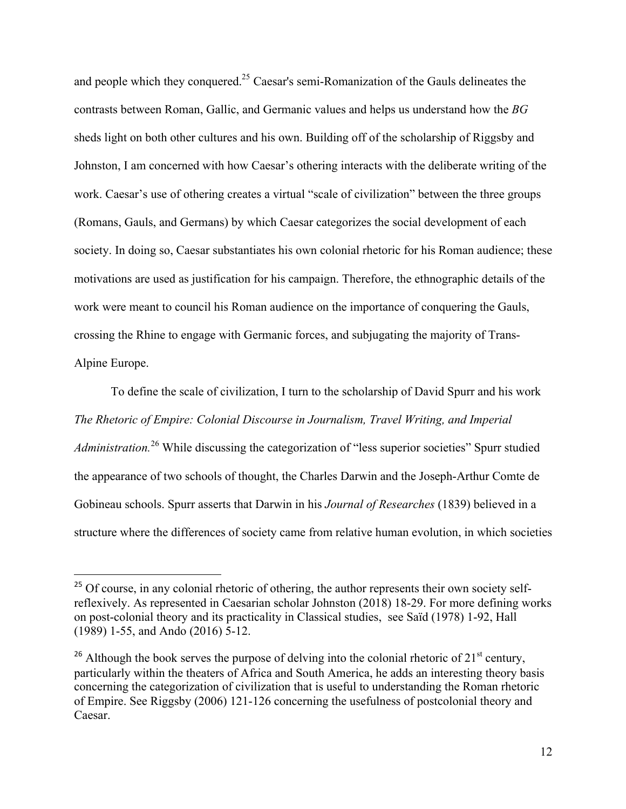and people which they conquered.<sup>25</sup> Caesar's semi-Romanization of the Gauls delineates the contrasts between Roman, Gallic, and Germanic values and helps us understand how the *BG* sheds light on both other cultures and his own. Building off of the scholarship of Riggsby and Johnston, I am concerned with how Caesar's othering interacts with the deliberate writing of the work. Caesar's use of othering creates a virtual "scale of civilization" between the three groups (Romans, Gauls, and Germans) by which Caesar categorizes the social development of each society. In doing so, Caesar substantiates his own colonial rhetoric for his Roman audience; these motivations are used as justification for his campaign. Therefore, the ethnographic details of the work were meant to council his Roman audience on the importance of conquering the Gauls, crossing the Rhine to engage with Germanic forces, and subjugating the majority of Trans-Alpine Europe.

To define the scale of civilization, I turn to the scholarship of David Spurr and his work *The Rhetoric of Empire: Colonial Discourse in Journalism, Travel Writing, and Imperial Administration.*<sup>26</sup> While discussing the categorization of "less superior societies" Spurr studied the appearance of two schools of thought, the Charles Darwin and the Joseph-Arthur Comte de Gobineau schools. Spurr asserts that Darwin in his *Journal of Researches* (1839) believed in a structure where the differences of society came from relative human evolution, in which societies

<sup>&</sup>lt;sup>25</sup> Of course, in any colonial rhetoric of othering, the author represents their own society selfreflexively. As represented in Caesarian scholar Johnston (2018) 18-29. For more defining works on post-colonial theory and its practicality in Classical studies, see Saïd (1978) 1-92, Hall (1989) 1-55, and Ando (2016) 5-12.

<sup>&</sup>lt;sup>26</sup> Although the book serves the purpose of delving into the colonial rhetoric of  $21<sup>st</sup>$  century, particularly within the theaters of Africa and South America, he adds an interesting theory basis concerning the categorization of civilization that is useful to understanding the Roman rhetoric of Empire. See Riggsby (2006) 121-126 concerning the usefulness of postcolonial theory and Caesar.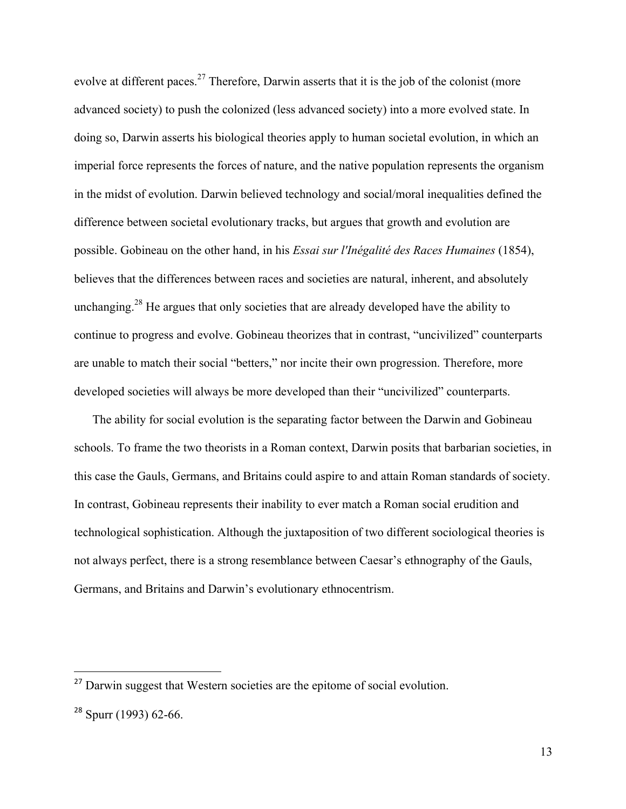evolve at different paces.<sup>27</sup> Therefore, Darwin asserts that it is the job of the colonist (more advanced society) to push the colonized (less advanced society) into a more evolved state. In doing so, Darwin asserts his biological theories apply to human societal evolution, in which an imperial force represents the forces of nature, and the native population represents the organism in the midst of evolution. Darwin believed technology and social/moral inequalities defined the difference between societal evolutionary tracks, but argues that growth and evolution are possible. Gobineau on the other hand, in his *Essai sur l'Inégalité des Races Humaines* (1854), believes that the differences between races and societies are natural, inherent, and absolutely unchanging.<sup>28</sup> He argues that only societies that are already developed have the ability to continue to progress and evolve. Gobineau theorizes that in contrast, "uncivilized" counterparts are unable to match their social "betters," nor incite their own progression. Therefore, more developed societies will always be more developed than their "uncivilized" counterparts.

The ability for social evolution is the separating factor between the Darwin and Gobineau schools. To frame the two theorists in a Roman context, Darwin posits that barbarian societies, in this case the Gauls, Germans, and Britains could aspire to and attain Roman standards of society. In contrast, Gobineau represents their inability to ever match a Roman social erudition and technological sophistication. Although the juxtaposition of two different sociological theories is not always perfect, there is a strong resemblance between Caesar's ethnography of the Gauls, Germans, and Britains and Darwin's evolutionary ethnocentrism.

<sup>&</sup>lt;sup>27</sup> Darwin suggest that Western societies are the epitome of social evolution.

 $28$  Spurr (1993) 62-66.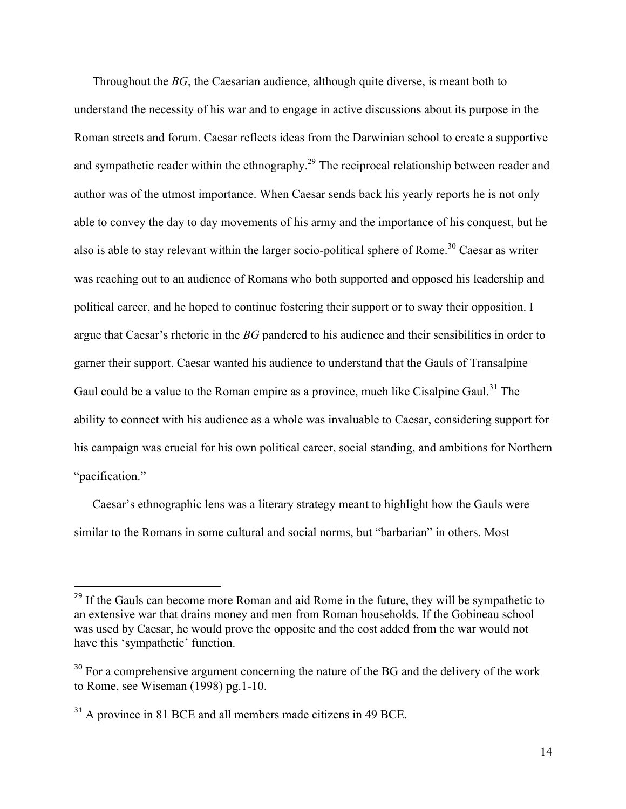Throughout the *BG*, the Caesarian audience, although quite diverse, is meant both to understand the necessity of his war and to engage in active discussions about its purpose in the Roman streets and forum. Caesar reflects ideas from the Darwinian school to create a supportive and sympathetic reader within the ethnography.<sup>29</sup> The reciprocal relationship between reader and author was of the utmost importance. When Caesar sends back his yearly reports he is not only able to convey the day to day movements of his army and the importance of his conquest, but he also is able to stay relevant within the larger socio-political sphere of Rome.<sup>30</sup> Caesar as writer was reaching out to an audience of Romans who both supported and opposed his leadership and political career, and he hoped to continue fostering their support or to sway their opposition. I argue that Caesar's rhetoric in the *BG* pandered to his audience and their sensibilities in order to garner their support. Caesar wanted his audience to understand that the Gauls of Transalpine Gaul could be a value to the Roman empire as a province, much like Cisalpine Gaul.<sup>31</sup> The ability to connect with his audience as a whole was invaluable to Caesar, considering support for his campaign was crucial for his own political career, social standing, and ambitions for Northern "pacification."

Caesar's ethnographic lens was a literary strategy meant to highlight how the Gauls were similar to the Romans in some cultural and social norms, but "barbarian" in others. Most

<sup>&</sup>lt;sup>29</sup> If the Gauls can become more Roman and aid Rome in the future, they will be sympathetic to an extensive war that drains money and men from Roman households. If the Gobineau school was used by Caesar, he would prove the opposite and the cost added from the war would not have this 'sympathetic' function.

<sup>&</sup>lt;sup>30</sup> For a comprehensive argument concerning the nature of the BG and the delivery of the work to Rome, see Wiseman (1998) pg.1-10.

<sup>&</sup>lt;sup>31</sup> A province in 81 BCE and all members made citizens in 49 BCE.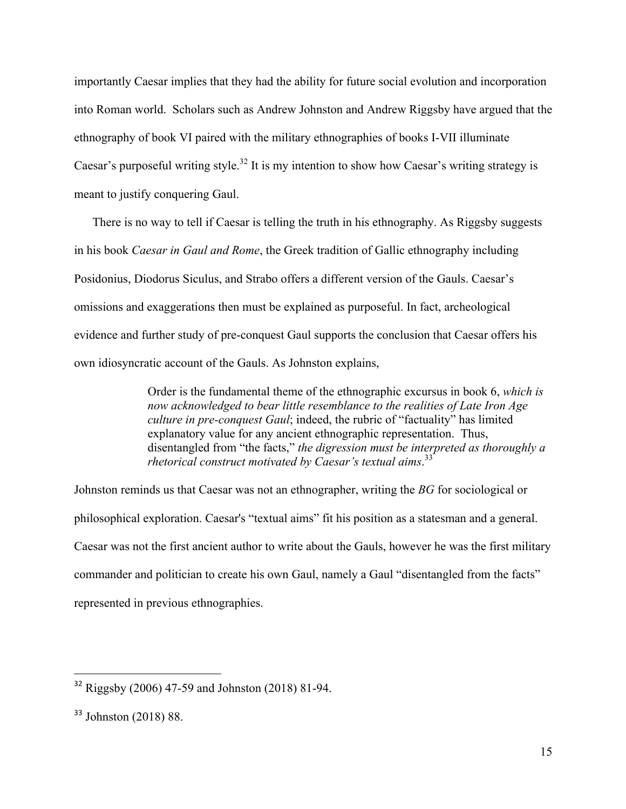importantly Caesar implies that they had the ability for future social evolution and incorporation into Roman world. Scholars such as Andrew Johnston and Andrew Riggsby have argued that the ethnography of book VI paired with the military ethnographies of books I-VII illuminate Caesar's purposeful writing style.<sup>32</sup> It is my intention to show how Caesar's writing strategy is meant to justify conquering Gaul.

There is no way to tell if Caesar is telling the truth in his ethnography. As Riggsby suggests in his book *Caesar in Gaul and Rome*, the Greek tradition of Gallic ethnography including Posidonius, Diodorus Siculus, and Strabo offers a different version of the Gauls. Caesar's omissions and exaggerations then must be explained as purposeful. In fact, archeological evidence and further study of pre-conquest Gaul supports the conclusion that Caesar offers his own idiosyncratic account of the Gauls. As Johnston explains,

> Order is the fundamental theme of the ethnographic excursus in book 6, *which is now acknowledged to bear little resemblance to the realities of Late Iron Age culture in pre-conquest Gaul*; indeed, the rubric of "factuality" has limited explanatory value for any ancient ethnographic representation. Thus, disentangled from "the facts," *the digression must be interpreted as thoroughly a rhetorical construct motivated by Caesar's textual aims*. 33

Johnston reminds us that Caesar was not an ethnographer, writing the *BG* for sociological or philosophical exploration. Caesar's "textual aims" fit his position as a statesman and a general. Caesar was not the first ancient author to write about the Gauls, however he was the first military commander and politician to create his own Gaul, namely a Gaul "disentangled from the facts" represented in previous ethnographies.

<sup>32</sup> Riggsby (2006) 47-59 and Johnston (2018) 81-94.

<sup>33</sup> Johnston (2018) 88.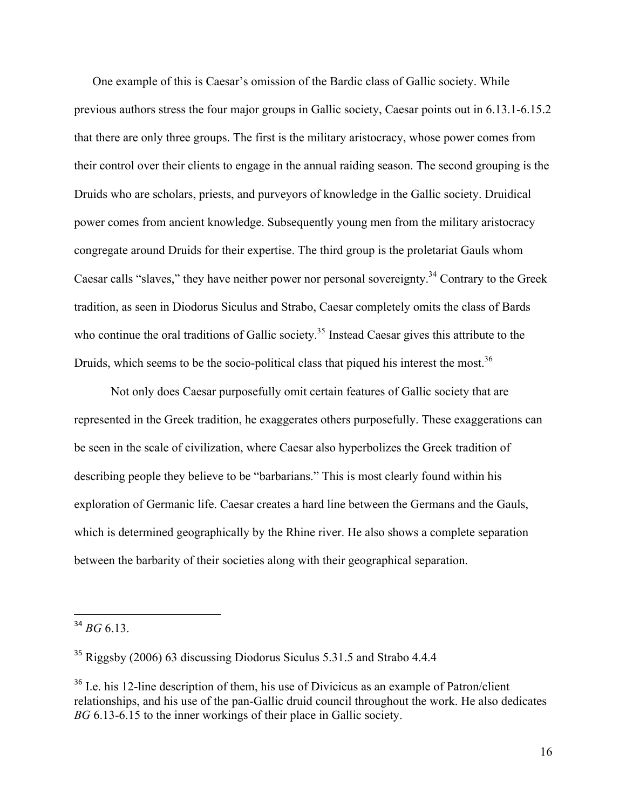One example of this is Caesar's omission of the Bardic class of Gallic society. While previous authors stress the four major groups in Gallic society, Caesar points out in 6.13.1-6.15.2 that there are only three groups. The first is the military aristocracy, whose power comes from their control over their clients to engage in the annual raiding season. The second grouping is the Druids who are scholars, priests, and purveyors of knowledge in the Gallic society. Druidical power comes from ancient knowledge. Subsequently young men from the military aristocracy congregate around Druids for their expertise. The third group is the proletariat Gauls whom Caesar calls "slaves," they have neither power nor personal sovereignty.<sup>34</sup> Contrary to the Greek tradition, as seen in Diodorus Siculus and Strabo, Caesar completely omits the class of Bards who continue the oral traditions of Gallic society.<sup>35</sup> Instead Caesar gives this attribute to the Druids, which seems to be the socio-political class that piqued his interest the most.<sup>36</sup>

Not only does Caesar purposefully omit certain features of Gallic society that are represented in the Greek tradition, he exaggerates others purposefully. These exaggerations can be seen in the scale of civilization, where Caesar also hyperbolizes the Greek tradition of describing people they believe to be "barbarians." This is most clearly found within his exploration of Germanic life. Caesar creates a hard line between the Germans and the Gauls, which is determined geographically by the Rhine river. He also shows a complete separation between the barbarity of their societies along with their geographical separation.

 $34$  *BG* 6.13

<sup>&</sup>lt;sup>35</sup> Riggsby (2006) 63 discussing Diodorus Siculus 5.31.5 and Strabo 4.4.4

<sup>&</sup>lt;sup>36</sup> I.e. his 12-line description of them, his use of Divicicus as an example of Patron/client relationships, and his use of the pan-Gallic druid council throughout the work. He also dedicates *BG* 6.13-6.15 to the inner workings of their place in Gallic society.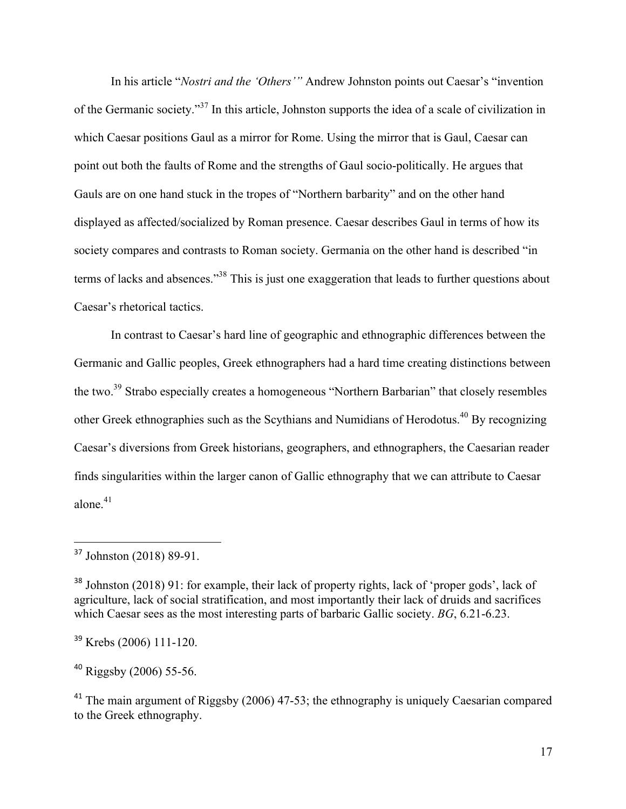In his article "*Nostri and the 'Others'"* Andrew Johnston points out Caesar's "invention of the Germanic society."<sup>37</sup> In this article, Johnston supports the idea of a scale of civilization in which Caesar positions Gaul as a mirror for Rome. Using the mirror that is Gaul, Caesar can point out both the faults of Rome and the strengths of Gaul socio-politically. He argues that Gauls are on one hand stuck in the tropes of "Northern barbarity" and on the other hand displayed as affected/socialized by Roman presence. Caesar describes Gaul in terms of how its society compares and contrasts to Roman society. Germania on the other hand is described "in terms of lacks and absences."38 This is just one exaggeration that leads to further questions about Caesar's rhetorical tactics.

In contrast to Caesar's hard line of geographic and ethnographic differences between the Germanic and Gallic peoples, Greek ethnographers had a hard time creating distinctions between the two.<sup>39</sup> Strabo especially creates a homogeneous "Northern Barbarian" that closely resembles other Greek ethnographies such as the Scythians and Numidians of Herodotus.40 By recognizing Caesar's diversions from Greek historians, geographers, and ethnographers, the Caesarian reader finds singularities within the larger canon of Gallic ethnography that we can attribute to Caesar alone $^{41}$ 

 

<sup>40</sup> Riggsby (2006) 55-56.

<sup>&</sup>lt;sup>37</sup> Johnston (2018) 89-91.

<sup>&</sup>lt;sup>38</sup> Johnston (2018) 91: for example, their lack of property rights, lack of 'proper gods', lack of agriculture, lack of social stratification, and most importantly their lack of druids and sacrifices which Caesar sees as the most interesting parts of barbaric Gallic society. *BG*, 6.21-6.23.

<sup>39</sup> Krebs (2006) 111-120.

<sup>&</sup>lt;sup>41</sup> The main argument of Riggsby (2006) 47-53; the ethnography is uniquely Caesarian compared to the Greek ethnography.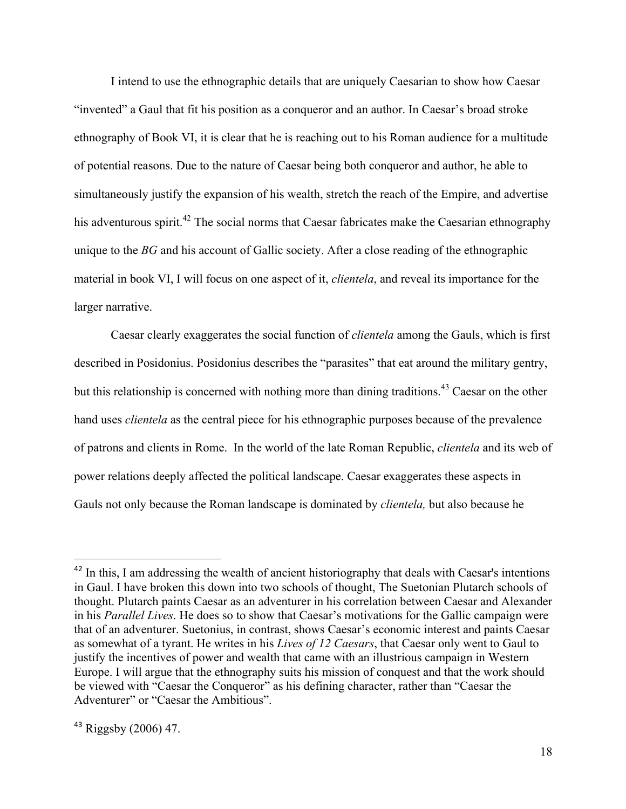I intend to use the ethnographic details that are uniquely Caesarian to show how Caesar "invented" a Gaul that fit his position as a conqueror and an author. In Caesar's broad stroke ethnography of Book VI, it is clear that he is reaching out to his Roman audience for a multitude of potential reasons. Due to the nature of Caesar being both conqueror and author, he able to simultaneously justify the expansion of his wealth, stretch the reach of the Empire, and advertise his adventurous spirit.<sup>42</sup> The social norms that Caesar fabricates make the Caesarian ethnography unique to the *BG* and his account of Gallic society. After a close reading of the ethnographic material in book VI, I will focus on one aspect of it, *clientela*, and reveal its importance for the larger narrative.

Caesar clearly exaggerates the social function of *clientela* among the Gauls, which is first described in Posidonius. Posidonius describes the "parasites" that eat around the military gentry, but this relationship is concerned with nothing more than dining traditions.<sup>43</sup> Caesar on the other hand uses *clientela* as the central piece for his ethnographic purposes because of the prevalence of patrons and clients in Rome. In the world of the late Roman Republic, *clientela* and its web of power relations deeply affected the political landscape. Caesar exaggerates these aspects in Gauls not only because the Roman landscape is dominated by *clientela,* but also because he

<sup>&</sup>lt;sup>42</sup> In this, I am addressing the wealth of ancient historiography that deals with Caesar's intentions in Gaul. I have broken this down into two schools of thought, The Suetonian Plutarch schools of thought. Plutarch paints Caesar as an adventurer in his correlation between Caesar and Alexander in his *Parallel Lives*. He does so to show that Caesar's motivations for the Gallic campaign were that of an adventurer. Suetonius, in contrast, shows Caesar's economic interest and paints Caesar as somewhat of a tyrant. He writes in his *Lives of 12 Caesars*, that Caesar only went to Gaul to justify the incentives of power and wealth that came with an illustrious campaign in Western Europe. I will argue that the ethnography suits his mission of conquest and that the work should be viewed with "Caesar the Conqueror" as his defining character, rather than "Caesar the Adventurer" or "Caesar the Ambitious".

 $43$  Riggsby (2006) 47.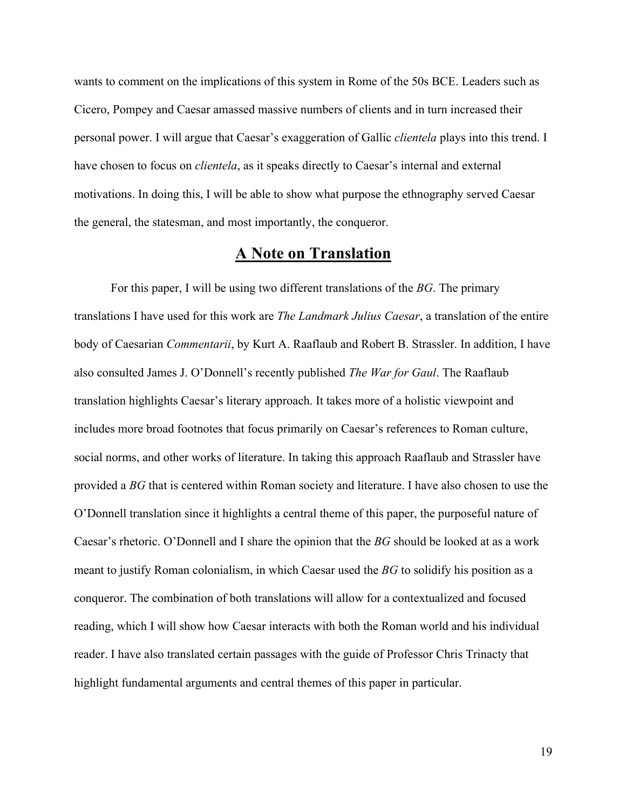wants to comment on the implications of this system in Rome of the 50s BCE. Leaders such as Cicero, Pompey and Caesar amassed massive numbers of clients and in turn increased their personal power. I will argue that Caesar's exaggeration of Gallic *clientela* plays into this trend. I have chosen to focus on *clientela*, as it speaks directly to Caesar's internal and external motivations. In doing this, I will be able to show what purpose the ethnography served Caesar the general, the statesman, and most importantly, the conqueror.

#### **A Note on Translation**

For this paper, I will be using two different translations of the *BG*. The primary translations I have used for this work are *The Landmark Julius Caesar*, a translation of the entire body of Caesarian *Commentarii*, by Kurt A. Raaflaub and Robert B. Strassler. In addition, I have also consulted James J. O'Donnell's recently published *The War for Gaul*. The Raaflaub translation highlights Caesar's literary approach. It takes more of a holistic viewpoint and includes more broad footnotes that focus primarily on Caesar's references to Roman culture, social norms, and other works of literature. In taking this approach Raaflaub and Strassler have provided a *BG* that is centered within Roman society and literature. I have also chosen to use the O'Donnell translation since it highlights a central theme of this paper, the purposeful nature of Caesar's rhetoric. O'Donnell and I share the opinion that the *BG* should be looked at as a work meant to justify Roman colonialism, in which Caesar used the *BG* to solidify his position as a conqueror. The combination of both translations will allow for a contextualized and focused reading, which I will show how Caesar interacts with both the Roman world and his individual reader. I have also translated certain passages with the guide of Professor Chris Trinacty that highlight fundamental arguments and central themes of this paper in particular.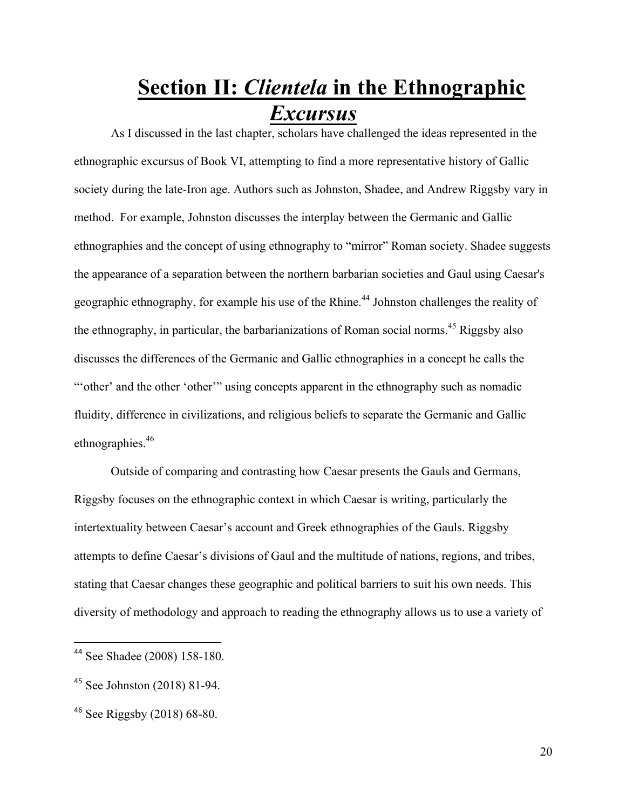## **Section II:** *Clientela* **in the Ethnographic**  *Excursus*

As I discussed in the last chapter, scholars have challenged the ideas represented in the ethnographic excursus of Book VI, attempting to find a more representative history of Gallic society during the late-Iron age. Authors such as Johnston, Shadee, and Andrew Riggsby vary in method. For example, Johnston discusses the interplay between the Germanic and Gallic ethnographies and the concept of using ethnography to "mirror" Roman society. Shadee suggests the appearance of a separation between the northern barbarian societies and Gaul using Caesar's geographic ethnography, for example his use of the Rhine.<sup>44</sup> Johnston challenges the reality of the ethnography, in particular, the barbarianizations of Roman social norms.<sup>45</sup> Riggsby also discusses the differences of the Germanic and Gallic ethnographies in a concept he calls the "" other' and the other 'other'" using concepts apparent in the ethnography such as nomadic fluidity, difference in civilizations, and religious beliefs to separate the Germanic and Gallic ethnographies.<sup>46</sup>

Outside of comparing and contrasting how Caesar presents the Gauls and Germans, Riggsby focuses on the ethnographic context in which Caesar is writing, particularly the intertextuality between Caesar's account and Greek ethnographies of the Gauls. Riggsby attempts to define Caesar's divisions of Gaul and the multitude of nations, regions, and tribes, stating that Caesar changes these geographic and political barriers to suit his own needs. This diversity of methodology and approach to reading the ethnography allows us to use a variety of

 <sup>44</sup> See Shadee (2008) 158-180.

<sup>45</sup> See Johnston (2018) 81-94.

<sup>46</sup> See Riggsby (2018) 68-80.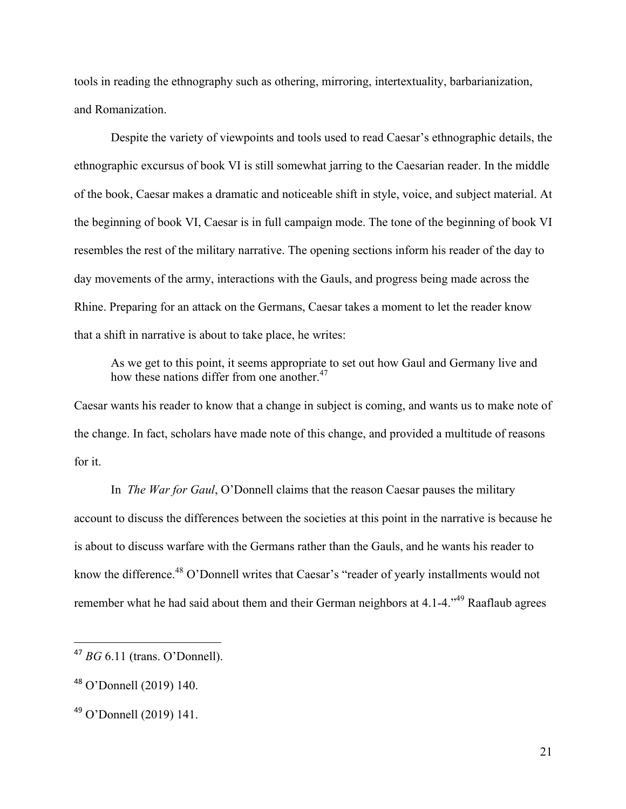tools in reading the ethnography such as othering, mirroring, intertextuality, barbarianization, and Romanization.

Despite the variety of viewpoints and tools used to read Caesar's ethnographic details, the ethnographic excursus of book VI is still somewhat jarring to the Caesarian reader. In the middle of the book, Caesar makes a dramatic and noticeable shift in style, voice, and subject material. At the beginning of book VI, Caesar is in full campaign mode. The tone of the beginning of book VI resembles the rest of the military narrative. The opening sections inform his reader of the day to day movements of the army, interactions with the Gauls, and progress being made across the Rhine. Preparing for an attack on the Germans, Caesar takes a moment to let the reader know that a shift in narrative is about to take place, he writes:

As we get to this point, it seems appropriate to set out how Gaul and Germany live and how these nations differ from one another.<sup>47</sup>

Caesar wants his reader to know that a change in subject is coming, and wants us to make note of the change. In fact, scholars have made note of this change, and provided a multitude of reasons for it.

In *The War for Gaul*, O'Donnell claims that the reason Caesar pauses the military account to discuss the differences between the societies at this point in the narrative is because he is about to discuss warfare with the Germans rather than the Gauls, and he wants his reader to know the difference.<sup>48</sup> O'Donnell writes that Caesar's "reader of yearly installments would not remember what he had said about them and their German neighbors at  $4.1$ - $4.^{49}$  Raaflaub agrees

 <sup>47</sup> *BG* 6.11 (trans. O'Donnell).

<sup>48</sup> O'Donnell (2019) 140.

<sup>49</sup> O'Donnell (2019) 141.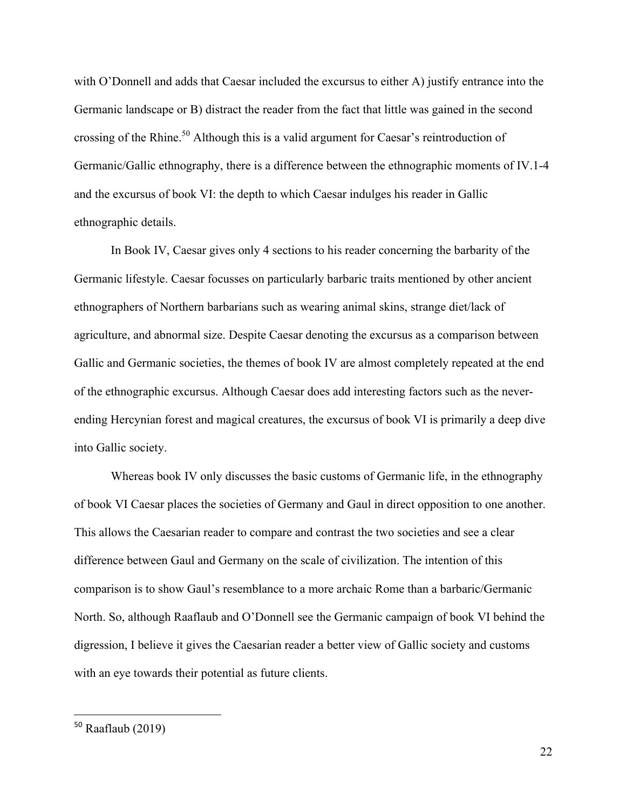with O'Donnell and adds that Caesar included the excursus to either A) justify entrance into the Germanic landscape or B) distract the reader from the fact that little was gained in the second crossing of the Rhine.<sup>50</sup> Although this is a valid argument for Caesar's reintroduction of Germanic/Gallic ethnography, there is a difference between the ethnographic moments of IV.1-4 and the excursus of book VI: the depth to which Caesar indulges his reader in Gallic ethnographic details.

In Book IV, Caesar gives only 4 sections to his reader concerning the barbarity of the Germanic lifestyle. Caesar focusses on particularly barbaric traits mentioned by other ancient ethnographers of Northern barbarians such as wearing animal skins, strange diet/lack of agriculture, and abnormal size. Despite Caesar denoting the excursus as a comparison between Gallic and Germanic societies, the themes of book IV are almost completely repeated at the end of the ethnographic excursus. Although Caesar does add interesting factors such as the neverending Hercynian forest and magical creatures, the excursus of book VI is primarily a deep dive into Gallic society.

Whereas book IV only discusses the basic customs of Germanic life, in the ethnography of book VI Caesar places the societies of Germany and Gaul in direct opposition to one another. This allows the Caesarian reader to compare and contrast the two societies and see a clear difference between Gaul and Germany on the scale of civilization. The intention of this comparison is to show Gaul's resemblance to a more archaic Rome than a barbaric/Germanic North. So, although Raaflaub and O'Donnell see the Germanic campaign of book VI behind the digression, I believe it gives the Caesarian reader a better view of Gallic society and customs with an eye towards their potential as future clients.

 $50$  Raaflaub (2019)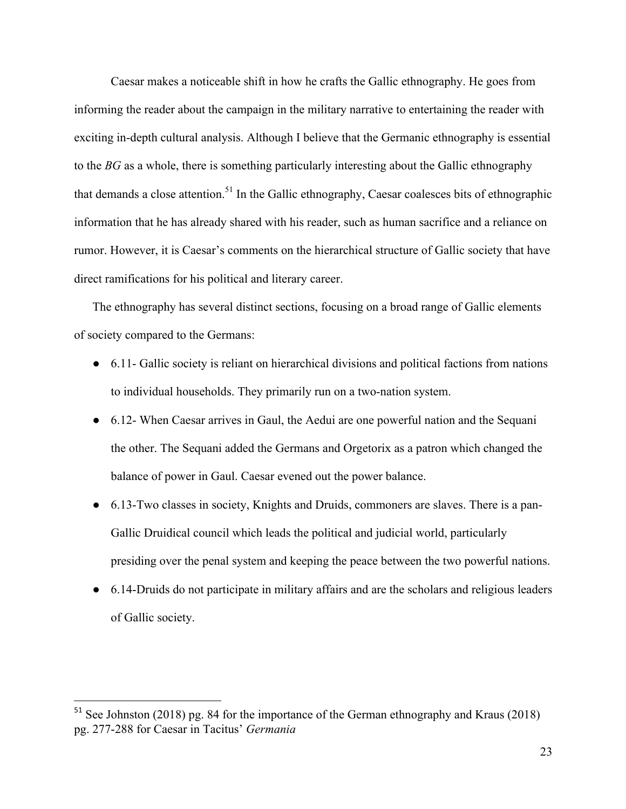Caesar makes a noticeable shift in how he crafts the Gallic ethnography. He goes from informing the reader about the campaign in the military narrative to entertaining the reader with exciting in-depth cultural analysis. Although I believe that the Germanic ethnography is essential to the *BG* as a whole, there is something particularly interesting about the Gallic ethnography that demands a close attention.<sup>51</sup> In the Gallic ethnography, Caesar coalesces bits of ethnographic information that he has already shared with his reader, such as human sacrifice and a reliance on rumor. However, it is Caesar's comments on the hierarchical structure of Gallic society that have direct ramifications for his political and literary career.

The ethnography has several distinct sections, focusing on a broad range of Gallic elements of society compared to the Germans:

- 6.11- Gallic society is reliant on hierarchical divisions and political factions from nations to individual households. They primarily run on a two-nation system.
- 6.12- When Caesar arrives in Gaul, the Aedui are one powerful nation and the Sequani the other. The Sequani added the Germans and Orgetorix as a patron which changed the balance of power in Gaul. Caesar evened out the power balance.
- 6.13-Two classes in society, Knights and Druids, commoners are slaves. There is a pan-Gallic Druidical council which leads the political and judicial world, particularly presiding over the penal system and keeping the peace between the two powerful nations.
- 6.14-Druids do not participate in military affairs and are the scholars and religious leaders of Gallic society.

<sup>&</sup>lt;sup>51</sup> See Johnston (2018) pg. 84 for the importance of the German ethnography and Kraus (2018) pg. 277-288 for Caesar in Tacitus' *Germania*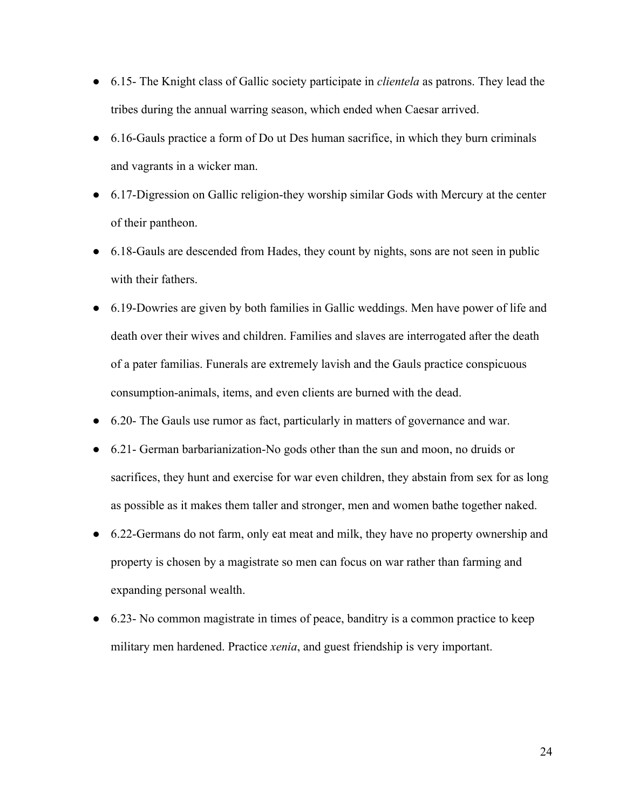- 6.15- The Knight class of Gallic society participate in *clientela* as patrons. They lead the tribes during the annual warring season, which ended when Caesar arrived.
- 6.16-Gauls practice a form of Do ut Des human sacrifice, in which they burn criminals and vagrants in a wicker man.
- 6.17-Digression on Gallic religion-they worship similar Gods with Mercury at the center of their pantheon.
- 6.18-Gauls are descended from Hades, they count by nights, sons are not seen in public with their fathers.
- 6.19-Dowries are given by both families in Gallic weddings. Men have power of life and death over their wives and children. Families and slaves are interrogated after the death of a pater familias. Funerals are extremely lavish and the Gauls practice conspicuous consumption-animals, items, and even clients are burned with the dead.
- 6.20- The Gauls use rumor as fact, particularly in matters of governance and war.
- 6.21- German barbarianization-No gods other than the sun and moon, no druids or sacrifices, they hunt and exercise for war even children, they abstain from sex for as long as possible as it makes them taller and stronger, men and women bathe together naked.
- 6.22-Germans do not farm, only eat meat and milk, they have no property ownership and property is chosen by a magistrate so men can focus on war rather than farming and expanding personal wealth.
- 6.23- No common magistrate in times of peace, banditry is a common practice to keep military men hardened. Practice *xenia*, and guest friendship is very important.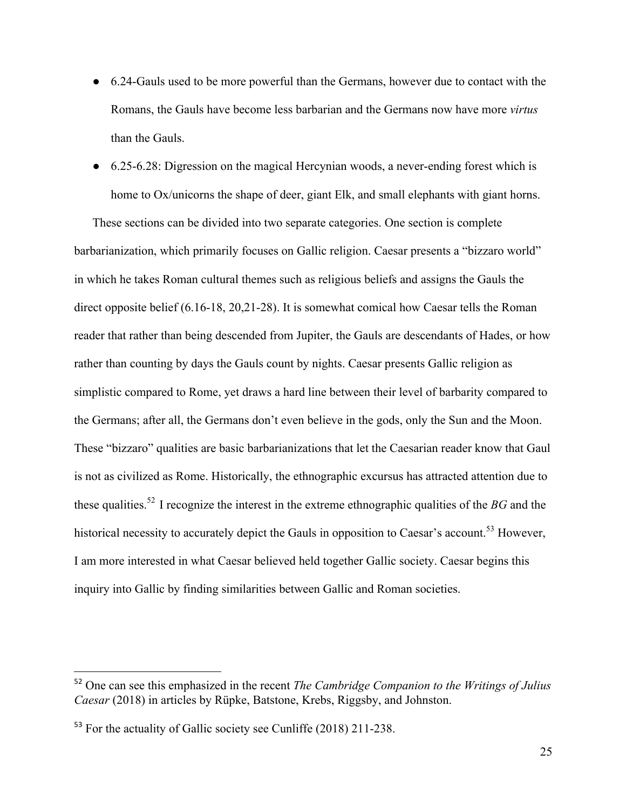- 6.24-Gauls used to be more powerful than the Germans, however due to contact with the Romans, the Gauls have become less barbarian and the Germans now have more *virtus*  than the Gauls.
- 6.25-6.28: Digression on the magical Hercynian woods, a never-ending forest which is home to Ox/unicorns the shape of deer, giant Elk, and small elephants with giant horns.

These sections can be divided into two separate categories. One section is complete barbarianization, which primarily focuses on Gallic religion. Caesar presents a "bizzaro world" in which he takes Roman cultural themes such as religious beliefs and assigns the Gauls the direct opposite belief (6.16-18, 20,21-28). It is somewhat comical how Caesar tells the Roman reader that rather than being descended from Jupiter, the Gauls are descendants of Hades, or how rather than counting by days the Gauls count by nights. Caesar presents Gallic religion as simplistic compared to Rome, yet draws a hard line between their level of barbarity compared to the Germans; after all, the Germans don't even believe in the gods, only the Sun and the Moon. These "bizzaro" qualities are basic barbarianizations that let the Caesarian reader know that Gaul is not as civilized as Rome. Historically, the ethnographic excursus has attracted attention due to these qualities.52 I recognize the interest in the extreme ethnographic qualities of the *BG* and the historical necessity to accurately depict the Gauls in opposition to Caesar's account.<sup>53</sup> However, I am more interested in what Caesar believed held together Gallic society. Caesar begins this inquiry into Gallic by finding similarities between Gallic and Roman societies.

<sup>52</sup> One can see this emphasized in the recent *The Cambridge Companion to the Writings of Julius Caesar* (2018) in articles by Rüpke, Batstone, Krebs, Riggsby, and Johnston.

<sup>53</sup> For the actuality of Gallic society see Cunliffe (2018) 211-238.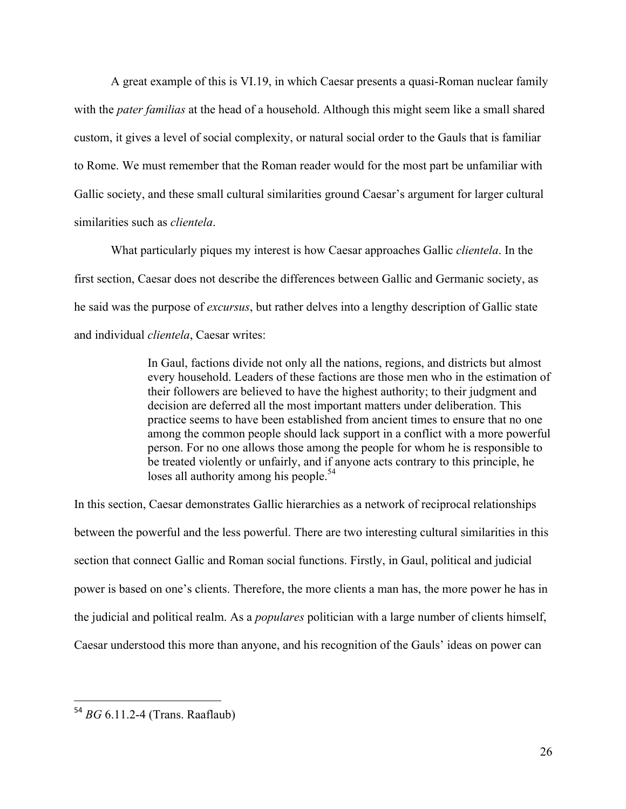A great example of this is VI.19, in which Caesar presents a quasi-Roman nuclear family with the *pater familias* at the head of a household. Although this might seem like a small shared custom, it gives a level of social complexity, or natural social order to the Gauls that is familiar to Rome. We must remember that the Roman reader would for the most part be unfamiliar with Gallic society, and these small cultural similarities ground Caesar's argument for larger cultural similarities such as *clientela*.

What particularly piques my interest is how Caesar approaches Gallic *clientela*. In the first section, Caesar does not describe the differences between Gallic and Germanic society, as he said was the purpose of *excursus*, but rather delves into a lengthy description of Gallic state and individual *clientela*, Caesar writes:

> In Gaul, factions divide not only all the nations, regions, and districts but almost every household. Leaders of these factions are those men who in the estimation of their followers are believed to have the highest authority; to their judgment and decision are deferred all the most important matters under deliberation. This practice seems to have been established from ancient times to ensure that no one among the common people should lack support in a conflict with a more powerful person. For no one allows those among the people for whom he is responsible to be treated violently or unfairly, and if anyone acts contrary to this principle, he loses all authority among his people.<sup>54</sup>

In this section, Caesar demonstrates Gallic hierarchies as a network of reciprocal relationships between the powerful and the less powerful. There are two interesting cultural similarities in this section that connect Gallic and Roman social functions. Firstly, in Gaul, political and judicial power is based on one's clients. Therefore, the more clients a man has, the more power he has in the judicial and political realm. As a *populares* politician with a large number of clients himself, Caesar understood this more than anyone, and his recognition of the Gauls' ideas on power can

 <sup>54</sup> *BG* 6.11.2-4 (Trans. Raaflaub)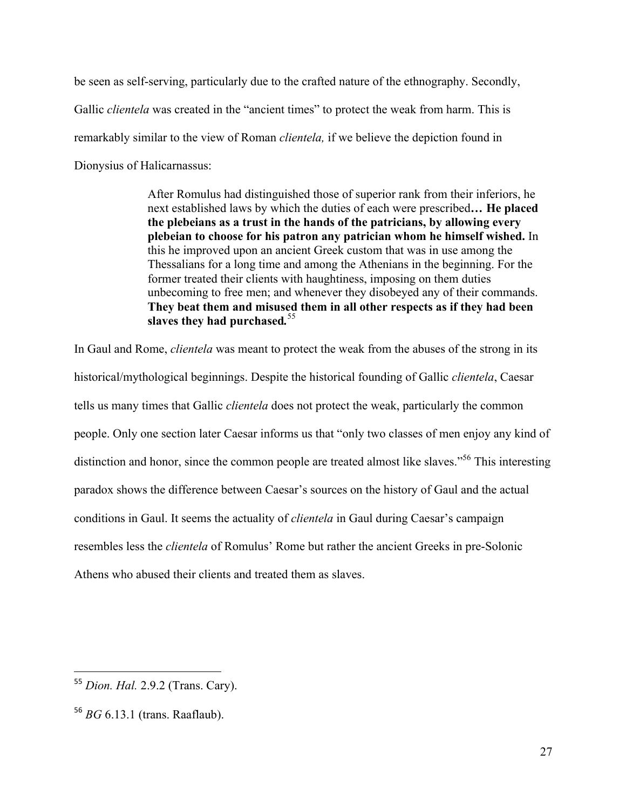be seen as self-serving, particularly due to the crafted nature of the ethnography. Secondly, Gallic *clientela* was created in the "ancient times" to protect the weak from harm. This is remarkably similar to the view of Roman *clientela,* if we believe the depiction found in Dionysius of Halicarnassus:

> After Romulus had distinguished those of superior rank from their inferiors, he next established laws by which the duties of each were prescribed**… He placed the plebeians as a trust in the hands of the patricians, by allowing every plebeian to choose for his patron any patrician whom he himself wished.** In this he improved upon an ancient Greek custom that was in use among the Thessalians for a long time and among the Athenians in the beginning. For the former treated their clients with haughtiness, imposing on them duties unbecoming to free men; and whenever they disobeyed any of their commands. **They beat them and misused them in all other respects as if they had been slaves they had purchased***.* 55

In Gaul and Rome, *clientela* was meant to protect the weak from the abuses of the strong in its historical/mythological beginnings. Despite the historical founding of Gallic *clientela*, Caesar tells us many times that Gallic *clientela* does not protect the weak, particularly the common people. Only one section later Caesar informs us that "only two classes of men enjoy any kind of distinction and honor, since the common people are treated almost like slaves."<sup>56</sup> This interesting paradox shows the difference between Caesar's sources on the history of Gaul and the actual conditions in Gaul. It seems the actuality of *clientela* in Gaul during Caesar's campaign resembles less the *clientela* of Romulus' Rome but rather the ancient Greeks in pre-Solonic Athens who abused their clients and treated them as slaves.

<sup>55</sup> *Dion. Hal.* 2.9.2 (Trans. Cary).

<sup>56</sup> *BG* 6.13.1 (trans. Raaflaub).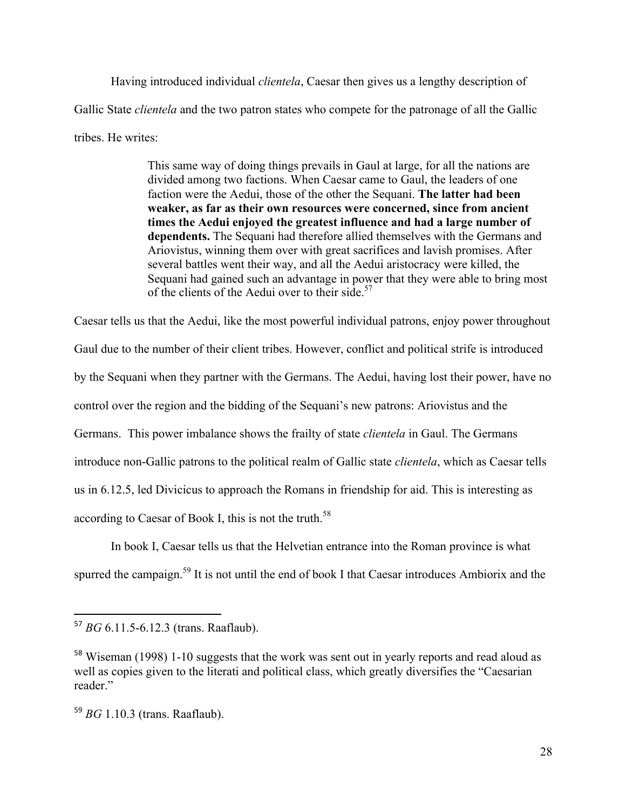Having introduced individual *clientela*, Caesar then gives us a lengthy description of Gallic State *clientela* and the two patron states who compete for the patronage of all the Gallic tribes. He writes:

> This same way of doing things prevails in Gaul at large, for all the nations are divided among two factions. When Caesar came to Gaul, the leaders of one faction were the Aedui, those of the other the Sequani. **The latter had been weaker, as far as their own resources were concerned, since from ancient times the Aedui enjoyed the greatest influence and had a large number of dependents.** The Sequani had therefore allied themselves with the Germans and Ariovistus, winning them over with great sacrifices and lavish promises. After several battles went their way, and all the Aedui aristocracy were killed, the Sequani had gained such an advantage in power that they were able to bring most of the clients of the Aedui over to their side.<sup>57</sup>

Caesar tells us that the Aedui, like the most powerful individual patrons, enjoy power throughout Gaul due to the number of their client tribes. However, conflict and political strife is introduced by the Sequani when they partner with the Germans. The Aedui, having lost their power, have no control over the region and the bidding of the Sequani's new patrons: Ariovistus and the Germans. This power imbalance shows the frailty of state *clientela* in Gaul. The Germans introduce non-Gallic patrons to the political realm of Gallic state *clientela*, which as Caesar tells us in 6.12.5, led Divicicus to approach the Romans in friendship for aid. This is interesting as according to Caesar of Book I, this is not the truth.<sup>58</sup>

In book I, Caesar tells us that the Helvetian entrance into the Roman province is what spurred the campaign.<sup>59</sup> It is not until the end of book I that Caesar introduces Ambiorix and the

<sup>57</sup> *BG* 6.11.5-6.12.3 (trans. Raaflaub).

<sup>&</sup>lt;sup>58</sup> Wiseman (1998) 1-10 suggests that the work was sent out in yearly reports and read aloud as well as copies given to the literati and political class, which greatly diversifies the "Caesarian reader."

<sup>59</sup> *BG* 1.10.3 (trans. Raaflaub).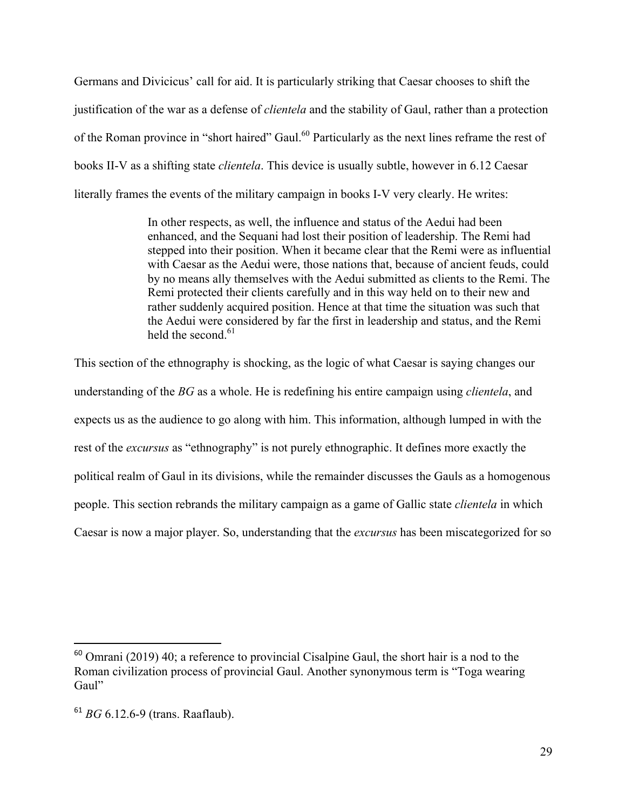Germans and Divicicus' call for aid. It is particularly striking that Caesar chooses to shift the justification of the war as a defense of *clientela* and the stability of Gaul, rather than a protection of the Roman province in "short haired" Gaul.<sup>60</sup> Particularly as the next lines reframe the rest of books II-V as a shifting state *clientela*. This device is usually subtle, however in 6.12 Caesar literally frames the events of the military campaign in books I-V very clearly. He writes:

> In other respects, as well, the influence and status of the Aedui had been enhanced, and the Sequani had lost their position of leadership. The Remi had stepped into their position. When it became clear that the Remi were as influential with Caesar as the Aedui were, those nations that, because of ancient feuds, could by no means ally themselves with the Aedui submitted as clients to the Remi. The Remi protected their clients carefully and in this way held on to their new and rather suddenly acquired position. Hence at that time the situation was such that the Aedui were considered by far the first in leadership and status, and the Remi held the second. $61$

This section of the ethnography is shocking, as the logic of what Caesar is saying changes our understanding of the *BG* as a whole. He is redefining his entire campaign using *clientela*, and expects us as the audience to go along with him. This information, although lumped in with the rest of the *excursus* as "ethnography" is not purely ethnographic. It defines more exactly the political realm of Gaul in its divisions, while the remainder discusses the Gauls as a homogenous people. This section rebrands the military campaign as a game of Gallic state *clientela* in which Caesar is now a major player. So, understanding that the *excursus* has been miscategorized for so

 $60$  Omrani (2019) 40; a reference to provincial Cisalpine Gaul, the short hair is a nod to the Roman civilization process of provincial Gaul. Another synonymous term is "Toga wearing Gaul"

<sup>61</sup> *BG* 6.12.6-9 (trans. Raaflaub).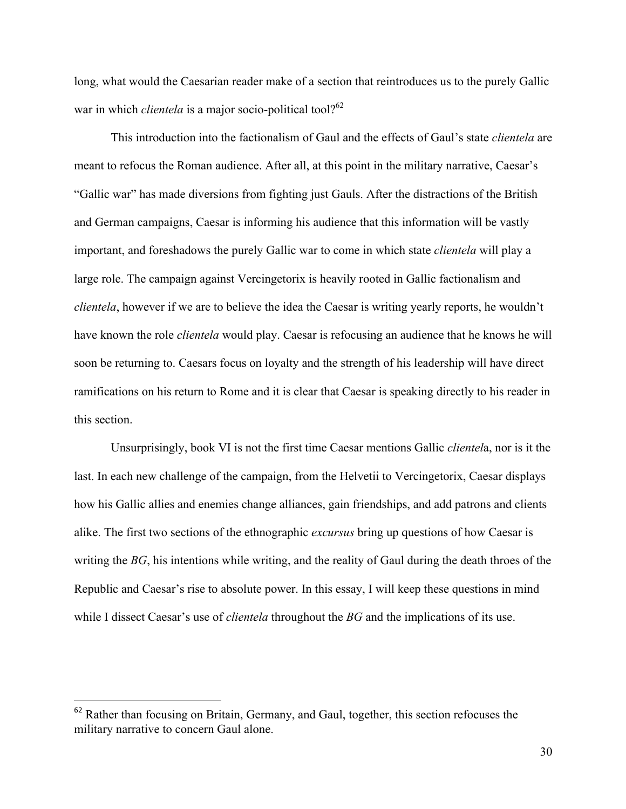long, what would the Caesarian reader make of a section that reintroduces us to the purely Gallic war in which *clientela* is a major socio-political tool?<sup>62</sup>

This introduction into the factionalism of Gaul and the effects of Gaul's state *clientela* are meant to refocus the Roman audience. After all, at this point in the military narrative, Caesar's "Gallic war" has made diversions from fighting just Gauls. After the distractions of the British and German campaigns, Caesar is informing his audience that this information will be vastly important, and foreshadows the purely Gallic war to come in which state *clientela* will play a large role. The campaign against Vercingetorix is heavily rooted in Gallic factionalism and *clientela*, however if we are to believe the idea the Caesar is writing yearly reports, he wouldn't have known the role *clientela* would play. Caesar is refocusing an audience that he knows he will soon be returning to. Caesars focus on loyalty and the strength of his leadership will have direct ramifications on his return to Rome and it is clear that Caesar is speaking directly to his reader in this section.

Unsurprisingly, book VI is not the first time Caesar mentions Gallic *clientel*a, nor is it the last. In each new challenge of the campaign, from the Helvetii to Vercingetorix, Caesar displays how his Gallic allies and enemies change alliances, gain friendships, and add patrons and clients alike. The first two sections of the ethnographic *excursus* bring up questions of how Caesar is writing the *BG*, his intentions while writing, and the reality of Gaul during the death throes of the Republic and Caesar's rise to absolute power. In this essay, I will keep these questions in mind while I dissect Caesar's use of *clientela* throughout the *BG* and the implications of its use.

<sup>&</sup>lt;sup>62</sup> Rather than focusing on Britain, Germany, and Gaul, together, this section refocuses the military narrative to concern Gaul alone.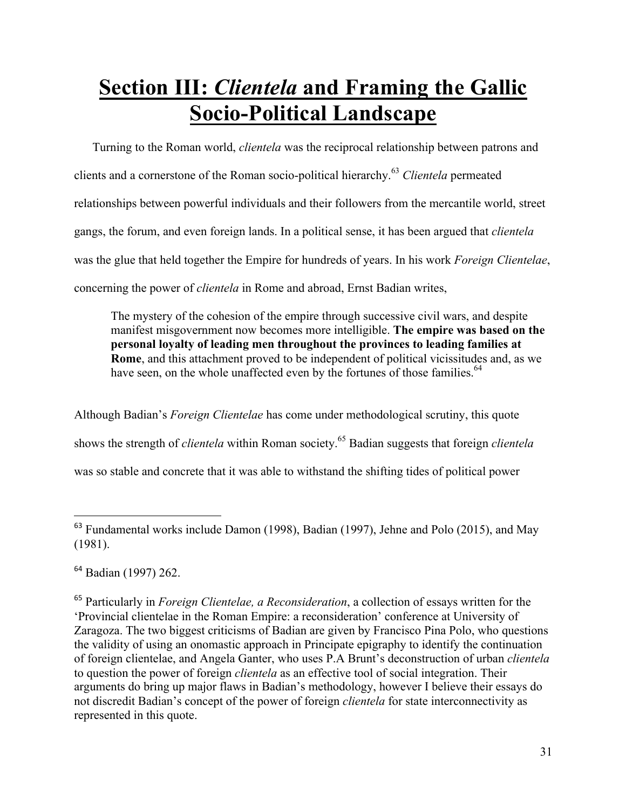# **Section III:** *Clientela* **and Framing the Gallic Socio-Political Landscape**

Turning to the Roman world, *clientela* was the reciprocal relationship between patrons and clients and a cornerstone of the Roman socio-political hierarchy.<sup>63</sup> *Clientela* permeated relationships between powerful individuals and their followers from the mercantile world, street gangs, the forum, and even foreign lands. In a political sense, it has been argued that *clientela* was the glue that held together the Empire for hundreds of years. In his work *Foreign Clientelae*, concerning the power of *clientela* in Rome and abroad, Ernst Badian writes,

The mystery of the cohesion of the empire through successive civil wars, and despite manifest misgovernment now becomes more intelligible. **The empire was based on the personal loyalty of leading men throughout the provinces to leading families at Rome**, and this attachment proved to be independent of political vicissitudes and, as we have seen, on the whole unaffected even by the fortunes of those families.<sup>64</sup>

Although Badian's *Foreign Clientelae* has come under methodological scrutiny, this quote shows the strength of *clientela* within Roman society.<sup>65</sup> Badian suggests that foreign *clientela* was so stable and concrete that it was able to withstand the shifting tides of political power

<sup>64</sup> Badian (1997) 262.

 

<sup>65</sup> Particularly in *Foreign Clientelae, a Reconsideration*, a collection of essays written for the 'Provincial clientelae in the Roman Empire: a reconsideration' conference at University of Zaragoza. The two biggest criticisms of Badian are given by Francisco Pina Polo, who questions the validity of using an onomastic approach in Principate epigraphy to identify the continuation of foreign clientelae, and Angela Ganter, who uses P.A Brunt's deconstruction of urban *clientela* to question the power of foreign *clientela* as an effective tool of social integration. Their arguments do bring up major flaws in Badian's methodology, however I believe their essays do not discredit Badian's concept of the power of foreign *clientela* for state interconnectivity as represented in this quote.

<sup>&</sup>lt;sup>63</sup> Fundamental works include Damon (1998), Badian (1997), Jehne and Polo (2015), and May (1981).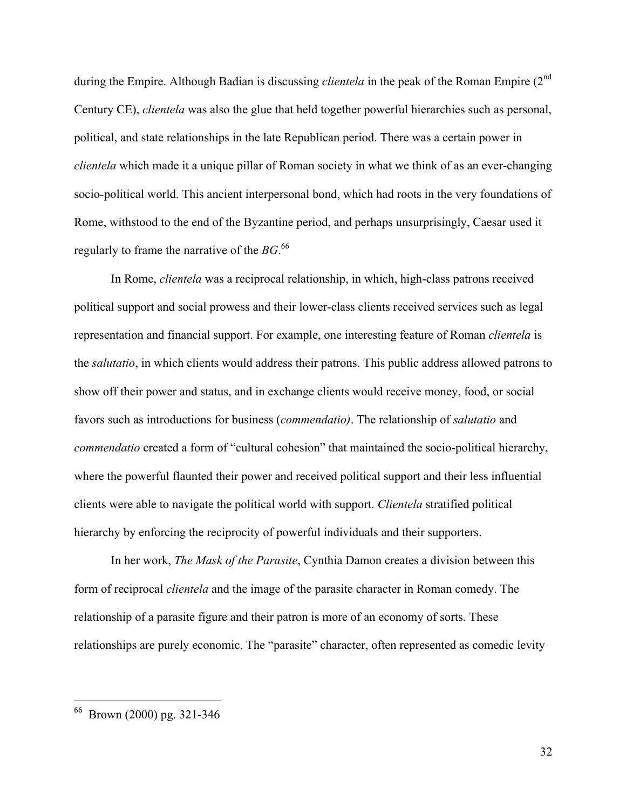during the Empire. Although Badian is discussing *clientela* in the peak of the Roman Empire (2<sup>nd</sup>) Century CE), *clientela* was also the glue that held together powerful hierarchies such as personal, political, and state relationships in the late Republican period. There was a certain power in *clientela* which made it a unique pillar of Roman society in what we think of as an ever-changing socio-political world. This ancient interpersonal bond, which had roots in the very foundations of Rome, withstood to the end of the Byzantine period, and perhaps unsurprisingly, Caesar used it regularly to frame the narrative of the *BG*. 66

In Rome, *clientela* was a reciprocal relationship, in which, high-class patrons received political support and social prowess and their lower-class clients received services such as legal representation and financial support. For example, one interesting feature of Roman *clientela* is the *salutatio*, in which clients would address their patrons. This public address allowed patrons to show off their power and status, and in exchange clients would receive money, food, or social favors such as introductions for business (*commendatio)*. The relationship of *salutatio* and *commendatio* created a form of "cultural cohesion" that maintained the socio-political hierarchy, where the powerful flaunted their power and received political support and their less influential clients were able to navigate the political world with support. *Clientela* stratified political hierarchy by enforcing the reciprocity of powerful individuals and their supporters.

In her work, *The Mask of the Parasite*, Cynthia Damon creates a division between this form of reciprocal *clientela* and the image of the parasite character in Roman comedy. The relationship of a parasite figure and their patron is more of an economy of sorts. These relationships are purely economic. The "parasite" character, often represented as comedic levity

 <sup>66</sup> Brown (2000) pg. 321-346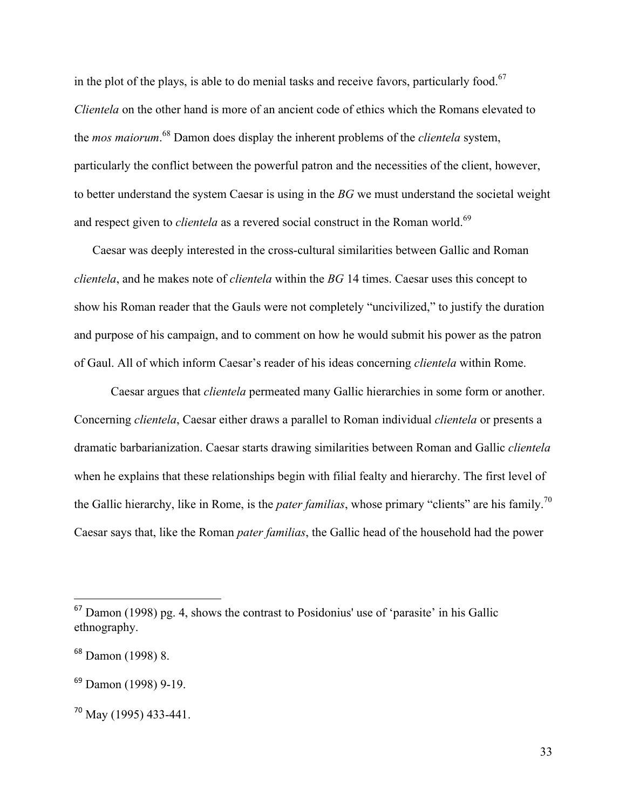in the plot of the plays, is able to do menial tasks and receive favors, particularly food.<sup>67</sup> *Clientela* on the other hand is more of an ancient code of ethics which the Romans elevated to the *mos maiorum*. <sup>68</sup> Damon does display the inherent problems of the *clientela* system, particularly the conflict between the powerful patron and the necessities of the client, however, to better understand the system Caesar is using in the *BG* we must understand the societal weight and respect given to *clientela* as a revered social construct in the Roman world.<sup>69</sup>

Caesar was deeply interested in the cross-cultural similarities between Gallic and Roman *clientela*, and he makes note of *clientela* within the *BG* 14 times. Caesar uses this concept to show his Roman reader that the Gauls were not completely "uncivilized," to justify the duration and purpose of his campaign, and to comment on how he would submit his power as the patron of Gaul. All of which inform Caesar's reader of his ideas concerning *clientela* within Rome.

Caesar argues that *clientela* permeated many Gallic hierarchies in some form or another. Concerning *clientela*, Caesar either draws a parallel to Roman individual *clientela* or presents a dramatic barbarianization. Caesar starts drawing similarities between Roman and Gallic *clientela* when he explains that these relationships begin with filial fealty and hierarchy. The first level of the Gallic hierarchy, like in Rome, is the *pater familias*, whose primary "clients" are his family.<sup>70</sup> Caesar says that, like the Roman *pater familias*, the Gallic head of the household had the power

 $67$  Damon (1998) pg. 4, shows the contrast to Posidonius' use of 'parasite' in his Gallic ethnography.

<sup>68</sup> Damon (1998) 8.

<sup>69</sup> Damon (1998) 9-19.

<sup>70</sup> May (1995) 433-441.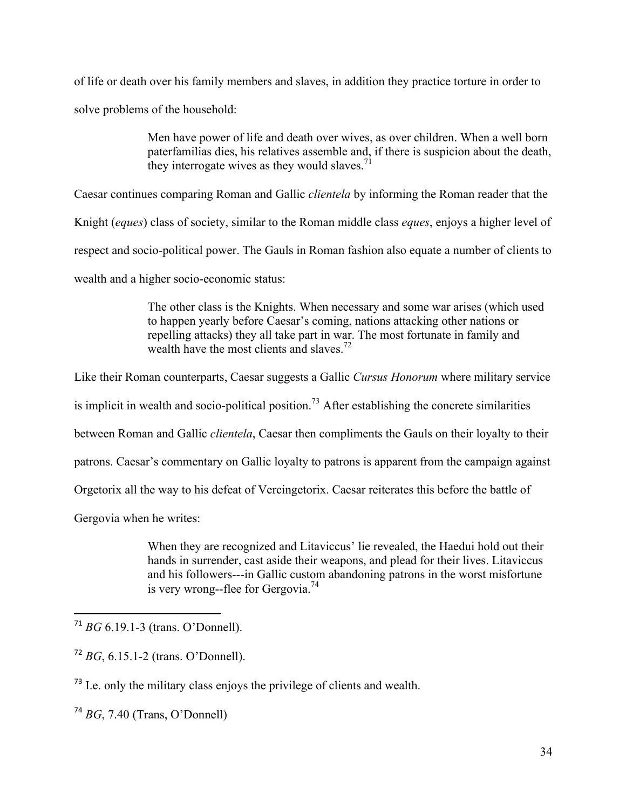of life or death over his family members and slaves, in addition they practice torture in order to solve problems of the household:

> Men have power of life and death over wives, as over children. When a well born paterfamilias dies, his relatives assemble and, if there is suspicion about the death, they interrogate wives as they would slaves.<sup>71</sup>

Caesar continues comparing Roman and Gallic *clientela* by informing the Roman reader that the

Knight (*eques*) class of society, similar to the Roman middle class *eques*, enjoys a higher level of

respect and socio-political power. The Gauls in Roman fashion also equate a number of clients to

wealth and a higher socio-economic status:

The other class is the Knights. When necessary and some war arises (which used to happen yearly before Caesar's coming, nations attacking other nations or repelling attacks) they all take part in war. The most fortunate in family and wealth have the most clients and slaves.<sup>72</sup>

Like their Roman counterparts, Caesar suggests a Gallic *Cursus Honorum* where military service

is implicit in wealth and socio-political position.<sup>73</sup> After establishing the concrete similarities

between Roman and Gallic *clientela*, Caesar then compliments the Gauls on their loyalty to their

patrons. Caesar's commentary on Gallic loyalty to patrons is apparent from the campaign against

Orgetorix all the way to his defeat of Vercingetorix. Caesar reiterates this before the battle of

Gergovia when he writes:

When they are recognized and Litaviccus' lie revealed, the Haedui hold out their hands in surrender, cast aside their weapons, and plead for their lives. Litaviccus and his followers---in Gallic custom abandoning patrons in the worst misfortune is very wrong--flee for Gergovia.<sup>74</sup>

 

<sup>73</sup> I.e. only the military class enjoys the privilege of clients and wealth.

<sup>74</sup> *BG*, 7.40 (Trans, O'Donnell)

<sup>71</sup> *BG* 6.19.1-3 (trans. O'Donnell).

<sup>72</sup> *BG*, 6.15.1-2 (trans. O'Donnell).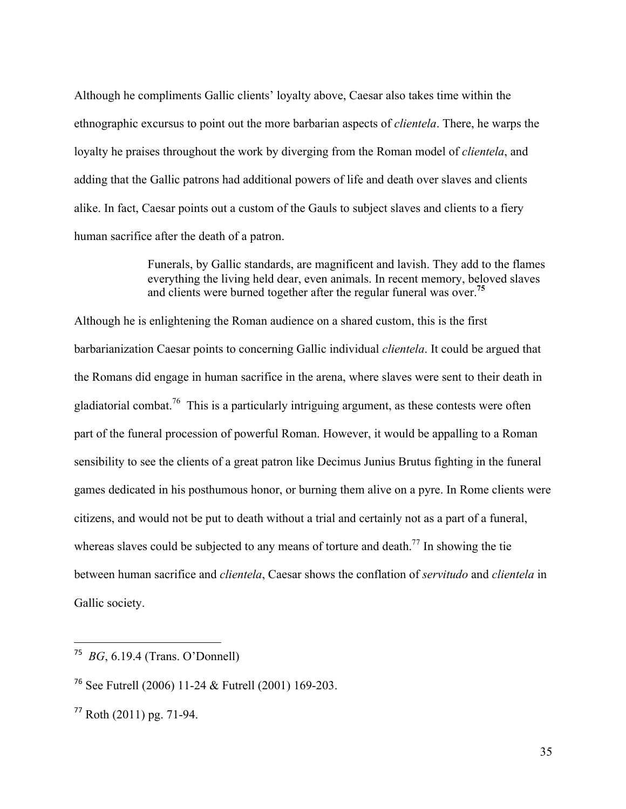Although he compliments Gallic clients' loyalty above, Caesar also takes time within the ethnographic excursus to point out the more barbarian aspects of *clientela*. There, he warps the loyalty he praises throughout the work by diverging from the Roman model of *clientela*, and adding that the Gallic patrons had additional powers of life and death over slaves and clients alike. In fact, Caesar points out a custom of the Gauls to subject slaves and clients to a fiery human sacrifice after the death of a patron.

> Funerals, by Gallic standards, are magnificent and lavish. They add to the flames everything the living held dear, even animals. In recent memory, beloved slaves and clients were burned together after the regular funeral was over.**<sup>75</sup>**

Although he is enlightening the Roman audience on a shared custom, this is the first barbarianization Caesar points to concerning Gallic individual *clientela*. It could be argued that the Romans did engage in human sacrifice in the arena, where slaves were sent to their death in gladiatorial combat.<sup>76</sup> This is a particularly intriguing argument, as these contests were often part of the funeral procession of powerful Roman. However, it would be appalling to a Roman sensibility to see the clients of a great patron like Decimus Junius Brutus fighting in the funeral games dedicated in his posthumous honor, or burning them alive on a pyre. In Rome clients were citizens, and would not be put to death without a trial and certainly not as a part of a funeral, whereas slaves could be subjected to any means of torture and death.<sup>77</sup> In showing the tie between human sacrifice and *clientela*, Caesar shows the conflation of *servitudo* and *clientela* in Gallic society.

<sup>75</sup> *BG*, 6.19.4 (Trans. O'Donnell)

<sup>76</sup> See Futrell (2006) 11-24 & Futrell (2001) 169-203.

 $77$  Roth (2011) pg. 71-94.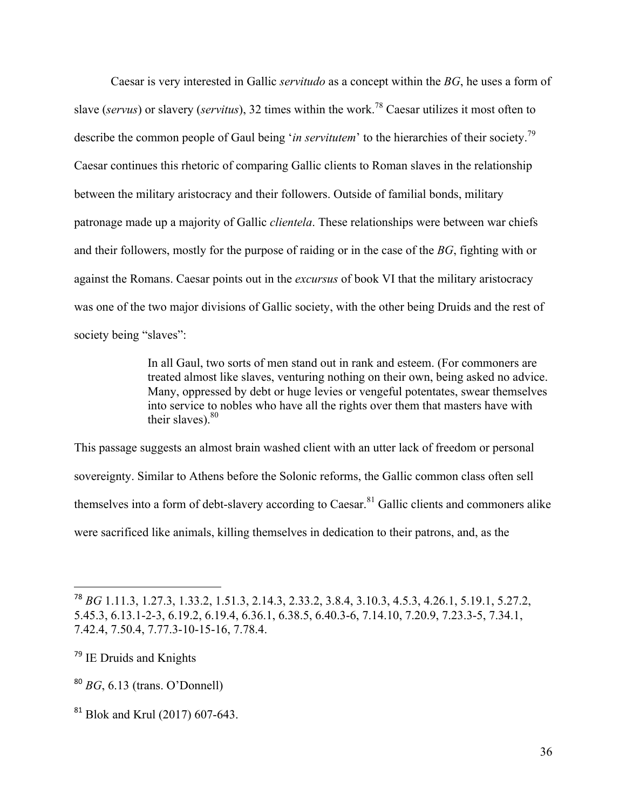Caesar is very interested in Gallic *servitudo* as a concept within the *BG*, he uses a form of slave (*servus*) or slavery (*servitus*), 32 times within the work.78 Caesar utilizes it most often to describe the common people of Gaul being *'in servitutem'* to the hierarchies of their society.<sup>79</sup> Caesar continues this rhetoric of comparing Gallic clients to Roman slaves in the relationship between the military aristocracy and their followers. Outside of familial bonds, military patronage made up a majority of Gallic *clientela*. These relationships were between war chiefs and their followers, mostly for the purpose of raiding or in the case of the *BG*, fighting with or against the Romans. Caesar points out in the *excursus* of book VI that the military aristocracy was one of the two major divisions of Gallic society, with the other being Druids and the rest of society being "slaves":

> In all Gaul, two sorts of men stand out in rank and esteem. (For commoners are treated almost like slaves, venturing nothing on their own, being asked no advice. Many, oppressed by debt or huge levies or vengeful potentates, swear themselves into service to nobles who have all the rights over them that masters have with their slaves). $80$

This passage suggests an almost brain washed client with an utter lack of freedom or personal sovereignty. Similar to Athens before the Solonic reforms, the Gallic common class often sell themselves into a form of debt-slavery according to Caesar.<sup>81</sup> Gallic clients and commoners alike were sacrificed like animals, killing themselves in dedication to their patrons, and, as the

<sup>78</sup> *BG* 1.11.3, 1.27.3, 1.33.2, 1.51.3, 2.14.3, 2.33.2, 3.8.4, 3.10.3, 4.5.3, 4.26.1, 5.19.1, 5.27.2, 5.45.3, 6.13.1-2-3, 6.19.2, 6.19.4, 6.36.1, 6.38.5, 6.40.3-6, 7.14.10, 7.20.9, 7.23.3-5, 7.34.1, 7.42.4, 7.50.4, 7.77.3-10-15-16, 7.78.4.

<sup>&</sup>lt;sup>79</sup> IE Druids and Knights

<sup>80</sup> *BG*, 6.13 (trans. O'Donnell)

<sup>&</sup>lt;sup>81</sup> Blok and Krul (2017) 607-643.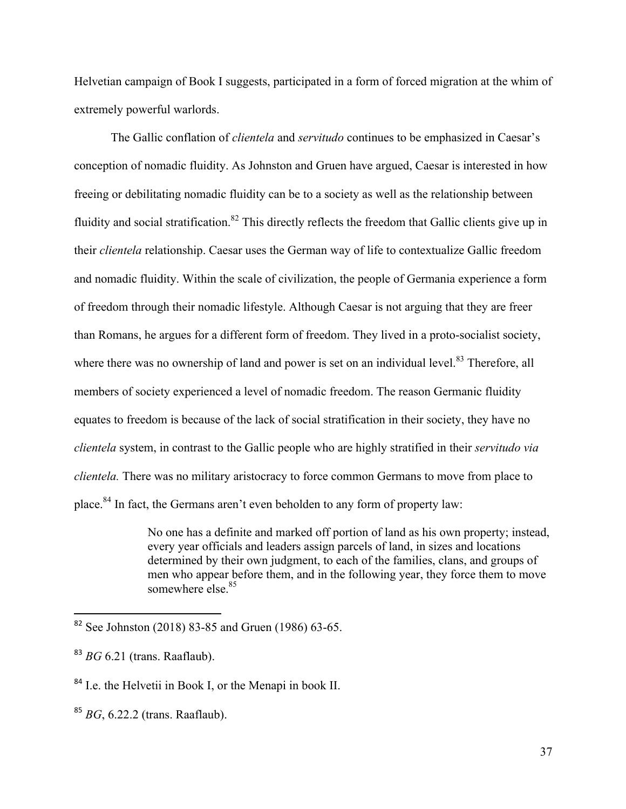Helvetian campaign of Book I suggests, participated in a form of forced migration at the whim of extremely powerful warlords.

The Gallic conflation of *clientela* and *servitudo* continues to be emphasized in Caesar's conception of nomadic fluidity. As Johnston and Gruen have argued, Caesar is interested in how freeing or debilitating nomadic fluidity can be to a society as well as the relationship between fluidity and social stratification.<sup>82</sup> This directly reflects the freedom that Gallic clients give up in their *clientela* relationship. Caesar uses the German way of life to contextualize Gallic freedom and nomadic fluidity. Within the scale of civilization, the people of Germania experience a form of freedom through their nomadic lifestyle. Although Caesar is not arguing that they are freer than Romans, he argues for a different form of freedom. They lived in a proto-socialist society, where there was no ownership of land and power is set on an individual level.<sup>83</sup> Therefore, all members of society experienced a level of nomadic freedom. The reason Germanic fluidity equates to freedom is because of the lack of social stratification in their society, they have no *clientela* system, in contrast to the Gallic people who are highly stratified in their *servitudo via clientela.* There was no military aristocracy to force common Germans to move from place to place.<sup>84</sup> In fact, the Germans aren't even beholden to any form of property law:

> No one has a definite and marked off portion of land as his own property; instead, every year officials and leaders assign parcels of land, in sizes and locations determined by their own judgment, to each of the families, clans, and groups of men who appear before them, and in the following year, they force them to move somewhere else.<sup>85</sup>

 $82$  See Johnston (2018) 83-85 and Gruen (1986) 63-65.

<sup>83</sup> *BG* 6.21 (trans. Raaflaub).

<sup>84</sup> I.e. the Helvetii in Book I, or the Menapi in book II.

<sup>85</sup> *BG*, 6.22.2 (trans. Raaflaub).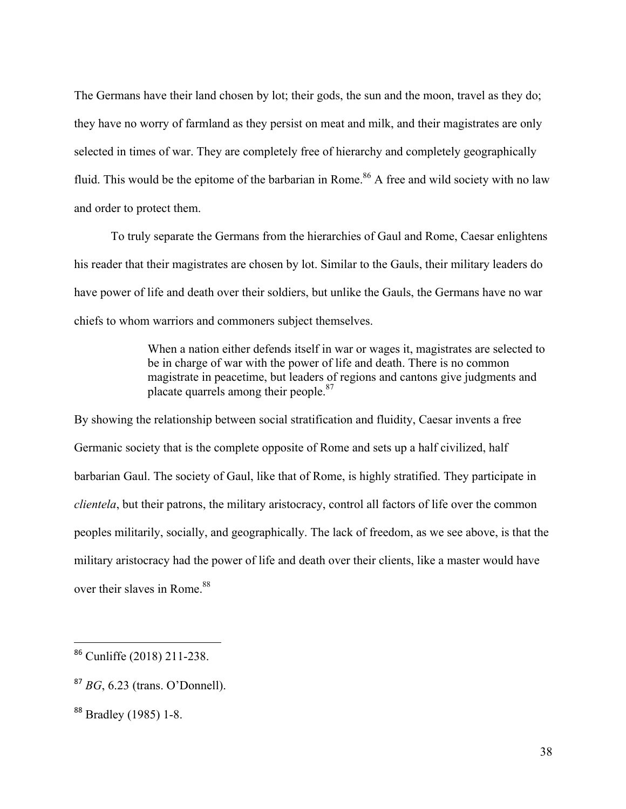The Germans have their land chosen by lot; their gods, the sun and the moon, travel as they do; they have no worry of farmland as they persist on meat and milk, and their magistrates are only selected in times of war. They are completely free of hierarchy and completely geographically fluid. This would be the epitome of the barbarian in Rome.<sup>86</sup> A free and wild society with no law and order to protect them.

To truly separate the Germans from the hierarchies of Gaul and Rome, Caesar enlightens his reader that their magistrates are chosen by lot. Similar to the Gauls, their military leaders do have power of life and death over their soldiers, but unlike the Gauls, the Germans have no war chiefs to whom warriors and commoners subject themselves.

> When a nation either defends itself in war or wages it, magistrates are selected to be in charge of war with the power of life and death. There is no common magistrate in peacetime, but leaders of regions and cantons give judgments and placate quarrels among their people.<sup>87</sup>

By showing the relationship between social stratification and fluidity, Caesar invents a free Germanic society that is the complete opposite of Rome and sets up a half civilized, half barbarian Gaul. The society of Gaul, like that of Rome, is highly stratified. They participate in *clientela*, but their patrons, the military aristocracy, control all factors of life over the common peoples militarily, socially, and geographically. The lack of freedom, as we see above, is that the military aristocracy had the power of life and death over their clients, like a master would have over their slaves in Rome.<sup>88</sup>

<sup>86</sup> Cunliffe (2018) 211-238.

<sup>87</sup> *BG*, 6.23 (trans. O'Donnell).

<sup>88</sup> Bradley (1985) 1-8.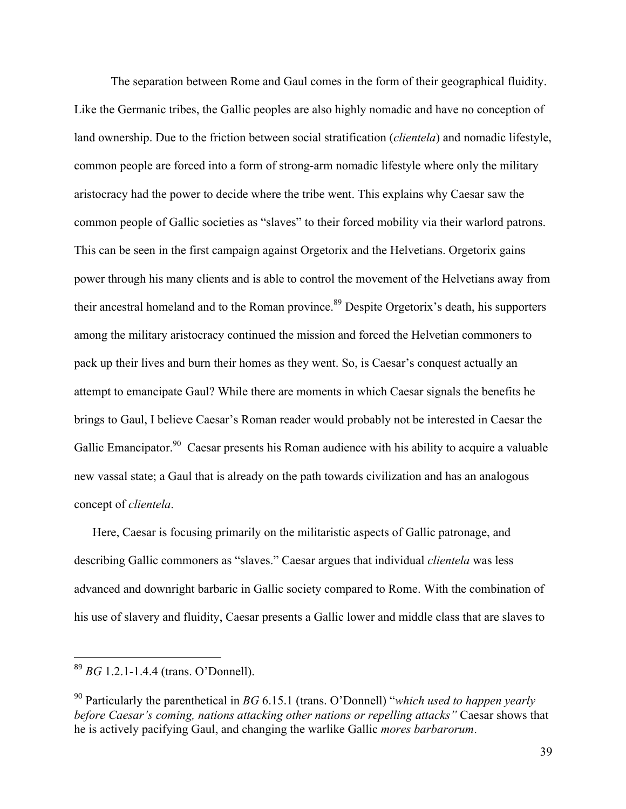The separation between Rome and Gaul comes in the form of their geographical fluidity. Like the Germanic tribes, the Gallic peoples are also highly nomadic and have no conception of land ownership. Due to the friction between social stratification (*clientela*) and nomadic lifestyle, common people are forced into a form of strong-arm nomadic lifestyle where only the military aristocracy had the power to decide where the tribe went. This explains why Caesar saw the common people of Gallic societies as "slaves" to their forced mobility via their warlord patrons. This can be seen in the first campaign against Orgetorix and the Helvetians. Orgetorix gains power through his many clients and is able to control the movement of the Helvetians away from their ancestral homeland and to the Roman province.<sup>89</sup> Despite Orgetorix's death, his supporters among the military aristocracy continued the mission and forced the Helvetian commoners to pack up their lives and burn their homes as they went. So, is Caesar's conquest actually an attempt to emancipate Gaul? While there are moments in which Caesar signals the benefits he brings to Gaul, I believe Caesar's Roman reader would probably not be interested in Caesar the Gallic Emancipator.<sup>90</sup> Caesar presents his Roman audience with his ability to acquire a valuable new vassal state; a Gaul that is already on the path towards civilization and has an analogous concept of *clientela*.

Here, Caesar is focusing primarily on the militaristic aspects of Gallic patronage, and describing Gallic commoners as "slaves." Caesar argues that individual *clientela* was less advanced and downright barbaric in Gallic society compared to Rome. With the combination of his use of slavery and fluidity, Caesar presents a Gallic lower and middle class that are slaves to

<sup>89</sup> *BG* 1.2.1-1.4.4 (trans. O'Donnell).

<sup>90</sup> Particularly the parenthetical in *BG* 6.15.1 (trans. O'Donnell) "*which used to happen yearly before Caesar's coming, nations attacking other nations or repelling attacks"* Caesar shows that he is actively pacifying Gaul, and changing the warlike Gallic *mores barbarorum*.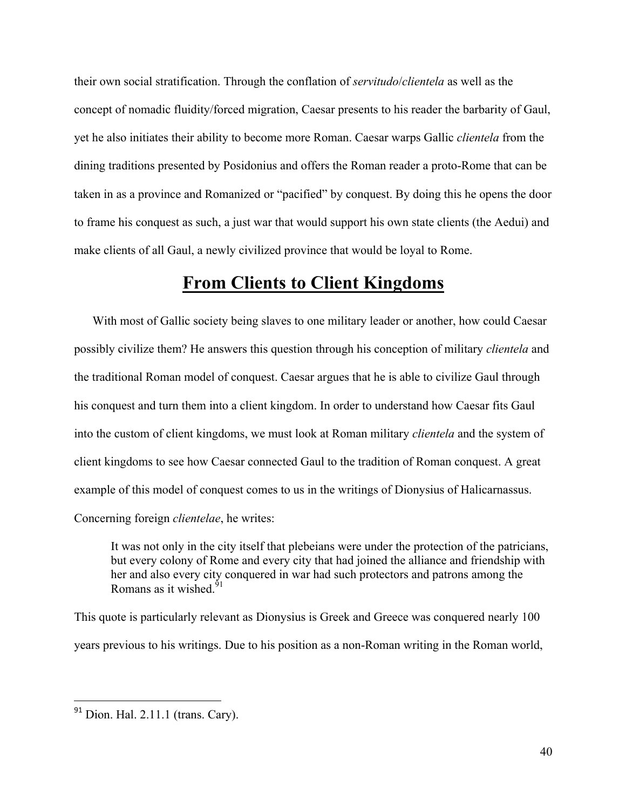their own social stratification. Through the conflation of *servitudo*/*clientela* as well as the concept of nomadic fluidity/forced migration, Caesar presents to his reader the barbarity of Gaul, yet he also initiates their ability to become more Roman. Caesar warps Gallic *clientela* from the dining traditions presented by Posidonius and offers the Roman reader a proto-Rome that can be taken in as a province and Romanized or "pacified" by conquest. By doing this he opens the door to frame his conquest as such, a just war that would support his own state clients (the Aedui) and make clients of all Gaul, a newly civilized province that would be loyal to Rome.

### **From Clients to Client Kingdoms**

With most of Gallic society being slaves to one military leader or another, how could Caesar possibly civilize them? He answers this question through his conception of military *clientela* and the traditional Roman model of conquest. Caesar argues that he is able to civilize Gaul through his conquest and turn them into a client kingdom. In order to understand how Caesar fits Gaul into the custom of client kingdoms, we must look at Roman military *clientela* and the system of client kingdoms to see how Caesar connected Gaul to the tradition of Roman conquest. A great example of this model of conquest comes to us in the writings of Dionysius of Halicarnassus. Concerning foreign *clientelae*, he writes:

It was not only in the city itself that plebeians were under the protection of the patricians, but every colony of Rome and every city that had joined the alliance and friendship with her and also every city conquered in war had such protectors and patrons among the Romans as it wished  $91$ 

This quote is particularly relevant as Dionysius is Greek and Greece was conquered nearly 100 years previous to his writings. Due to his position as a non-Roman writing in the Roman world,

 $91$  Dion. Hal. 2.11.1 (trans. Cary).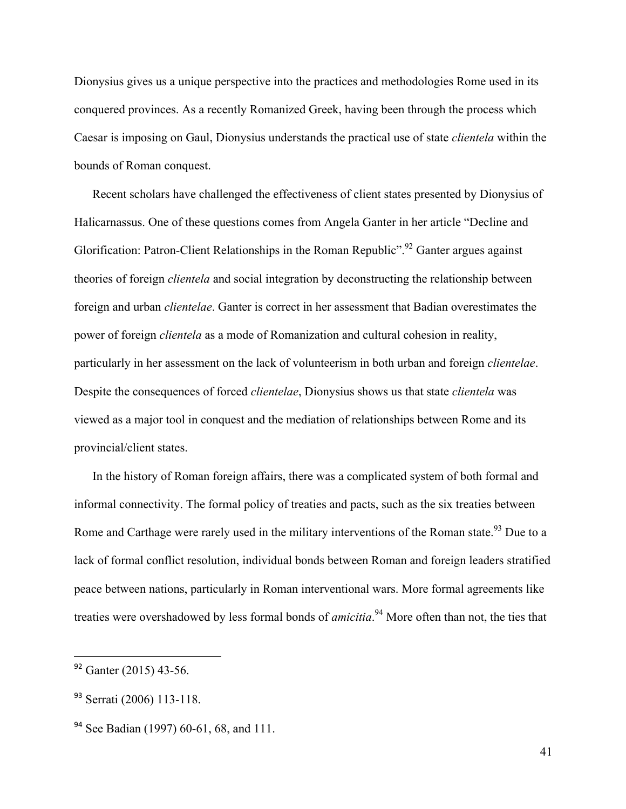Dionysius gives us a unique perspective into the practices and methodologies Rome used in its conquered provinces. As a recently Romanized Greek, having been through the process which Caesar is imposing on Gaul, Dionysius understands the practical use of state *clientela* within the bounds of Roman conquest.

Recent scholars have challenged the effectiveness of client states presented by Dionysius of Halicarnassus. One of these questions comes from Angela Ganter in her article "Decline and Glorification: Patron-Client Relationships in the Roman Republic".<sup>92</sup> Ganter argues against theories of foreign *clientela* and social integration by deconstructing the relationship between foreign and urban *clientelae*. Ganter is correct in her assessment that Badian overestimates the power of foreign *clientela* as a mode of Romanization and cultural cohesion in reality, particularly in her assessment on the lack of volunteerism in both urban and foreign *clientelae*. Despite the consequences of forced *clientelae*, Dionysius shows us that state *clientela* was viewed as a major tool in conquest and the mediation of relationships between Rome and its provincial/client states.

In the history of Roman foreign affairs, there was a complicated system of both formal and informal connectivity. The formal policy of treaties and pacts, such as the six treaties between Rome and Carthage were rarely used in the military interventions of the Roman state.<sup>93</sup> Due to a lack of formal conflict resolution, individual bonds between Roman and foreign leaders stratified peace between nations, particularly in Roman interventional wars. More formal agreements like treaties were overshadowed by less formal bonds of *amicitia*. <sup>94</sup> More often than not, the ties that

 $92$  Ganter (2015) 43-56.

<sup>93</sup> Serrati (2006) 113-118.

<sup>&</sup>lt;sup>94</sup> See Badian (1997) 60-61, 68, and 111.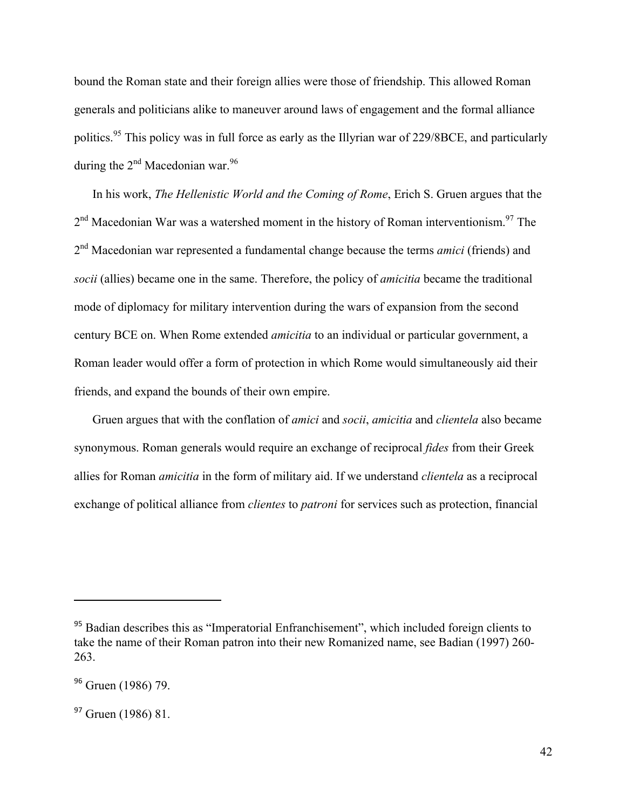bound the Roman state and their foreign allies were those of friendship. This allowed Roman generals and politicians alike to maneuver around laws of engagement and the formal alliance politics.<sup>95</sup> This policy was in full force as early as the Illyrian war of 229/8BCE, and particularly during the  $2<sup>nd</sup>$  Macedonian war.<sup>96</sup>

In his work, *The Hellenistic World and the Coming of Rome*, Erich S. Gruen argues that the  $2<sup>nd</sup> Macedonian War was a watershed moment in the history of Roman interventionism.<sup>97</sup> The$ 2nd Macedonian war represented a fundamental change because the terms *amici* (friends) and *socii* (allies) became one in the same. Therefore, the policy of *amicitia* became the traditional mode of diplomacy for military intervention during the wars of expansion from the second century BCE on. When Rome extended *amicitia* to an individual or particular government, a Roman leader would offer a form of protection in which Rome would simultaneously aid their friends, and expand the bounds of their own empire.

Gruen argues that with the conflation of *amici* and *socii*, *amicitia* and *clientela* also became synonymous. Roman generals would require an exchange of reciprocal *fides* from their Greek allies for Roman *amicitia* in the form of military aid. If we understand *clientela* as a reciprocal exchange of political alliance from *clientes* to *patroni* for services such as protection, financial

<sup>&</sup>lt;sup>95</sup> Badian describes this as "Imperatorial Enfranchisement", which included foreign clients to take the name of their Roman patron into their new Romanized name, see Badian (1997) 260- 263.

<sup>&</sup>lt;sup>96</sup> Gruen (1986) 79.

<sup>&</sup>lt;sup>97</sup> Gruen (1986) 81.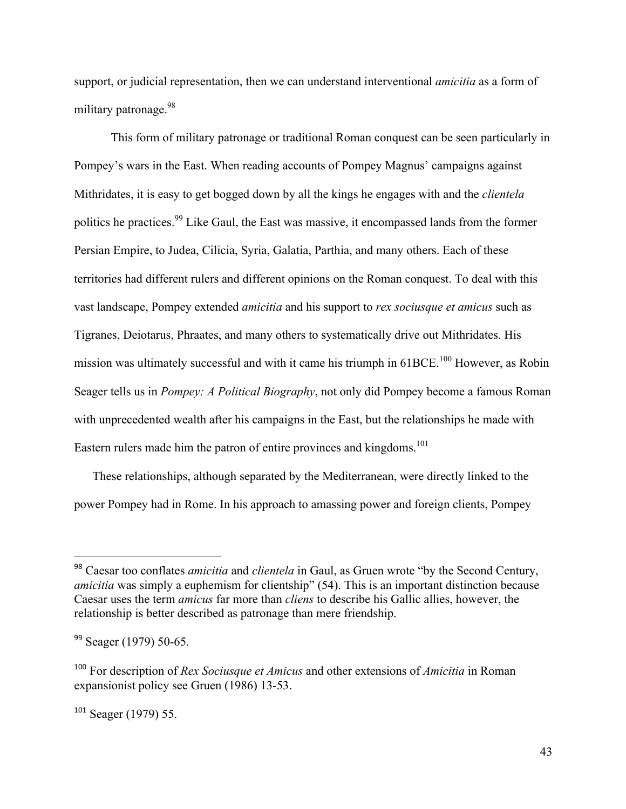support, or judicial representation, then we can understand interventional *amicitia* as a form of military patronage.<sup>98</sup>

This form of military patronage or traditional Roman conquest can be seen particularly in Pompey's wars in the East. When reading accounts of Pompey Magnus' campaigns against Mithridates, it is easy to get bogged down by all the kings he engages with and the *clientela* politics he practices.<sup>99</sup> Like Gaul, the East was massive, it encompassed lands from the former Persian Empire, to Judea, Cilicia, Syria, Galatia, Parthia, and many others. Each of these territories had different rulers and different opinions on the Roman conquest. To deal with this vast landscape, Pompey extended *amicitia* and his support to *rex sociusque et amicus* such as Tigranes, Deiotarus, Phraates, and many others to systematically drive out Mithridates. His mission was ultimately successful and with it came his triumph in 61BCE.<sup>100</sup> However, as Robin Seager tells us in *Pompey: A Political Biography*, not only did Pompey become a famous Roman with unprecedented wealth after his campaigns in the East, but the relationships he made with Eastern rulers made him the patron of entire provinces and kingdoms.<sup>101</sup>

These relationships, although separated by the Mediterranean, were directly linked to the power Pompey had in Rome. In his approach to amassing power and foreign clients, Pompey

<sup>98</sup> Caesar too conflates *amicitia* and *clientela* in Gaul, as Gruen wrote "by the Second Century, *amicitia* was simply a euphemism for clientship" (54). This is an important distinction because Caesar uses the term *amicus* far more than *cliens* to describe his Gallic allies, however, the relationship is better described as patronage than mere friendship.

<sup>99</sup> Seager (1979) 50-65.

<sup>100</sup> For description of *Rex Sociusque et Amicus* and other extensions of *Amicitia* in Roman expansionist policy see Gruen (1986) 13-53.

<sup>101</sup> Seager (1979) 55.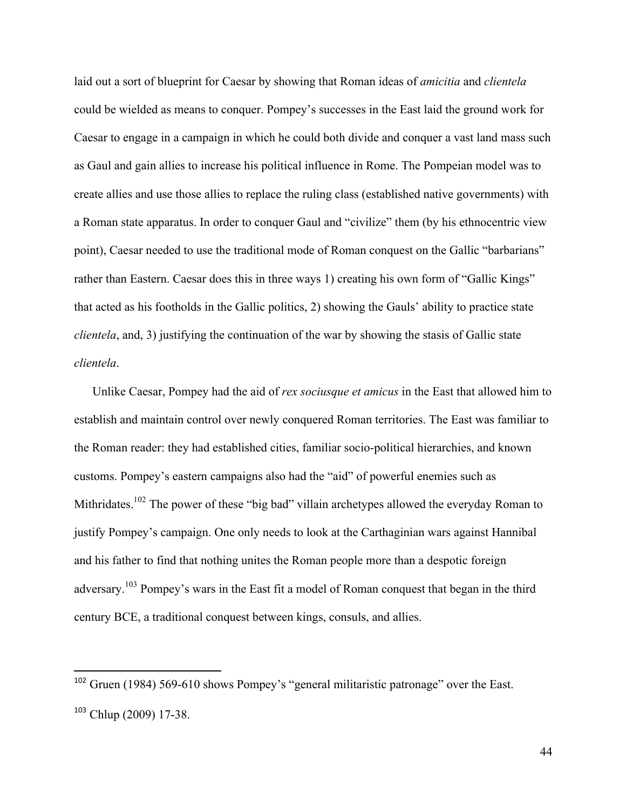laid out a sort of blueprint for Caesar by showing that Roman ideas of *amicitia* and *clientela* could be wielded as means to conquer. Pompey's successes in the East laid the ground work for Caesar to engage in a campaign in which he could both divide and conquer a vast land mass such as Gaul and gain allies to increase his political influence in Rome. The Pompeian model was to create allies and use those allies to replace the ruling class (established native governments) with a Roman state apparatus. In order to conquer Gaul and "civilize" them (by his ethnocentric view point), Caesar needed to use the traditional mode of Roman conquest on the Gallic "barbarians" rather than Eastern. Caesar does this in three ways 1) creating his own form of "Gallic Kings" that acted as his footholds in the Gallic politics, 2) showing the Gauls' ability to practice state *clientela*, and, 3) justifying the continuation of the war by showing the stasis of Gallic state *clientela*.

Unlike Caesar, Pompey had the aid of *rex sociusque et amicus* in the East that allowed him to establish and maintain control over newly conquered Roman territories. The East was familiar to the Roman reader: they had established cities, familiar socio-political hierarchies, and known customs. Pompey's eastern campaigns also had the "aid" of powerful enemies such as Mithridates.<sup>102</sup> The power of these "big bad" villain archetypes allowed the everyday Roman to justify Pompey's campaign. One only needs to look at the Carthaginian wars against Hannibal and his father to find that nothing unites the Roman people more than a despotic foreign adversary.<sup>103</sup> Pompey's wars in the East fit a model of Roman conquest that began in the third century BCE, a traditional conquest between kings, consuls, and allies.

<sup>&</sup>lt;sup>102</sup> Gruen (1984) 569-610 shows Pompey's "general militaristic patronage" over the East. <sup>103</sup> Chlup (2009) 17-38.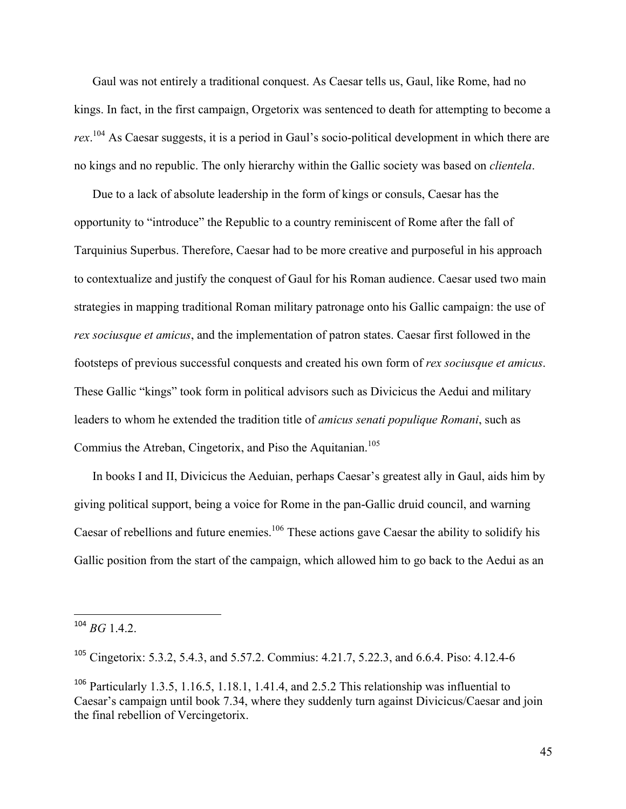Gaul was not entirely a traditional conquest. As Caesar tells us, Gaul, like Rome, had no kings. In fact, in the first campaign, Orgetorix was sentenced to death for attempting to become a *rex*. <sup>104</sup> As Caesar suggests, it is a period in Gaul's socio-political development in which there are no kings and no republic. The only hierarchy within the Gallic society was based on *clientela*.

Due to a lack of absolute leadership in the form of kings or consuls, Caesar has the opportunity to "introduce" the Republic to a country reminiscent of Rome after the fall of Tarquinius Superbus. Therefore, Caesar had to be more creative and purposeful in his approach to contextualize and justify the conquest of Gaul for his Roman audience. Caesar used two main strategies in mapping traditional Roman military patronage onto his Gallic campaign: the use of *rex sociusque et amicus*, and the implementation of patron states. Caesar first followed in the footsteps of previous successful conquests and created his own form of *rex sociusque et amicus*. These Gallic "kings" took form in political advisors such as Divicicus the Aedui and military leaders to whom he extended the tradition title of *amicus senati populique Romani*, such as Commius the Atreban, Cingetorix, and Piso the Aquitanian.<sup>105</sup>

In books I and II, Divicicus the Aeduian, perhaps Caesar's greatest ally in Gaul, aids him by giving political support, being a voice for Rome in the pan-Gallic druid council, and warning Caesar of rebellions and future enemies.<sup>106</sup> These actions gave Caesar the ability to solidify his Gallic position from the start of the campaign, which allowed him to go back to the Aedui as an

 $104 \, BG$  1.4.2.

<sup>&</sup>lt;sup>105</sup> Cingetorix: 5.3.2, 5.4.3, and 5.57.2. Commius: 4.21.7, 5.22.3, and 6.6.4. Piso: 4.12.4-6

<sup>&</sup>lt;sup>106</sup> Particularly 1.3.5, 1.16.5, 1.18.1, 1.41.4, and 2.5.2 This relationship was influential to Caesar's campaign until book 7.34, where they suddenly turn against Divicicus/Caesar and join the final rebellion of Vercingetorix.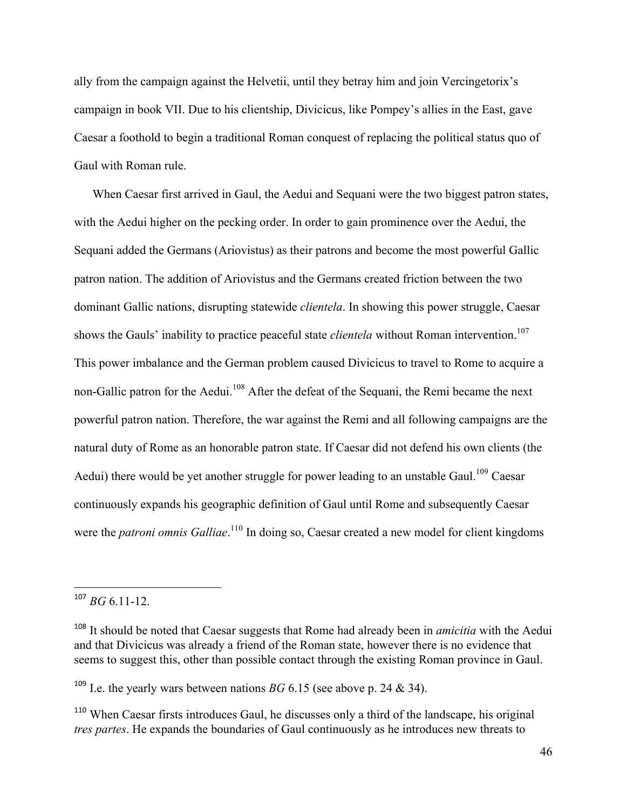ally from the campaign against the Helvetii, until they betray him and join Vercingetorix's campaign in book VII. Due to his clientship, Divicicus, like Pompey's allies in the East, gave Caesar a foothold to begin a traditional Roman conquest of replacing the political status quo of Gaul with Roman rule.

When Caesar first arrived in Gaul, the Aedui and Sequani were the two biggest patron states, with the Aedui higher on the pecking order. In order to gain prominence over the Aedui, the Sequani added the Germans (Ariovistus) as their patrons and become the most powerful Gallic patron nation. The addition of Ariovistus and the Germans created friction between the two dominant Gallic nations, disrupting statewide *clientela*. In showing this power struggle, Caesar shows the Gauls' inability to practice peaceful state *clientela* without Roman intervention.<sup>107</sup> This power imbalance and the German problem caused Divicicus to travel to Rome to acquire a non-Gallic patron for the Aedui.<sup>108</sup> After the defeat of the Sequani, the Remi became the next powerful patron nation. Therefore, the war against the Remi and all following campaigns are the natural duty of Rome as an honorable patron state. If Caesar did not defend his own clients (the Aedui) there would be yet another struggle for power leading to an unstable Gaul.<sup>109</sup> Caesar continuously expands his geographic definition of Gaul until Rome and subsequently Caesar were the *patroni omnis Galliae*.<sup>110</sup> In doing so, Caesar created a new model for client kingdoms

 $107$  *BG* 6.11-12.

<sup>&</sup>lt;sup>108</sup> It should be noted that Caesar suggests that Rome had already been in *amicitia* with the Aedui and that Divicicus was already a friend of the Roman state, however there is no evidence that seems to suggest this, other than possible contact through the existing Roman province in Gaul.

<sup>&</sup>lt;sup>109</sup> I.e. the yearly wars between nations *BG* 6.15 (see above p. 24 & 34).

<sup>&</sup>lt;sup>110</sup> When Caesar firsts introduces Gaul, he discusses only a third of the landscape, his original *tres partes*. He expands the boundaries of Gaul continuously as he introduces new threats to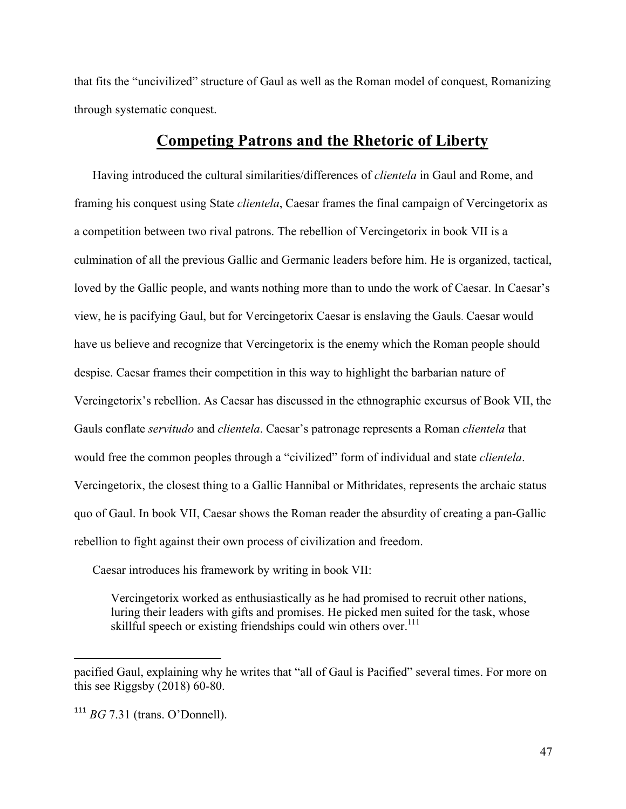that fits the "uncivilized" structure of Gaul as well as the Roman model of conquest, Romanizing through systematic conquest.

#### **Competing Patrons and the Rhetoric of Liberty**

Having introduced the cultural similarities/differences of *clientela* in Gaul and Rome, and framing his conquest using State *clientela*, Caesar frames the final campaign of Vercingetorix as a competition between two rival patrons. The rebellion of Vercingetorix in book VII is a culmination of all the previous Gallic and Germanic leaders before him. He is organized, tactical, loved by the Gallic people, and wants nothing more than to undo the work of Caesar. In Caesar's view, he is pacifying Gaul, but for Vercingetorix Caesar is enslaving the Gauls. Caesar would have us believe and recognize that Vercingetorix is the enemy which the Roman people should despise. Caesar frames their competition in this way to highlight the barbarian nature of Vercingetorix's rebellion. As Caesar has discussed in the ethnographic excursus of Book VII, the Gauls conflate *servitudo* and *clientela*. Caesar's patronage represents a Roman *clientela* that would free the common peoples through a "civilized" form of individual and state *clientela*. Vercingetorix, the closest thing to a Gallic Hannibal or Mithridates, represents the archaic status quo of Gaul. In book VII, Caesar shows the Roman reader the absurdity of creating a pan-Gallic rebellion to fight against their own process of civilization and freedom.

Caesar introduces his framework by writing in book VII:

Vercingetorix worked as enthusiastically as he had promised to recruit other nations, luring their leaders with gifts and promises. He picked men suited for the task, whose skillful speech or existing friendships could win others over.<sup>111</sup>

pacified Gaul, explaining why he writes that "all of Gaul is Pacified" several times. For more on this see Riggsby (2018) 60-80.

<sup>111</sup> *BG* 7.31 (trans. O'Donnell).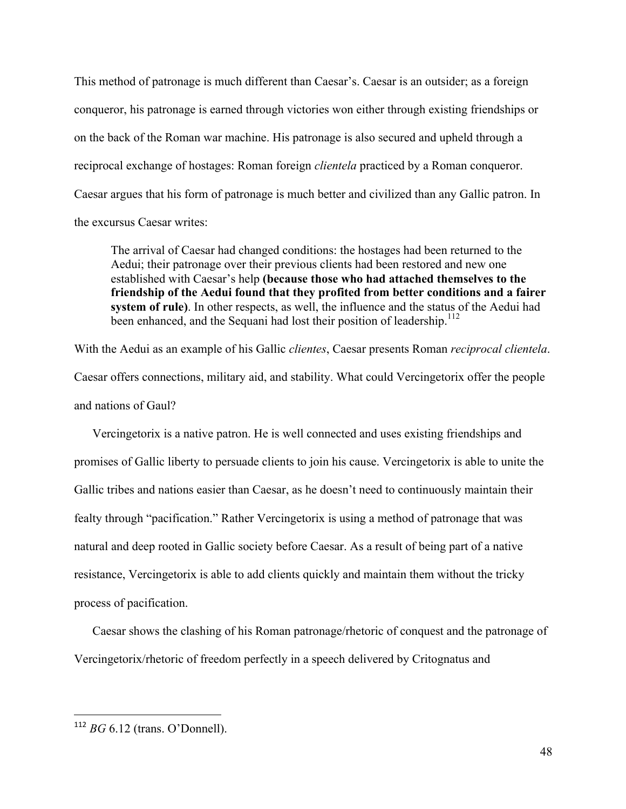This method of patronage is much different than Caesar's. Caesar is an outsider; as a foreign conqueror, his patronage is earned through victories won either through existing friendships or on the back of the Roman war machine. His patronage is also secured and upheld through a reciprocal exchange of hostages: Roman foreign *clientela* practiced by a Roman conqueror. Caesar argues that his form of patronage is much better and civilized than any Gallic patron. In the excursus Caesar writes:

The arrival of Caesar had changed conditions: the hostages had been returned to the Aedui; their patronage over their previous clients had been restored and new one established with Caesar's help **(because those who had attached themselves to the friendship of the Aedui found that they profited from better conditions and a fairer system of rule)**. In other respects, as well, the influence and the status of the Aedui had been enhanced, and the Sequani had lost their position of leadership.<sup>112</sup>

With the Aedui as an example of his Gallic *clientes*, Caesar presents Roman *reciprocal clientela*. Caesar offers connections, military aid, and stability. What could Vercingetorix offer the people and nations of Gaul?

Vercingetorix is a native patron. He is well connected and uses existing friendships and promises of Gallic liberty to persuade clients to join his cause. Vercingetorix is able to unite the Gallic tribes and nations easier than Caesar, as he doesn't need to continuously maintain their fealty through "pacification." Rather Vercingetorix is using a method of patronage that was natural and deep rooted in Gallic society before Caesar. As a result of being part of a native resistance, Vercingetorix is able to add clients quickly and maintain them without the tricky process of pacification.

Caesar shows the clashing of his Roman patronage/rhetoric of conquest and the patronage of Vercingetorix/rhetoric of freedom perfectly in a speech delivered by Critognatus and

 <sup>112</sup> *BG* 6.12 (trans. O'Donnell).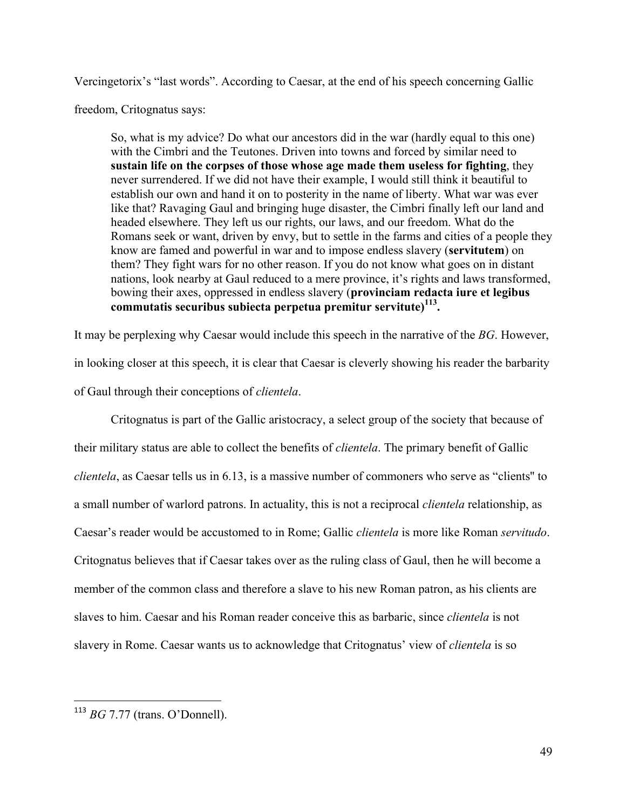Vercingetorix's "last words". According to Caesar, at the end of his speech concerning Gallic

freedom, Critognatus says:

So, what is my advice? Do what our ancestors did in the war (hardly equal to this one) with the Cimbri and the Teutones. Driven into towns and forced by similar need to **sustain life on the corpses of those whose age made them useless for fighting**, they never surrendered. If we did not have their example, I would still think it beautiful to establish our own and hand it on to posterity in the name of liberty. What war was ever like that? Ravaging Gaul and bringing huge disaster, the Cimbri finally left our land and headed elsewhere. They left us our rights, our laws, and our freedom. What do the Romans seek or want, driven by envy, but to settle in the farms and cities of a people they know are famed and powerful in war and to impose endless slavery (**servitutem**) on them? They fight wars for no other reason. If you do not know what goes on in distant nations, look nearby at Gaul reduced to a mere province, it's rights and laws transformed, bowing their axes, oppressed in endless slavery (**provinciam redacta iure et legibus commutatis securibus subiecta perpetua premitur servitute)113.**

It may be perplexing why Caesar would include this speech in the narrative of the *BG*. However, in looking closer at this speech, it is clear that Caesar is cleverly showing his reader the barbarity of Gaul through their conceptions of *clientela*.

Critognatus is part of the Gallic aristocracy, a select group of the society that because of their military status are able to collect the benefits of *clientela*. The primary benefit of Gallic *clientela*, as Caesar tells us in 6.13, is a massive number of commoners who serve as "clients'' to a small number of warlord patrons. In actuality, this is not a reciprocal *clientela* relationship, as Caesar's reader would be accustomed to in Rome; Gallic *clientela* is more like Roman *servitudo*. Critognatus believes that if Caesar takes over as the ruling class of Gaul, then he will become a member of the common class and therefore a slave to his new Roman patron, as his clients are slaves to him. Caesar and his Roman reader conceive this as barbaric, since *clientela* is not slavery in Rome. Caesar wants us to acknowledge that Critognatus' view of *clientela* is so

 <sup>113</sup> *BG* 7.77 (trans. O'Donnell).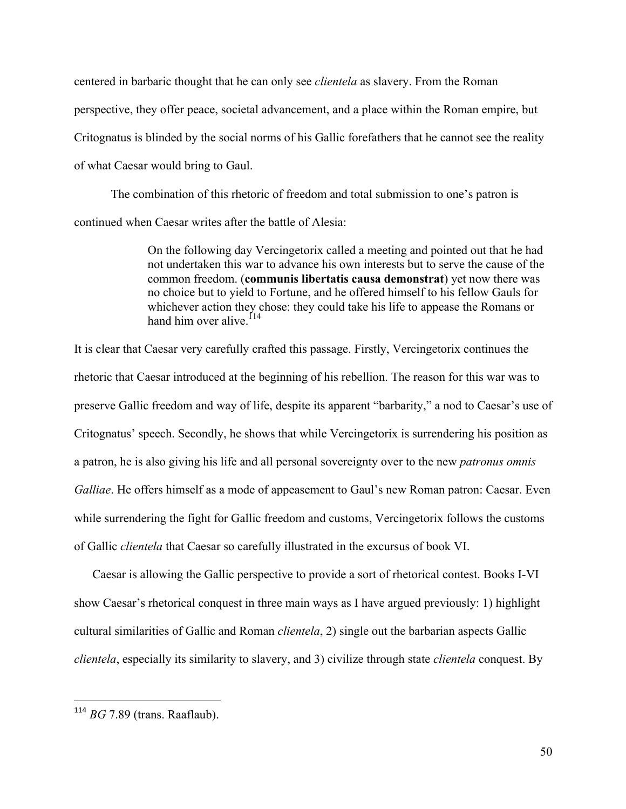centered in barbaric thought that he can only see *clientela* as slavery. From the Roman perspective, they offer peace, societal advancement, and a place within the Roman empire, but Critognatus is blinded by the social norms of his Gallic forefathers that he cannot see the reality of what Caesar would bring to Gaul.

The combination of this rhetoric of freedom and total submission to one's patron is continued when Caesar writes after the battle of Alesia:

> On the following day Vercingetorix called a meeting and pointed out that he had not undertaken this war to advance his own interests but to serve the cause of the common freedom. (**communis libertatis causa demonstrat**) yet now there was no choice but to yield to Fortune, and he offered himself to his fellow Gauls for whichever action they chose: they could take his life to appease the Romans or hand him over alive.<sup>114</sup>

It is clear that Caesar very carefully crafted this passage. Firstly, Vercingetorix continues the rhetoric that Caesar introduced at the beginning of his rebellion. The reason for this war was to preserve Gallic freedom and way of life, despite its apparent "barbarity," a nod to Caesar's use of Critognatus' speech. Secondly, he shows that while Vercingetorix is surrendering his position as a patron, he is also giving his life and all personal sovereignty over to the new *patronus omnis Galliae*. He offers himself as a mode of appeasement to Gaul's new Roman patron: Caesar. Even while surrendering the fight for Gallic freedom and customs, Vercingetorix follows the customs of Gallic *clientela* that Caesar so carefully illustrated in the excursus of book VI.

Caesar is allowing the Gallic perspective to provide a sort of rhetorical contest. Books I-VI show Caesar's rhetorical conquest in three main ways as I have argued previously: 1) highlight cultural similarities of Gallic and Roman *clientela*, 2) single out the barbarian aspects Gallic *clientela*, especially its similarity to slavery, and 3) civilize through state *clientela* conquest. By

 <sup>114</sup> *BG* 7.89 (trans. Raaflaub).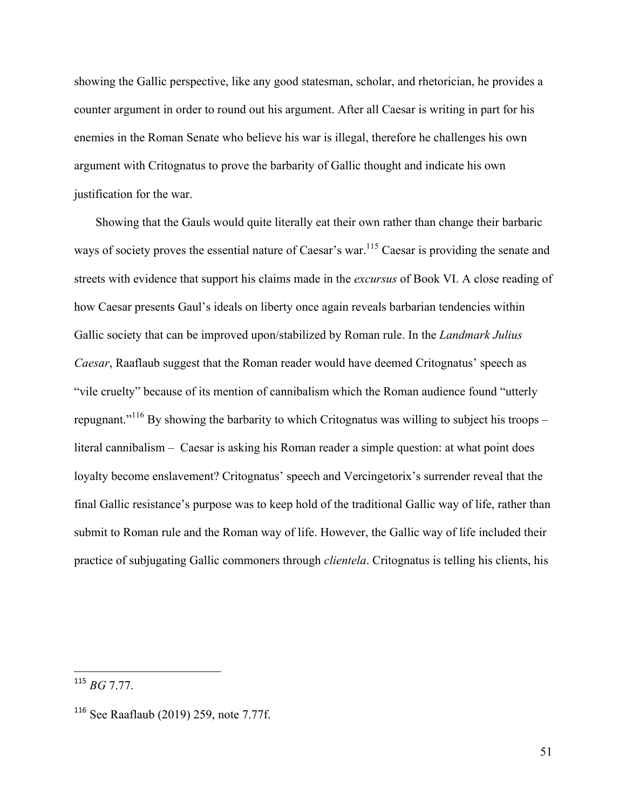showing the Gallic perspective, like any good statesman, scholar, and rhetorician, he provides a counter argument in order to round out his argument. After all Caesar is writing in part for his enemies in the Roman Senate who believe his war is illegal, therefore he challenges his own argument with Critognatus to prove the barbarity of Gallic thought and indicate his own justification for the war.

Showing that the Gauls would quite literally eat their own rather than change their barbaric ways of society proves the essential nature of Caesar's war.<sup>115</sup> Caesar is providing the senate and streets with evidence that support his claims made in the *excursus* of Book VI. A close reading of how Caesar presents Gaul's ideals on liberty once again reveals barbarian tendencies within Gallic society that can be improved upon/stabilized by Roman rule. In the *Landmark Julius Caesar*, Raaflaub suggest that the Roman reader would have deemed Critognatus' speech as "vile cruelty" because of its mention of cannibalism which the Roman audience found "utterly repugnant."<sup>116</sup> By showing the barbarity to which Critognatus was willing to subject his troops – literal cannibalism – Caesar is asking his Roman reader a simple question: at what point does loyalty become enslavement? Critognatus' speech and Vercingetorix's surrender reveal that the final Gallic resistance's purpose was to keep hold of the traditional Gallic way of life, rather than submit to Roman rule and the Roman way of life. However, the Gallic way of life included their practice of subjugating Gallic commoners through *clientela*. Critognatus is telling his clients, his

<sup>115</sup> *BG* 7.77.

<sup>116</sup> See Raaflaub (2019) 259, note 7.77f.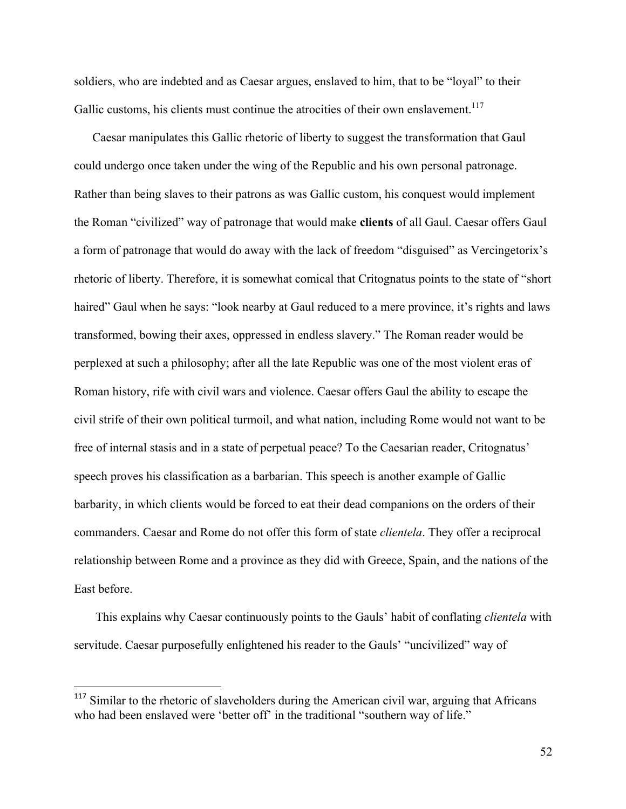soldiers, who are indebted and as Caesar argues, enslaved to him, that to be "loyal" to their Gallic customs, his clients must continue the atrocities of their own enslavement.<sup>117</sup>

Caesar manipulates this Gallic rhetoric of liberty to suggest the transformation that Gaul could undergo once taken under the wing of the Republic and his own personal patronage. Rather than being slaves to their patrons as was Gallic custom, his conquest would implement the Roman "civilized" way of patronage that would make **clients** of all Gaul. Caesar offers Gaul a form of patronage that would do away with the lack of freedom "disguised" as Vercingetorix's rhetoric of liberty. Therefore, it is somewhat comical that Critognatus points to the state of "short haired" Gaul when he says: "look nearby at Gaul reduced to a mere province, it's rights and laws transformed, bowing their axes, oppressed in endless slavery." The Roman reader would be perplexed at such a philosophy; after all the late Republic was one of the most violent eras of Roman history, rife with civil wars and violence. Caesar offers Gaul the ability to escape the civil strife of their own political turmoil, and what nation, including Rome would not want to be free of internal stasis and in a state of perpetual peace? To the Caesarian reader, Critognatus' speech proves his classification as a barbarian. This speech is another example of Gallic barbarity, in which clients would be forced to eat their dead companions on the orders of their commanders. Caesar and Rome do not offer this form of state *clientela*. They offer a reciprocal relationship between Rome and a province as they did with Greece, Spain, and the nations of the East before.

This explains why Caesar continuously points to the Gauls' habit of conflating *clientela* with servitude. Caesar purposefully enlightened his reader to the Gauls' "uncivilized" way of

<sup>&</sup>lt;sup>117</sup> Similar to the rhetoric of slaveholders during the American civil war, arguing that Africans who had been enslaved were 'better off' in the traditional "southern way of life."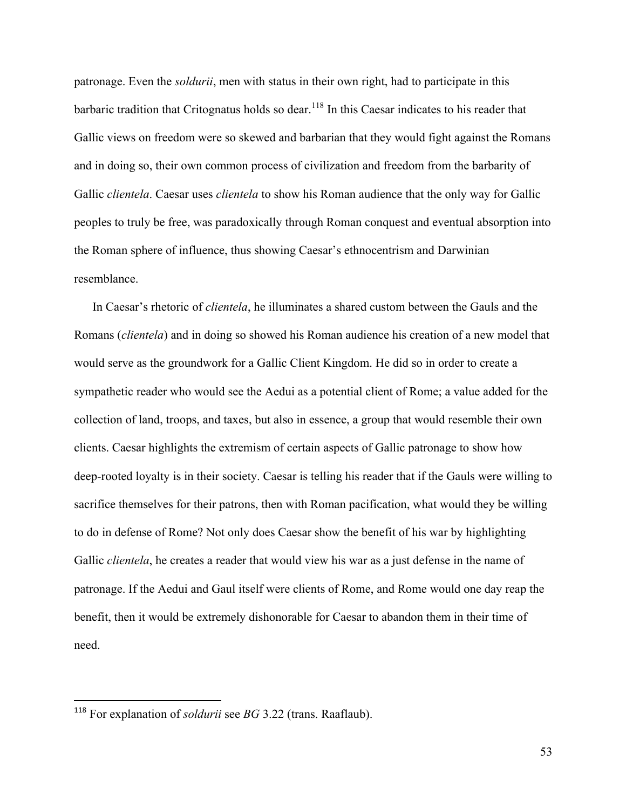patronage. Even the *soldurii*, men with status in their own right, had to participate in this barbaric tradition that Critognatus holds so dear.<sup>118</sup> In this Caesar indicates to his reader that Gallic views on freedom were so skewed and barbarian that they would fight against the Romans and in doing so, their own common process of civilization and freedom from the barbarity of Gallic *clientela*. Caesar uses *clientela* to show his Roman audience that the only way for Gallic peoples to truly be free, was paradoxically through Roman conquest and eventual absorption into the Roman sphere of influence, thus showing Caesar's ethnocentrism and Darwinian resemblance.

In Caesar's rhetoric of *clientela*, he illuminates a shared custom between the Gauls and the Romans (*clientela*) and in doing so showed his Roman audience his creation of a new model that would serve as the groundwork for a Gallic Client Kingdom. He did so in order to create a sympathetic reader who would see the Aedui as a potential client of Rome; a value added for the collection of land, troops, and taxes, but also in essence, a group that would resemble their own clients. Caesar highlights the extremism of certain aspects of Gallic patronage to show how deep-rooted loyalty is in their society. Caesar is telling his reader that if the Gauls were willing to sacrifice themselves for their patrons, then with Roman pacification, what would they be willing to do in defense of Rome? Not only does Caesar show the benefit of his war by highlighting Gallic *clientela*, he creates a reader that would view his war as a just defense in the name of patronage. If the Aedui and Gaul itself were clients of Rome, and Rome would one day reap the benefit, then it would be extremely dishonorable for Caesar to abandon them in their time of need.

<sup>118</sup> For explanation of *soldurii* see *BG* 3.22 (trans. Raaflaub).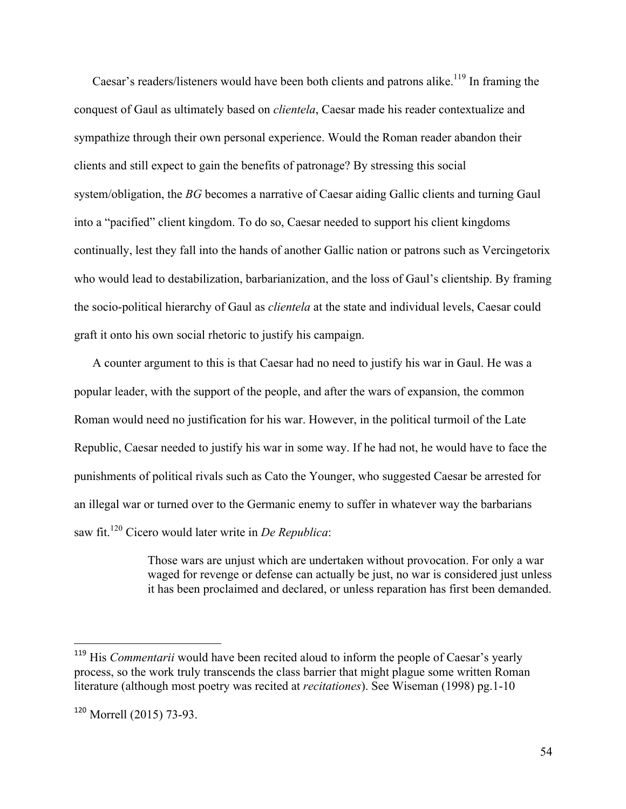Caesar's readers/listeners would have been both clients and patrons alike.<sup>119</sup> In framing the conquest of Gaul as ultimately based on *clientela*, Caesar made his reader contextualize and sympathize through their own personal experience. Would the Roman reader abandon their clients and still expect to gain the benefits of patronage? By stressing this social system/obligation, the *BG* becomes a narrative of Caesar aiding Gallic clients and turning Gaul into a "pacified" client kingdom. To do so, Caesar needed to support his client kingdoms continually, lest they fall into the hands of another Gallic nation or patrons such as Vercingetorix who would lead to destabilization, barbarianization, and the loss of Gaul's clientship. By framing the socio-political hierarchy of Gaul as *clientela* at the state and individual levels, Caesar could graft it onto his own social rhetoric to justify his campaign.

A counter argument to this is that Caesar had no need to justify his war in Gaul. He was a popular leader, with the support of the people, and after the wars of expansion, the common Roman would need no justification for his war. However, in the political turmoil of the Late Republic, Caesar needed to justify his war in some way. If he had not, he would have to face the punishments of political rivals such as Cato the Younger, who suggested Caesar be arrested for an illegal war or turned over to the Germanic enemy to suffer in whatever way the barbarians saw fit.120 Cicero would later write in *De Republica*:

> Those wars are unjust which are undertaken without provocation. For only a war waged for revenge or defense can actually be just, no war is considered just unless it has been proclaimed and declared, or unless reparation has first been demanded.

<sup>&</sup>lt;sup>119</sup> His *Commentarii* would have been recited aloud to inform the people of Caesar's yearly process, so the work truly transcends the class barrier that might plague some written Roman literature (although most poetry was recited at *recitationes*). See Wiseman (1998) pg.1-10

<sup>120</sup> Morrell (2015) 73-93.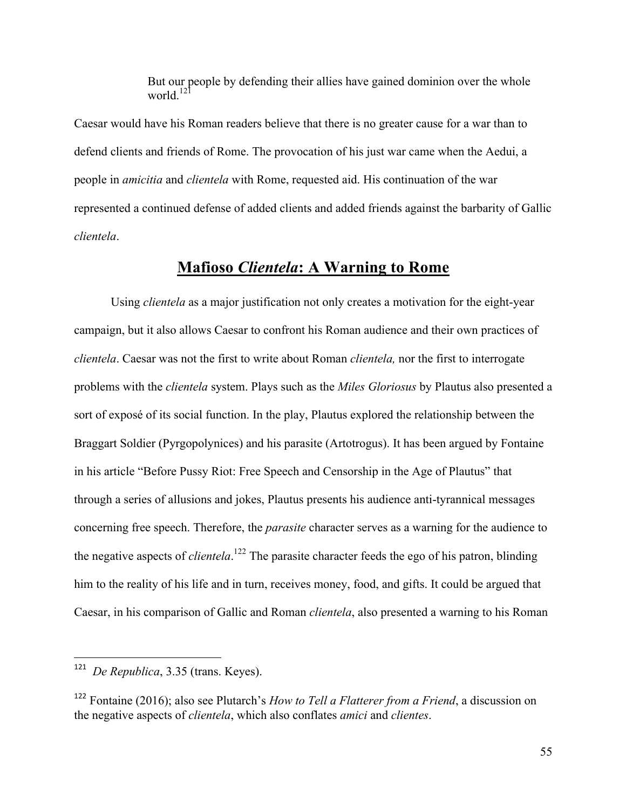But our people by defending their allies have gained dominion over the whole world.<sup>121</sup>

Caesar would have his Roman readers believe that there is no greater cause for a war than to defend clients and friends of Rome. The provocation of his just war came when the Aedui, a people in *amicitia* and *clientela* with Rome, requested aid. His continuation of the war represented a continued defense of added clients and added friends against the barbarity of Gallic *clientela*.

#### **Mafioso** *Clientela***: A Warning to Rome**

Using *clientela* as a major justification not only creates a motivation for the eight-year campaign, but it also allows Caesar to confront his Roman audience and their own practices of *clientela*. Caesar was not the first to write about Roman *clientela,* nor the first to interrogate problems with the *clientela* system. Plays such as the *Miles Gloriosus* by Plautus also presented a sort of exposé of its social function. In the play, Plautus explored the relationship between the Braggart Soldier (Pyrgopolynices) and his parasite (Artotrogus). It has been argued by Fontaine in his article "Before Pussy Riot: Free Speech and Censorship in the Age of Plautus" that through a series of allusions and jokes, Plautus presents his audience anti-tyrannical messages concerning free speech. Therefore, the *parasite* character serves as a warning for the audience to the negative aspects of *clientela*. <sup>122</sup> The parasite character feeds the ego of his patron, blinding him to the reality of his life and in turn, receives money, food, and gifts. It could be argued that Caesar, in his comparison of Gallic and Roman *clientela*, also presented a warning to his Roman

<sup>121</sup> *De Republica*, 3.35 (trans. Keyes).

<sup>122</sup> Fontaine (2016); also see Plutarch's *How to Tell a Flatterer from a Friend*, a discussion on the negative aspects of *clientela*, which also conflates *amici* and *clientes*.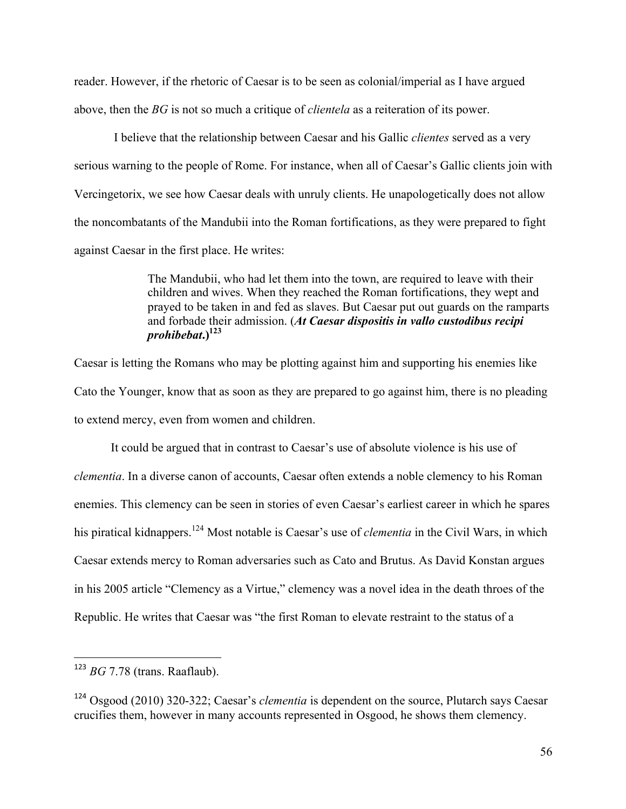reader. However, if the rhetoric of Caesar is to be seen as colonial/imperial as I have argued above, then the *BG* is not so much a critique of *clientela* as a reiteration of its power.

I believe that the relationship between Caesar and his Gallic *clientes* served as a very serious warning to the people of Rome. For instance, when all of Caesar's Gallic clients join with Vercingetorix, we see how Caesar deals with unruly clients. He unapologetically does not allow the noncombatants of the Mandubii into the Roman fortifications, as they were prepared to fight against Caesar in the first place. He writes:

> The Mandubii, who had let them into the town, are required to leave with their children and wives. When they reached the Roman fortifications, they wept and prayed to be taken in and fed as slaves. But Caesar put out guards on the ramparts and forbade their admission. (*At Caesar dispositis in vallo custodibus recipi prohibebat***.)123**

Caesar is letting the Romans who may be plotting against him and supporting his enemies like Cato the Younger, know that as soon as they are prepared to go against him, there is no pleading to extend mercy, even from women and children.

It could be argued that in contrast to Caesar's use of absolute violence is his use of *clementia*. In a diverse canon of accounts, Caesar often extends a noble clemency to his Roman enemies. This clemency can be seen in stories of even Caesar's earliest career in which he spares his piratical kidnappers.124 Most notable is Caesar's use of *clementia* in the Civil Wars, in which Caesar extends mercy to Roman adversaries such as Cato and Brutus. As David Konstan argues in his 2005 article "Clemency as a Virtue," clemency was a novel idea in the death throes of the Republic. He writes that Caesar was "the first Roman to elevate restraint to the status of a

 <sup>123</sup> *BG* 7.78 (trans. Raaflaub).

<sup>124</sup> Osgood (2010) 320-322; Caesar's *clementia* is dependent on the source, Plutarch says Caesar crucifies them, however in many accounts represented in Osgood, he shows them clemency.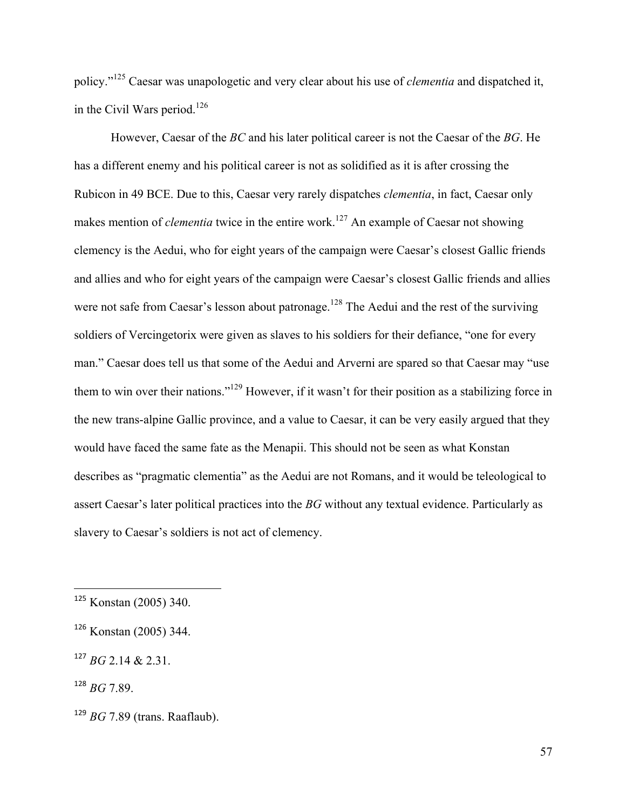policy."<sup>125</sup> Caesar was unapologetic and very clear about his use of *clementia* and dispatched it, in the Civil Wars period.<sup>126</sup>

However, Caesar of the *BC* and his later political career is not the Caesar of the *BG*. He has a different enemy and his political career is not as solidified as it is after crossing the Rubicon in 49 BCE. Due to this, Caesar very rarely dispatches *clementia*, in fact, Caesar only makes mention of *clementia* twice in the entire work.<sup>127</sup> An example of Caesar not showing clemency is the Aedui, who for eight years of the campaign were Caesar's closest Gallic friends and allies and who for eight years of the campaign were Caesar's closest Gallic friends and allies were not safe from Caesar's lesson about patronage.<sup>128</sup> The Aedui and the rest of the surviving soldiers of Vercingetorix were given as slaves to his soldiers for their defiance, "one for every man." Caesar does tell us that some of the Aedui and Arverni are spared so that Caesar may "use them to win over their nations."<sup>129</sup> However, if it wasn't for their position as a stabilizing force in the new trans-alpine Gallic province, and a value to Caesar, it can be very easily argued that they would have faced the same fate as the Menapii. This should not be seen as what Konstan describes as "pragmatic clementia" as the Aedui are not Romans, and it would be teleological to assert Caesar's later political practices into the *BG* without any textual evidence. Particularly as slavery to Caesar's soldiers is not act of clemency.

<sup>125</sup> Konstan (2005) 340.

<sup>126</sup> Konstan (2005) 344.

 $127 BG$  2.14 & 2.31.

 $128$  *BG* 7.89.

<sup>129</sup> *BG* 7.89 (trans. Raaflaub).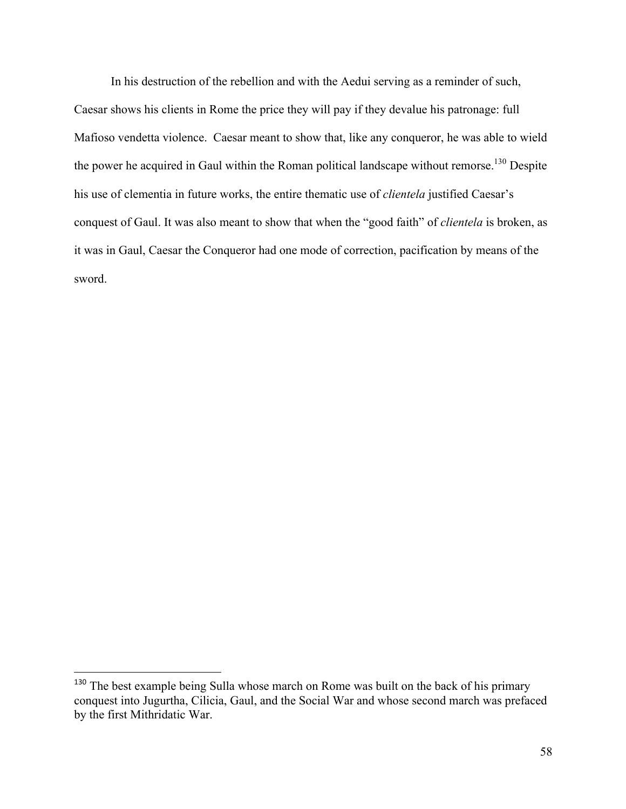In his destruction of the rebellion and with the Aedui serving as a reminder of such, Caesar shows his clients in Rome the price they will pay if they devalue his patronage: full Mafioso vendetta violence. Caesar meant to show that, like any conqueror, he was able to wield the power he acquired in Gaul within the Roman political landscape without remorse.<sup>130</sup> Despite his use of clementia in future works, the entire thematic use of *clientela* justified Caesar's conquest of Gaul. It was also meant to show that when the "good faith" of *clientela* is broken, as it was in Gaul, Caesar the Conqueror had one mode of correction, pacification by means of the sword.

<sup>&</sup>lt;sup>130</sup> The best example being Sulla whose march on Rome was built on the back of his primary conquest into Jugurtha, Cilicia, Gaul, and the Social War and whose second march was prefaced by the first Mithridatic War.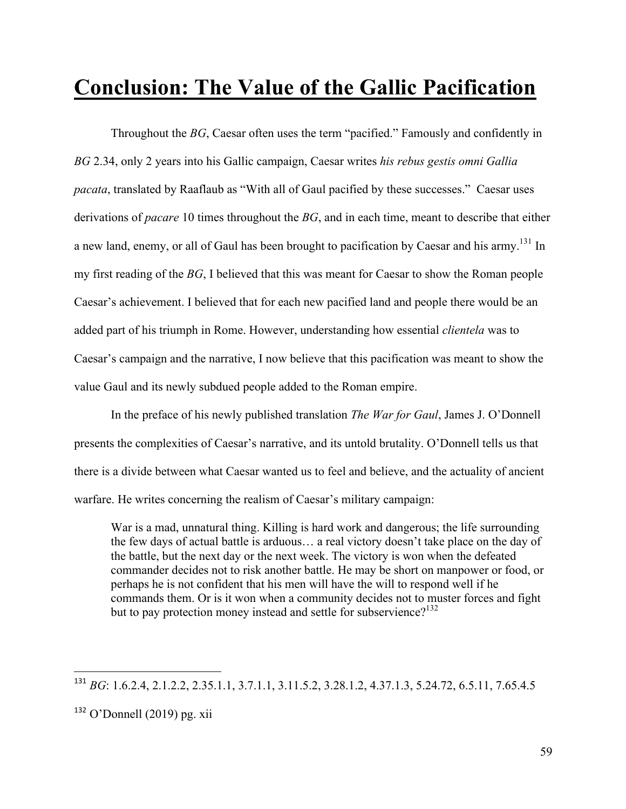## **Conclusion: The Value of the Gallic Pacification**

Throughout the *BG*, Caesar often uses the term "pacified." Famously and confidently in *BG* 2.34, only 2 years into his Gallic campaign, Caesar writes *his rebus gestis omni Gallia pacata*, translated by Raaflaub as "With all of Gaul pacified by these successes." Caesar uses derivations of *pacare* 10 times throughout the *BG*, and in each time, meant to describe that either a new land, enemy, or all of Gaul has been brought to pacification by Caesar and his army.<sup>131</sup> In my first reading of the *BG*, I believed that this was meant for Caesar to show the Roman people Caesar's achievement. I believed that for each new pacified land and people there would be an added part of his triumph in Rome. However, understanding how essential *clientela* was to Caesar's campaign and the narrative, I now believe that this pacification was meant to show the value Gaul and its newly subdued people added to the Roman empire.

In the preface of his newly published translation *The War for Gaul*, James J. O'Donnell presents the complexities of Caesar's narrative, and its untold brutality. O'Donnell tells us that there is a divide between what Caesar wanted us to feel and believe, and the actuality of ancient warfare. He writes concerning the realism of Caesar's military campaign:

War is a mad, unnatural thing. Killing is hard work and dangerous; the life surrounding the few days of actual battle is arduous… a real victory doesn't take place on the day of the battle, but the next day or the next week. The victory is won when the defeated commander decides not to risk another battle. He may be short on manpower or food, or perhaps he is not confident that his men will have the will to respond well if he commands them. Or is it won when a community decides not to muster forces and fight but to pay protection money instead and settle for subservience?<sup>132</sup>

<sup>131</sup> *BG*: 1.6.2.4, 2.1.2.2, 2.35.1.1, 3.7.1.1, 3.11.5.2, 3.28.1.2, 4.37.1.3, 5.24.72, 6.5.11, 7.65.4.5

 $132$  O'Donnell (2019) pg. xii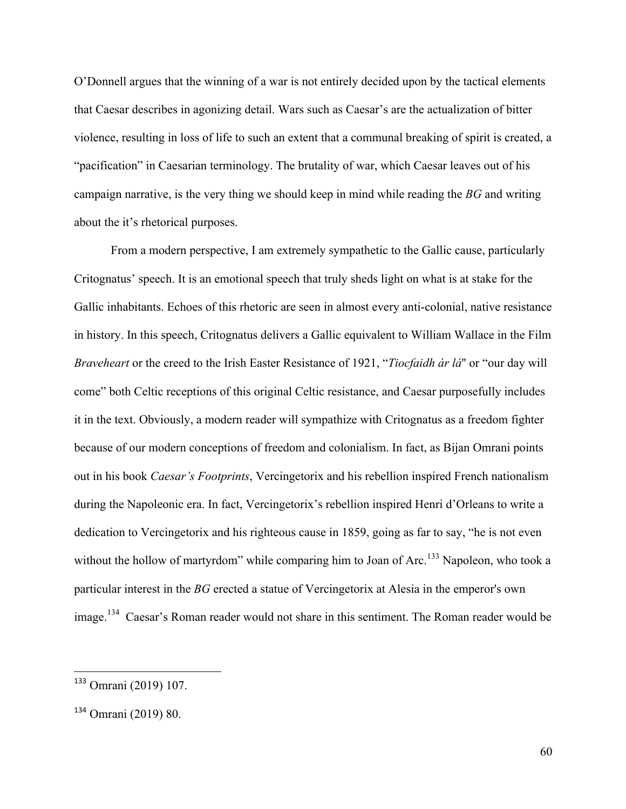O'Donnell argues that the winning of a war is not entirely decided upon by the tactical elements that Caesar describes in agonizing detail. Wars such as Caesar's are the actualization of bitter violence, resulting in loss of life to such an extent that a communal breaking of spirit is created, a "pacification" in Caesarian terminology. The brutality of war, which Caesar leaves out of his campaign narrative, is the very thing we should keep in mind while reading the *BG* and writing about the it's rhetorical purposes.

From a modern perspective, I am extremely sympathetic to the Gallic cause, particularly Critognatus' speech. It is an emotional speech that truly sheds light on what is at stake for the Gallic inhabitants. Echoes of this rhetoric are seen in almost every anti-colonial, native resistance in history. In this speech, Critognatus delivers a Gallic equivalent to William Wallace in the Film *Braveheart* or the creed to the Irish Easter Resistance of 1921, "*Tiocfaidh ár lá*'' or "our day will come" both Celtic receptions of this original Celtic resistance, and Caesar purposefully includes it in the text. Obviously, a modern reader will sympathize with Critognatus as a freedom fighter because of our modern conceptions of freedom and colonialism. In fact, as Bijan Omrani points out in his book *Caesar's Footprints*, Vercingetorix and his rebellion inspired French nationalism during the Napoleonic era. In fact, Vercingetorix's rebellion inspired Henri d'Orleans to write a dedication to Vercingetorix and his righteous cause in 1859, going as far to say, "he is not even without the hollow of martyrdom" while comparing him to Joan of Arc.<sup>133</sup> Napoleon, who took a particular interest in the *BG* erected a statue of Vercingetorix at Alesia in the emperor's own image.<sup>134</sup> Caesar's Roman reader would not share in this sentiment. The Roman reader would be

<sup>133</sup> Omrani (2019) 107.

<sup>134</sup> Omrani (2019) 80.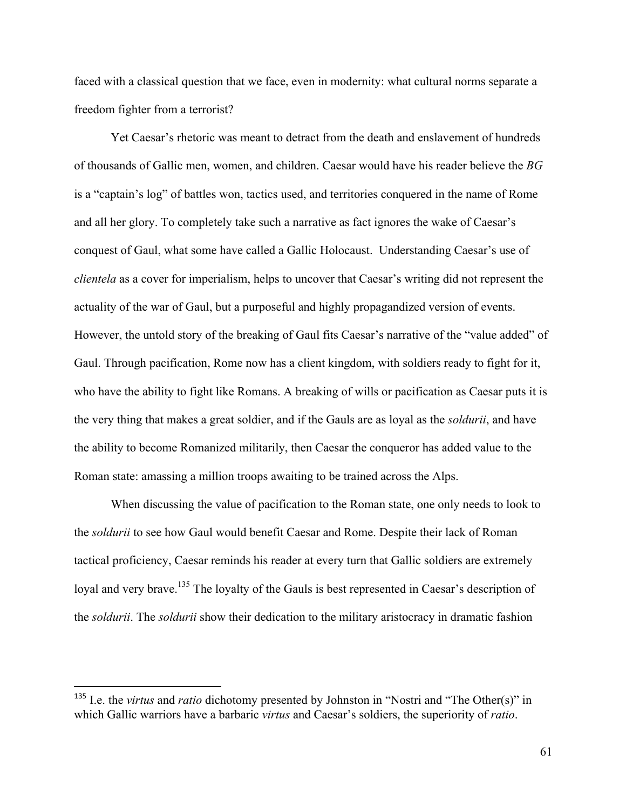faced with a classical question that we face, even in modernity: what cultural norms separate a freedom fighter from a terrorist?

Yet Caesar's rhetoric was meant to detract from the death and enslavement of hundreds of thousands of Gallic men, women, and children. Caesar would have his reader believe the *BG* is a "captain's log" of battles won, tactics used, and territories conquered in the name of Rome and all her glory. To completely take such a narrative as fact ignores the wake of Caesar's conquest of Gaul, what some have called a Gallic Holocaust. Understanding Caesar's use of *clientela* as a cover for imperialism, helps to uncover that Caesar's writing did not represent the actuality of the war of Gaul, but a purposeful and highly propagandized version of events. However, the untold story of the breaking of Gaul fits Caesar's narrative of the "value added" of Gaul. Through pacification, Rome now has a client kingdom, with soldiers ready to fight for it, who have the ability to fight like Romans. A breaking of wills or pacification as Caesar puts it is the very thing that makes a great soldier, and if the Gauls are as loyal as the *soldurii*, and have the ability to become Romanized militarily, then Caesar the conqueror has added value to the Roman state: amassing a million troops awaiting to be trained across the Alps.

When discussing the value of pacification to the Roman state, one only needs to look to the *soldurii* to see how Gaul would benefit Caesar and Rome. Despite their lack of Roman tactical proficiency, Caesar reminds his reader at every turn that Gallic soldiers are extremely loyal and very brave.<sup>135</sup> The loyalty of the Gauls is best represented in Caesar's description of the *soldurii*. The *soldurii* show their dedication to the military aristocracy in dramatic fashion

<sup>&</sup>lt;sup>135</sup> I.e. the *virtus* and *ratio* dichotomy presented by Johnston in "Nostri and "The Other(s)" in which Gallic warriors have a barbaric *virtus* and Caesar's soldiers, the superiority of *ratio*.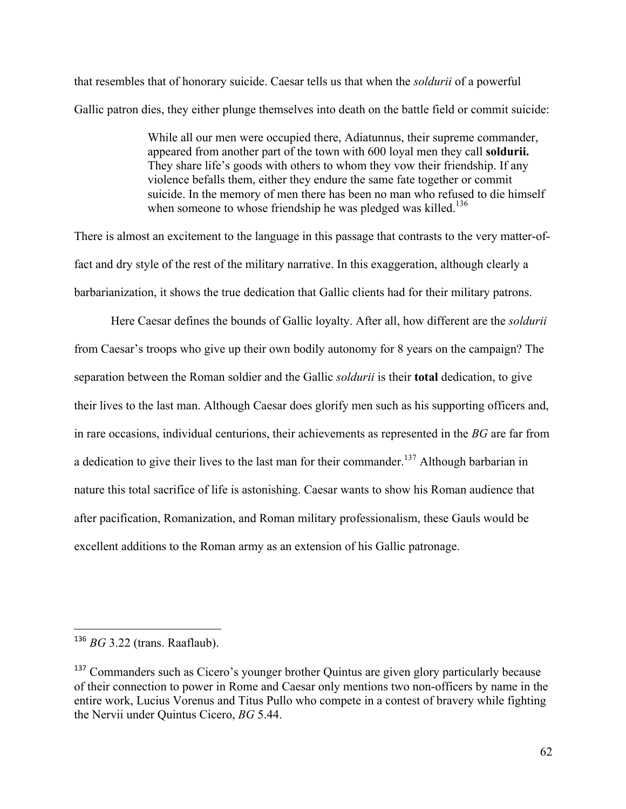that resembles that of honorary suicide. Caesar tells us that when the *soldurii* of a powerful Gallic patron dies, they either plunge themselves into death on the battle field or commit suicide:

> While all our men were occupied there, Adiatunnus, their supreme commander, appeared from another part of the town with 600 loyal men they call **soldurii.**  They share life's goods with others to whom they vow their friendship. If any violence befalls them, either they endure the same fate together or commit suicide. In the memory of men there has been no man who refused to die himself when someone to whose friendship he was pledged was killed.<sup>136</sup>

There is almost an excitement to the language in this passage that contrasts to the very matter-offact and dry style of the rest of the military narrative. In this exaggeration, although clearly a barbarianization, it shows the true dedication that Gallic clients had for their military patrons.

Here Caesar defines the bounds of Gallic loyalty. After all, how different are the *soldurii* from Caesar's troops who give up their own bodily autonomy for 8 years on the campaign? The separation between the Roman soldier and the Gallic *soldurii* is their **total** dedication, to give their lives to the last man. Although Caesar does glorify men such as his supporting officers and, in rare occasions, individual centurions, their achievements as represented in the *BG* are far from a dedication to give their lives to the last man for their commander.<sup>137</sup> Although barbarian in nature this total sacrifice of life is astonishing. Caesar wants to show his Roman audience that after pacification, Romanization, and Roman military professionalism, these Gauls would be excellent additions to the Roman army as an extension of his Gallic patronage.

 <sup>136</sup> *BG* 3.22 (trans. Raaflaub).

<sup>&</sup>lt;sup>137</sup> Commanders such as Cicero's younger brother Quintus are given glory particularly because of their connection to power in Rome and Caesar only mentions two non-officers by name in the entire work, Lucius Vorenus and Titus Pullo who compete in a contest of bravery while fighting the Nervii under Quintus Cicero, *BG* 5.44.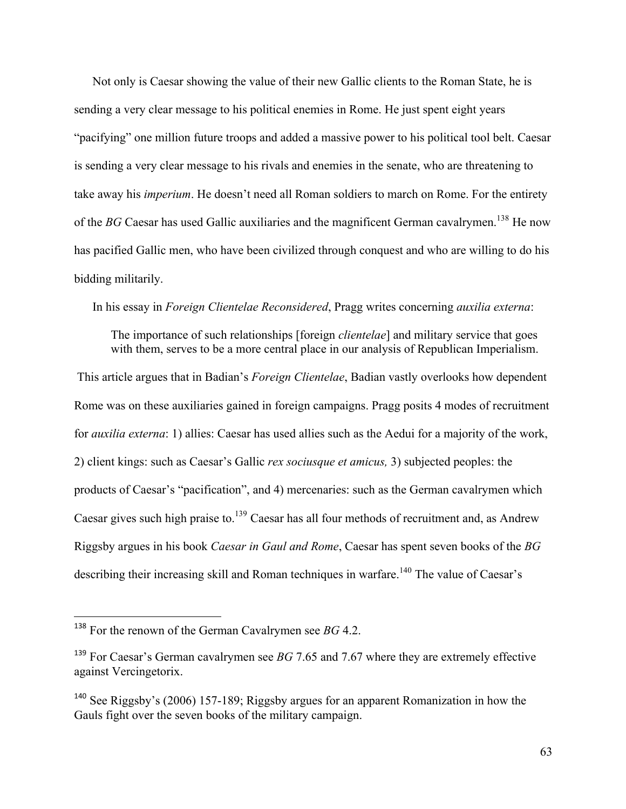Not only is Caesar showing the value of their new Gallic clients to the Roman State, he is sending a very clear message to his political enemies in Rome. He just spent eight years "pacifying" one million future troops and added a massive power to his political tool belt. Caesar is sending a very clear message to his rivals and enemies in the senate, who are threatening to take away his *imperium*. He doesn't need all Roman soldiers to march on Rome. For the entirety of the *BG* Caesar has used Gallic auxiliaries and the magnificent German cavalrymen.<sup>138</sup> He now has pacified Gallic men, who have been civilized through conquest and who are willing to do his bidding militarily.

In his essay in *Foreign Clientelae Reconsidered*, Pragg writes concerning *auxilia externa*:

The importance of such relationships [foreign *clientelae*] and military service that goes with them, serves to be a more central place in our analysis of Republican Imperialism.

This article argues that in Badian's *Foreign Clientelae*, Badian vastly overlooks how dependent Rome was on these auxiliaries gained in foreign campaigns. Pragg posits 4 modes of recruitment for *auxilia externa*: 1) allies: Caesar has used allies such as the Aedui for a majority of the work, 2) client kings: such as Caesar's Gallic *rex sociusque et amicus,* 3) subjected peoples: the products of Caesar's "pacification", and 4) mercenaries: such as the German cavalrymen which Caesar gives such high praise to.<sup>139</sup> Caesar has all four methods of recruitment and, as Andrew Riggsby argues in his book *Caesar in Gaul and Rome*, Caesar has spent seven books of the *BG*  describing their increasing skill and Roman techniques in warfare.<sup>140</sup> The value of Caesar's

<sup>138</sup> For the renown of the German Cavalrymen see *BG* 4.2.

<sup>&</sup>lt;sup>139</sup> For Caesar's German cavalrymen see *BG* 7.65 and 7.67 where they are extremely effective against Vercingetorix.

<sup>140</sup> See Riggsby's (2006) 157-189; Riggsby argues for an apparent Romanization in how the Gauls fight over the seven books of the military campaign.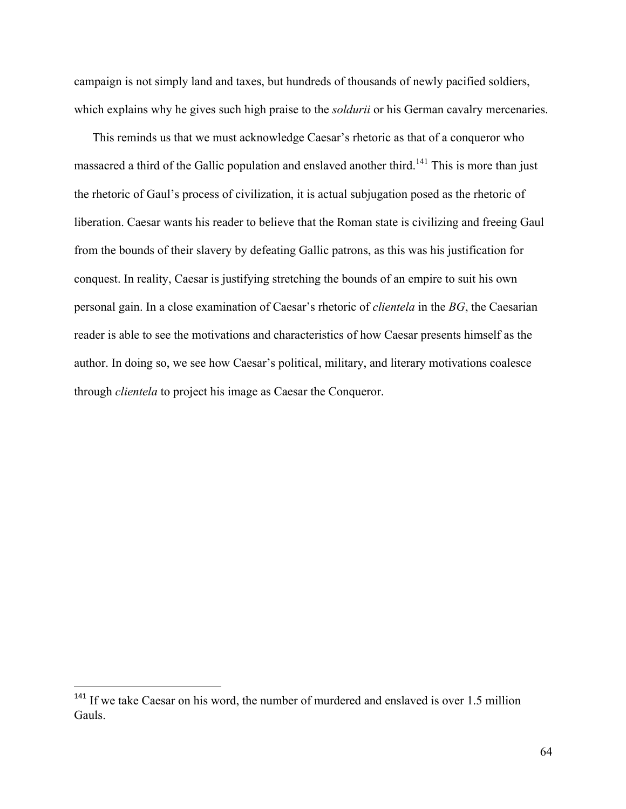campaign is not simply land and taxes, but hundreds of thousands of newly pacified soldiers, which explains why he gives such high praise to the *soldurii* or his German cavalry mercenaries.

This reminds us that we must acknowledge Caesar's rhetoric as that of a conqueror who massacred a third of the Gallic population and enslaved another third.<sup>141</sup> This is more than just the rhetoric of Gaul's process of civilization, it is actual subjugation posed as the rhetoric of liberation. Caesar wants his reader to believe that the Roman state is civilizing and freeing Gaul from the bounds of their slavery by defeating Gallic patrons, as this was his justification for conquest. In reality, Caesar is justifying stretching the bounds of an empire to suit his own personal gain. In a close examination of Caesar's rhetoric of *clientela* in the *BG*, the Caesarian reader is able to see the motivations and characteristics of how Caesar presents himself as the author. In doing so, we see how Caesar's political, military, and literary motivations coalesce through *clientela* to project his image as Caesar the Conqueror.

<sup>&</sup>lt;sup>141</sup> If we take Caesar on his word, the number of murdered and enslaved is over 1.5 million Gauls.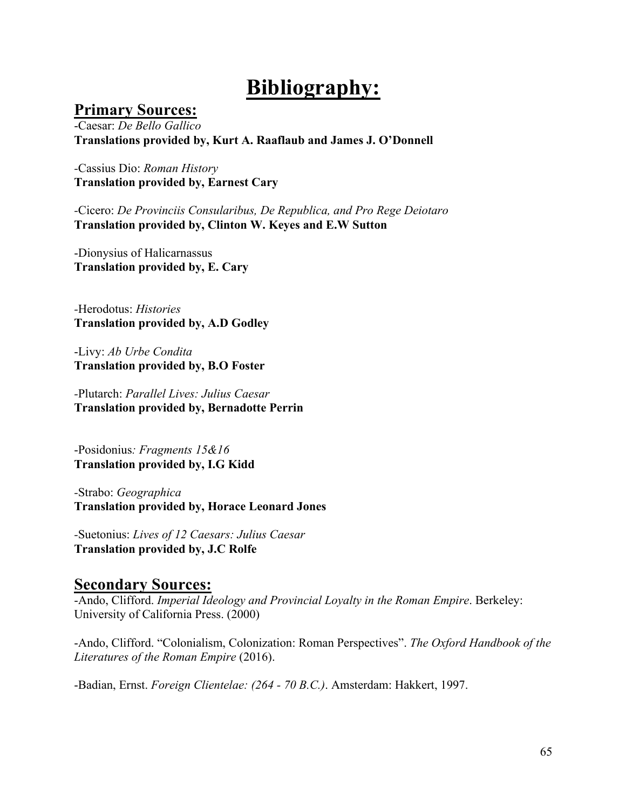# **Bibliography:**

### **Primary Sources:**

-Caesar: *De Bello Gallico* **Translations provided by, Kurt A. Raaflaub and James J. O'Donnell** 

*-*Cassius Dio: *Roman History* **Translation provided by, Earnest Cary**

*-*Cicero: *De Provinciis Consularibus, De Republica, and Pro Rege Deiotaro* **Translation provided by, Clinton W. Keyes and E.W Sutton** 

-Dionysius of Halicarnassus **Translation provided by, E. Cary**

*-*Herodotus: *Histories* **Translation provided by, A.D Godley**

-Livy: *Ab Urbe Condita* **Translation provided by, B.O Foster** 

*-*Plutarch: *Parallel Lives: Julius Caesar* **Translation provided by, Bernadotte Perrin** 

-Posidonius*: Fragments 15&16* **Translation provided by, I.G Kidd**

*-*Strabo: *Geographica*  **Translation provided by, Horace Leonard Jones** 

*-*Suetonius: *Lives of 12 Caesars: Julius Caesar* **Translation provided by, J.C Rolfe** 

### **Secondary Sources:**

-Ando, Clifford. *Imperial Ideology and Provincial Loyalty in the Roman Empire*. Berkeley: University of California Press. (2000)

-Ando, Clifford. "Colonialism, Colonization: Roman Perspectives". *The Oxford Handbook of the Literatures of the Roman Empire* (2016).

-Badian, Ernst. *Foreign Clientelae: (264 - 70 B.C.)*. Amsterdam: Hakkert, 1997.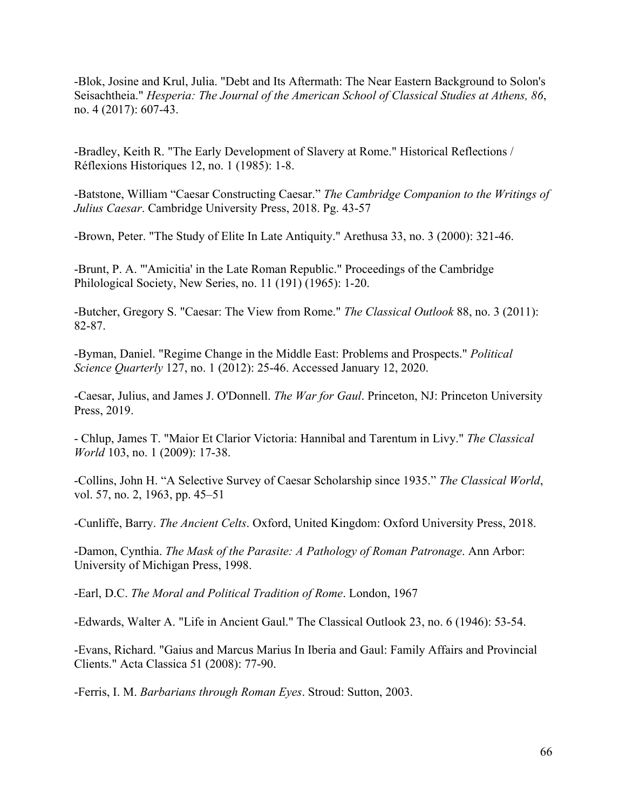-Blok, Josine and Krul, Julia. "Debt and Its Aftermath: The Near Eastern Background to Solon's Seisachtheia." *Hesperia: The Journal of the American School of Classical Studies at Athens, 86*, no. 4 (2017): 607-43.

-Bradley, Keith R. "The Early Development of Slavery at Rome." Historical Reflections / Réflexions Historiques 12, no. 1 (1985): 1-8.

-Batstone, William "Caesar Constructing Caesar." *The Cambridge Companion to the Writings of Julius Caesar*. Cambridge University Press, 2018. Pg. 43-57

-Brown, Peter. "The Study of Elite In Late Antiquity." Arethusa 33, no. 3 (2000): 321-46.

-Brunt, P. A. "'Amicitia' in the Late Roman Republic." Proceedings of the Cambridge Philological Society, New Series, no. 11 (191) (1965): 1-20.

-Butcher, Gregory S. "Caesar: The View from Rome." *The Classical Outlook* 88, no. 3 (2011): 82-87.

-Byman, Daniel. "Regime Change in the Middle East: Problems and Prospects." *Political Science Quarterly* 127, no. 1 (2012): 25-46. Accessed January 12, 2020.

-Caesar, Julius, and James J. O'Donnell. *The War for Gaul*. Princeton, NJ: Princeton University Press, 2019.

- Chlup, James T. "Maior Et Clarior Victoria: Hannibal and Tarentum in Livy." *The Classical World* 103, no. 1 (2009): 17-38.

-Collins, John H. "A Selective Survey of Caesar Scholarship since 1935." *The Classical World*, vol. 57, no. 2, 1963, pp. 45–51

-Cunliffe, Barry. *The Ancient Celts*. Oxford, United Kingdom: Oxford University Press, 2018.

-Damon, Cynthia. *The Mask of the Parasite: A Pathology of Roman Patronage*. Ann Arbor: University of Michigan Press, 1998.

-Earl, D.C. *The Moral and Political Tradition of Rome*. London, 1967

-Edwards, Walter A. "Life in Ancient Gaul." The Classical Outlook 23, no. 6 (1946): 53-54.

-Evans, Richard. "Gaius and Marcus Marius In Iberia and Gaul: Family Affairs and Provincial Clients." Acta Classica 51 (2008): 77-90.

-Ferris, I. M. *Barbarians through Roman Eyes*. Stroud: Sutton, 2003.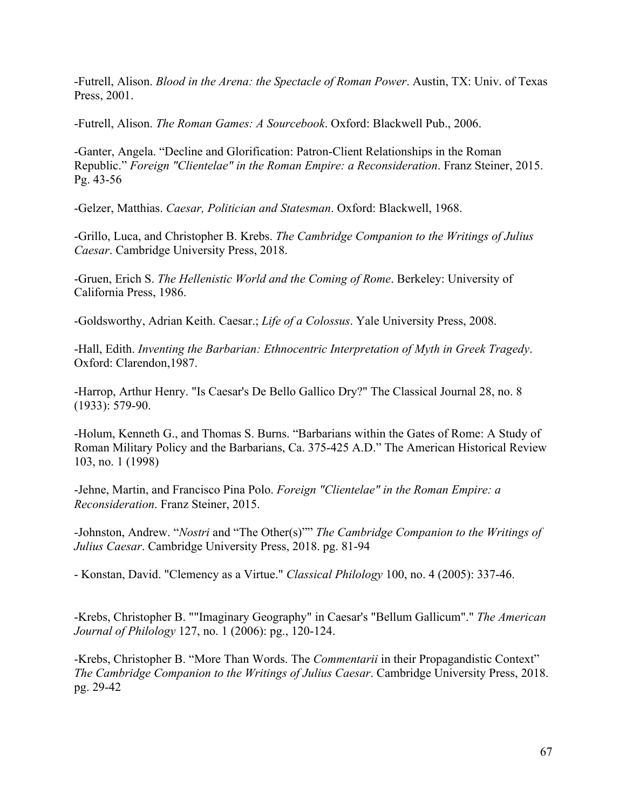-Futrell, Alison. *Blood in the Arena: the Spectacle of Roman Power*. Austin, TX: Univ. of Texas Press, 2001.

-Futrell, Alison. *The Roman Games: A Sourcebook*. Oxford: Blackwell Pub., 2006.

-Ganter, Angela. "Decline and Glorification: Patron-Client Relationships in the Roman Republic." *Foreign "Clientelae" in the Roman Empire: a Reconsideration*. Franz Steiner, 2015. Pg. 43-56

-Gelzer, Matthias. *Caesar, Politician and Statesman*. Oxford: Blackwell, 1968.

-Grillo, Luca, and Christopher B. Krebs. *The Cambridge Companion to the Writings of Julius Caesar*. Cambridge University Press, 2018.

-Gruen, Erich S. *The Hellenistic World and the Coming of Rome*. Berkeley: University of California Press, 1986.

-Goldsworthy, Adrian Keith. Caesar.; *Life of a Colossus*. Yale University Press, 2008.

-Hall, Edith. *Inventing the Barbarian: Ethnocentric Interpretation of Myth in Greek Tragedy*. Oxford: Clarendon,1987.

-Harrop, Arthur Henry. "Is Caesar's De Bello Gallico Dry?" The Classical Journal 28, no. 8 (1933): 579-90.

-Holum, Kenneth G., and Thomas S. Burns. "Barbarians within the Gates of Rome: A Study of Roman Military Policy and the Barbarians, Ca. 375-425 A.D." The American Historical Review 103, no. 1 (1998)

-Jehne, Martin, and Francisco Pina Polo. *Foreign "Clientelae" in the Roman Empire: a Reconsideration*. Franz Steiner, 2015.

-Johnston, Andrew. "*Nostri* and "The Other(s)"" *The Cambridge Companion to the Writings of Julius Caesar*. Cambridge University Press, 2018. pg. 81-94

- Konstan, David. "Clemency as a Virtue." *Classical Philology* 100, no. 4 (2005): 337-46.

-Krebs, Christopher B. ""Imaginary Geography" in Caesar's "Bellum Gallicum"." *The American Journal of Philology* 127, no. 1 (2006): pg., 120-124.

-Krebs, Christopher B. "More Than Words. The *Commentarii* in their Propagandistic Context" *The Cambridge Companion to the Writings of Julius Caesar*. Cambridge University Press, 2018. pg. 29-42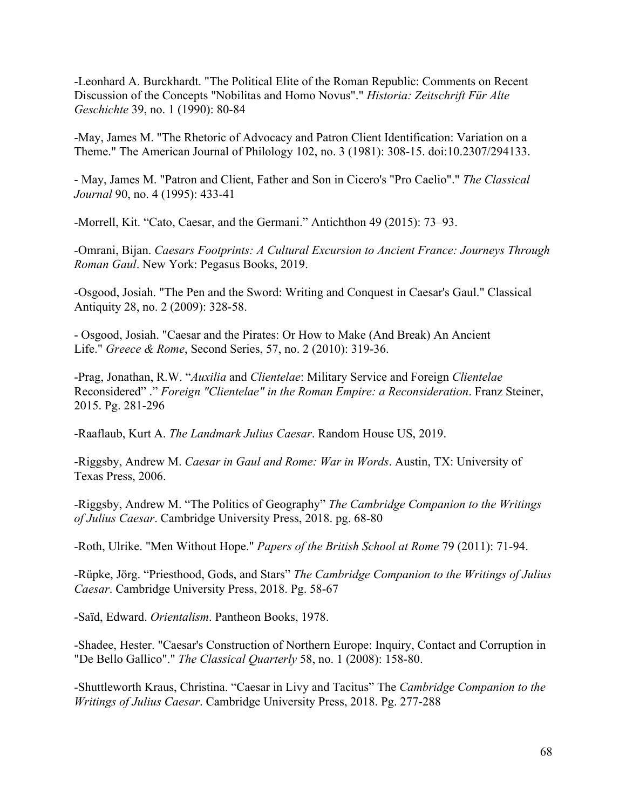-Leonhard A. Burckhardt. "The Political Elite of the Roman Republic: Comments on Recent Discussion of the Concepts "Nobilitas and Homo Novus"." *Historia: Zeitschrift Für Alte Geschichte* 39, no. 1 (1990): 80-84

-May, James M. "The Rhetoric of Advocacy and Patron Client Identification: Variation on a Theme." The American Journal of Philology 102, no. 3 (1981): 308-15. doi:10.2307/294133.

- May, James M. "Patron and Client, Father and Son in Cicero's "Pro Caelio"." *The Classical Journal* 90, no. 4 (1995): 433-41

-Morrell, Kit. "Cato, Caesar, and the Germani." Antichthon 49 (2015): 73–93.

-Omrani, Bijan. *Caesars Footprints: A Cultural Excursion to Ancient France: Journeys Through Roman Gaul*. New York: Pegasus Books, 2019.

-Osgood, Josiah. "The Pen and the Sword: Writing and Conquest in Caesar's Gaul." Classical Antiquity 28, no. 2 (2009): 328-58.

- Osgood, Josiah. "Caesar and the Pirates: Or How to Make (And Break) An Ancient Life." *Greece & Rome*, Second Series, 57, no. 2 (2010): 319-36.

-Prag, Jonathan, R.W. "*Auxilia* and *Clientelae*: Military Service and Foreign *Clientelae* Reconsidered" ." *Foreign "Clientelae" in the Roman Empire: a Reconsideration*. Franz Steiner, 2015. Pg. 281-296

-Raaflaub, Kurt A. *The Landmark Julius Caesar*. Random House US, 2019.

-Riggsby, Andrew M. *Caesar in Gaul and Rome: War in Words*. Austin, TX: University of Texas Press, 2006.

-Riggsby, Andrew M. "The Politics of Geography" *The Cambridge Companion to the Writings of Julius Caesar*. Cambridge University Press, 2018. pg. 68-80

-Roth, Ulrike. "Men Without Hope." *Papers of the British School at Rome* 79 (2011): 71-94.

-Rüpke, Jörg. "Priesthood, Gods, and Stars" *The Cambridge Companion to the Writings of Julius Caesar*. Cambridge University Press, 2018. Pg. 58-67

-Saïd, Edward. *Orientalism*. Pantheon Books, 1978.

-Shadee, Hester. "Caesar's Construction of Northern Europe: Inquiry, Contact and Corruption in "De Bello Gallico"." *The Classical Quarterly* 58, no. 1 (2008): 158-80.

-Shuttleworth Kraus, Christina. "Caesar in Livy and Tacitus" The *Cambridge Companion to the Writings of Julius Caesar*. Cambridge University Press, 2018. Pg. 277-288